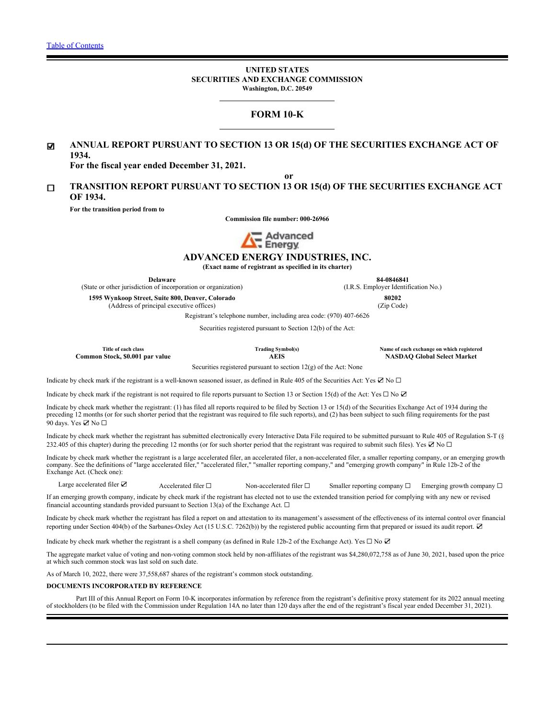## **UNITED STATES SECURITIES AND EXCHANGE COMMISSION Washington, D.C. 20549**

# **FORM 10-K**

# ☑ **ANNUAL REPORT PURSUANT TO SECTION 13 OR 15(d) OF THE SECURITIES EXCHANGE ACT OF 1934.**

**For the fiscal year ended December 31, 2021.**

# ☐ **TRANSITION REPORT PURSUANT TO SECTION 13 OR 15(d) OF THE SECURITIES EXCHANGE ACT OF 1934.**

**For the transition period from to**

**Commission file number: 000-26966**



**ADVANCED ENERGY INDUSTRIES, INC. (Exact name of registrant as specified in its charter)**

**Delaware 84-0846841**

(State or other jurisdiction of incorporation or organization) (I.R.S. Employer Identification No.)

**or**

**1595 Wynkoop Street, Suite 800, Denver, Colorado 80202** (Address of principal executive offices)

Registrant's telephone number, including area code: (970) 407-6626

Securities registered pursuant to Section 12(b) of the Act:

**Title of each class Trading Symbol(s) Name of each exchange on which registered Common Stock, \$0.001 par value AEIS NASDAQ Global Select Market**

Securities registered pursuant to section 12(g) of the Act: None

Indicate by check mark if the registrant is a well-known seasoned issuer, as defined in Rule 405 of the Securities Act: Yes  $\Box$  No  $\Box$ 

Indicate by check mark if the registrant is not required to file reports pursuant to Section 13 or Section 15(d) of the Act: Yes □ No ☑

Indicate by check mark whether the registrant: (1) has filed all reports required to be filed by Section 13 or 15(d) of the Securities Exchange Act of 1934 during the preceding 12 months (or for such shorter period that the registrant was required to file such reports), and (2) has been subject to such filing requirements for the past 90 days. Yes Ø No □

Indicate by check mark whether the registrant has submitted electronically every Interactive Data File required to be submitted pursuant to Rule 405 of Regulation S-T (§ 232.405 of this chapter) during the preceding 12 months (or for such shorter period that the registrant was required to submit such files). Yes ⊠ No □

Indicate by check mark whether the registrant is a large accelerated filer, an accelerated filer, a non-accelerated filer, a smaller reporting company, or an emerging growth company. See the definitions of "large accelerated filer," "accelerated filer," "smaller reporting company," and "emerging growth company" in Rule 12b-2 of the Exchange Act. (Check one):

Large accelerated filer **☑** Accelerated filer □ Non-accelerated filer □ Smaller reporting company □ Emerging growth company □ If an emerging growth company, indicate by check mark if the registrant has elected not to use the extended transition period for complying with any new or revised financial accounting standards provided pursuant to Section 13(a) of the Exchange Act.  $\Box$ 

Indicate by check mark whether the registrant has filed a report on and attestation to its management's assessment of the effectiveness of its internal control over financial reporting under Section 404(b) of the Sarbanes-Oxley Act (15 U.S.C. 7262(b)) by the registered public accounting firm that prepared or issued its audit report. ☑

Indicate by check mark whether the registrant is a shell company (as defined in Rule 12b-2 of the Exchange Act). Yes  $\Box$  No  $\Box$ 

The aggregate market value of voting and non-voting common stock held by non-affiliates of the registrant was \$4,280,072,758 as of June 30, 2021, based upon the price at which such common stock was last sold on such date.

As of March 10, 2022, there were 37,558,687 shares of the registrant's common stock outstanding.

#### **DOCUMENTS INCORPORATED BY REFERENCE**

Part III of this Annual Report on Form 10-K incorporates information by reference from the registrant's definitive proxy statement for its 2022 annual meeting of stockholders (to be filed with the Commission under Regulation 14A no later than 120 days after the end of the registrant's fiscal year ended December 31, 2021).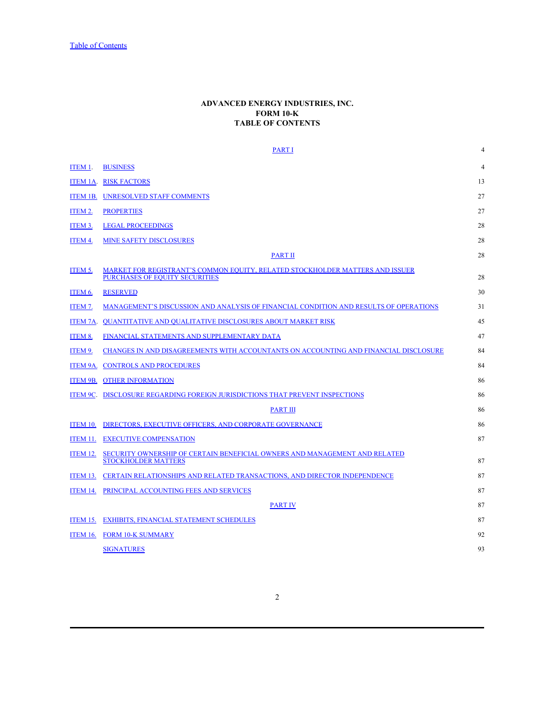# **ADVANCED ENERGY INDUSTRIES, INC. FORM 10-K TABLE OF CONTENTS**

<span id="page-1-0"></span>

|                     | <b>PARTI</b>                                                                                                           | $\overline{4}$ |
|---------------------|------------------------------------------------------------------------------------------------------------------------|----------------|
| ITEM 1.             | <b>BUSINESS</b>                                                                                                        | 4              |
|                     | <b>ITEM 1A. RISK FACTORS</b>                                                                                           | 13             |
|                     | ITEM 1B. UNRESOLVED STAFF COMMENTS                                                                                     | 27             |
| ITEM 2.             | <b>PROPERTIES</b>                                                                                                      | 27             |
| ITEM 3.             | <b>LEGAL PROCEEDINGS</b>                                                                                               | 28             |
| ITEM 4.             | <b>MINE SAFETY DISCLOSURES</b>                                                                                         | 28             |
|                     | <b>PART II</b>                                                                                                         | 28             |
| ITEM 5.             | MARKET FOR REGISTRANT'S COMMON EQUITY, RELATED STOCKHOLDER MATTERS AND ISSUER<br><b>PURCHASES OF EQUITY SECURITIES</b> | 28             |
| <b>ITEM 6.</b>      | <b>RESERVED</b>                                                                                                        | 30             |
| ITEM 7.             | MANAGEMENT'S DISCUSSION AND ANALYSIS OF FINANCIAL CONDITION AND RESULTS OF OPERATIONS                                  | 31             |
| ITEM 7A.            | <b>QUANTITATIVE AND QUALITATIVE DISCLOSURES ABOUT MARKET RISK</b>                                                      | 45             |
| ITEM 8.             | FINANCIAL STATEMENTS AND SUPPLEMENTARY DATA                                                                            | 47             |
| ITEM <sub>9</sub> . | CHANGES IN AND DISAGREEMENTS WITH ACCOUNTANTS ON ACCOUNTING AND FINANCIAL DISCLOSURE                                   | 84             |
| ITEM 9A.            | <b>CONTROLS AND PROCEDURES</b>                                                                                         | 84             |
| ITEM 9B.            | <b>OTHER INFORMATION</b>                                                                                               | 86             |
| ITEM 9C.            | DISCLOSURE REGARDING FOREIGN JURISDICTIONS THAT PREVENT INSPECTIONS                                                    | 86             |
|                     | <b>PART III</b>                                                                                                        | 86             |
| ITEM 10.            | DIRECTORS, EXECUTIVE OFFICERS, AND CORPORATE GOVERNANCE                                                                | 86             |
| <b>ITEM 11.</b>     | <b>EXECUTIVE COMPENSATION</b>                                                                                          | 87             |
| <b>ITEM 12.</b>     | SECURITY OWNERSHIP OF CERTAIN BENEFICIAL OWNERS AND MANAGEMENT AND RELATED<br><b>STOCKHOLDER MATTERS</b>               | 87             |
| <b>ITEM 13.</b>     | <b>CERTAIN RELATIONSHIPS AND RELATED TRANSACTIONS, AND DIRECTOR INDEPENDENCE</b>                                       | 87             |
| ITEM 14.            | PRINCIPAL ACCOUNTING FEES AND SERVICES                                                                                 | 87             |
|                     | <b>PART IV</b>                                                                                                         | 87             |
| ITEM 15.            | <b>EXHIBITS, FINANCIAL STATEMENT SCHEDULES</b>                                                                         | 87             |
| <b>ITEM 16.</b>     | <b>FORM 10-K SUMMARY</b>                                                                                               | 92             |
|                     | <b>SIGNATURES</b>                                                                                                      | 93             |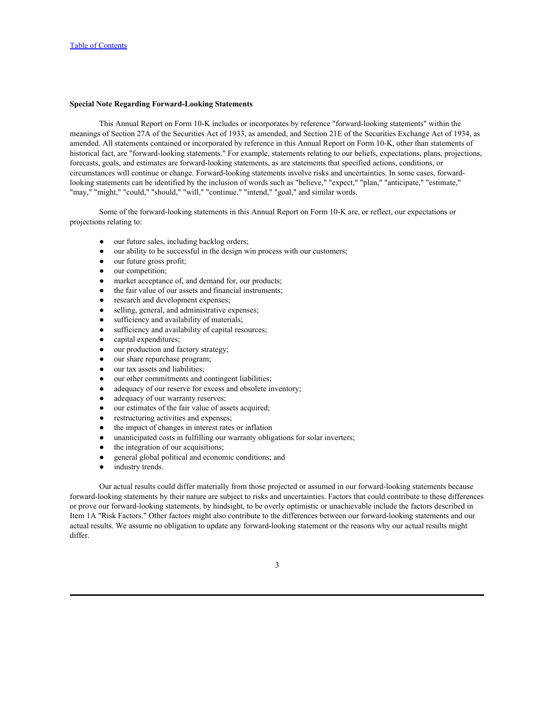#### **Special Note Regarding Forward-Looking Statements**

This Annual Report on Form 10-K includes or incorporates by reference "forward-looking statements" within the meanings of Section 27A of the Securities Act of 1933, as amended, and Section 21E of the Securities Exchange Act of 1934, as amended. All statements contained or incorporated by reference in this Annual Report on Form 10-K, other than statements of historical fact, are "forward-looking statements." For example, statements relating to our beliefs, expectations, plans, projections, forecasts, goals, and estimates are forward-looking statements, as are statements that specified actions, conditions, or circumstances will continue or change. Forward-looking statements involve risks and uncertainties. In some cases, forwardlooking statements can be identified by the inclusion of words such as "believe," "expect," "plan," "anticipate," "estimate," "may," "might," "could," "should," "will," "continue," "intend," "goal," and similar words.

Some of the forward-looking statements in this Annual Report on Form 10-K are, or reflect, our expectations or projections relating to:

- our future sales, including backlog orders;
- our ability to be successful in the design win process with our customers;
- our future gross profit;
- our competition;
- market acceptance of, and demand for, our products;
- the fair value of our assets and financial instruments;
- research and development expenses;
- selling, general, and administrative expenses;
- sufficiency and availability of materials;
- sufficiency and availability of capital resources;
- capital expenditures;
- our production and factory strategy;
- our share repurchase program;
- our tax assets and liabilities;
- our other commitments and contingent liabilities;
- adequacy of our reserve for excess and obsolete inventory;
- adequacy of our warranty reserves;
- our estimates of the fair value of assets acquired;
- restructuring activities and expenses;
- the impact of changes in interest rates or inflation
- unanticipated costs in fulfilling our warranty obligations for solar inverters;
- the integration of our acquisitions;
- general global political and economic conditions; and
- industry trends.

Our actual results could differ materially from those projected or assumed in our forward-looking statements because forward-looking statements by their nature are subject to risks and uncertainties. Factors that could contribute to these differences or prove our forward-looking statements, by hindsight, to be overly optimistic or unachievable include the factors described in Item 1A "Risk Factors." Other factors might also contribute to the differences between our forward-looking statements and our actual results. We assume no obligation to update any forward-looking statement or the reasons why our actual results might differ.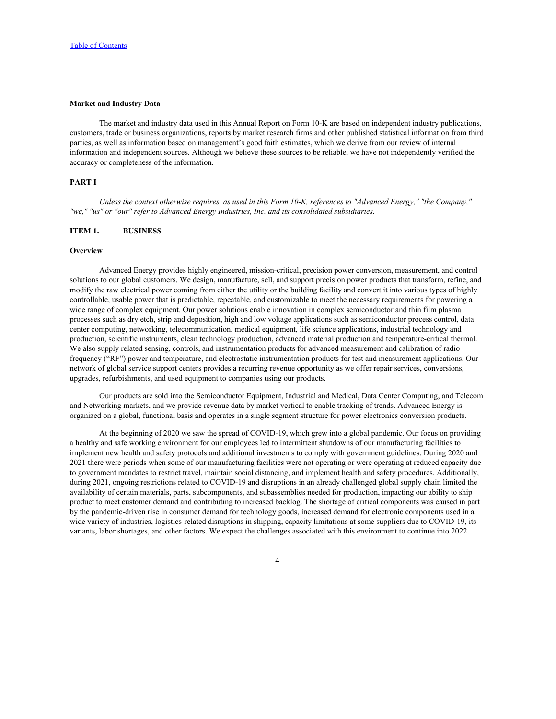## **Market and Industry Data**

The market and industry data used in this Annual Report on Form 10-K are based on independent industry publications, customers, trade or business organizations, reports by market research firms and other published statistical information from third parties, as well as information based on management's good faith estimates, which we derive from our review of internal information and independent sources. Although we believe these sources to be reliable, we have not independently verified the accuracy or completeness of the information.

## <span id="page-3-0"></span>**PART I**

*Unless the context otherwise requires, as used in this Form 10-K, references to "Advanced Energy," "the Company," "we," "us" or "our" refer to Advanced Energy Industries, Inc. and its consolidated subsidiaries.*

# <span id="page-3-1"></span>**ITEM 1. BUSINESS**

#### **Overview Overview** *COVERS <b>COVERS*

Advanced Energy provides highly engineered, mission-critical, precision power conversion, measurement, and control solutions to our global customers. We design, manufacture, sell, and support precision power products that transform, refine, and modify the raw electrical power coming from either the utility or the building facility and convert it into various types of highly controllable, usable power that is predictable, repeatable, and customizable to meet the necessary requirements for powering a wide range of complex equipment. Our power solutions enable innovation in complex semiconductor and thin film plasma processes such as dry etch, strip and deposition, high and low voltage applications such as semiconductor process control, data center computing, networking, telecommunication, medical equipment, life science applications, industrial technology and production, scientific instruments, clean technology production, advanced material production and temperature-critical thermal. We also supply related sensing, controls, and instrumentation products for advanced measurement and calibration of radio frequency ("RF") power and temperature, and electrostatic instrumentation products for test and measurement applications. Our network of global service support centers provides a recurring revenue opportunity as we offer repair services, conversions, upgrades, refurbishments, and used equipment to companies using our products.

Our products are sold into the Semiconductor Equipment, Industrial and Medical, Data Center Computing, and Telecom and Networking markets, and we provide revenue data by market vertical to enable tracking of trends. Advanced Energy is organized on a global, functional basis and operates in a single segment structure for power electronics conversion products.

At the beginning of 2020 we saw the spread of COVID-19, which grew into a global pandemic. Our focus on providing a healthy and safe working environment for our employees led to intermittent shutdowns of our manufacturing facilities to implement new health and safety protocols and additional investments to comply with government guidelines. During 2020 and 2021 there were periods when some of our manufacturing facilities were not operating or were operating at reduced capacity due to government mandates to restrict travel, maintain social distancing, and implement health and safety procedures. Additionally, during 2021, ongoing restrictions related to COVID-19 and disruptions in an already challenged global supply chain limited the availability of certain materials, parts, subcomponents, and subassemblies needed for production, impacting our ability to ship product to meet customer demand and contributing to increased backlog. The shortage of critical components was caused in part by the pandemic-driven rise in consumer demand for technology goods, increased demand for electronic components used in a wide variety of industries, logistics-related disruptions in shipping, capacity limitations at some suppliers due to COVID-19, its variants, labor shortages, and other factors. We expect the challenges associated with this environment to continue into 2022.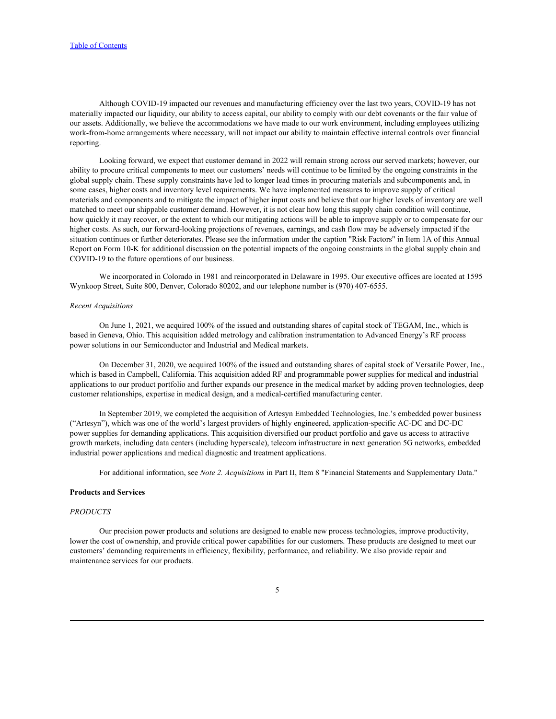Although COVID-19 impacted our revenues and manufacturing efficiency over the last two years, COVID-19 has not materially impacted our liquidity, our ability to access capital, our ability to comply with our debt covenants or the fair value of our assets. Additionally, we believe the accommodations we have made to our work environment, including employees utilizing work-from-home arrangements where necessary, will not impact our ability to maintain effective internal controls over financial reporting.

Looking forward, we expect that customer demand in 2022 will remain strong across our served markets; however, our ability to procure critical components to meet our customers' needs will continue to be limited by the ongoing constraints in the global supply chain. These supply constraints have led to longer lead times in procuring materials and subcomponents and, in some cases, higher costs and inventory level requirements. We have implemented measures to improve supply of critical materials and components and to mitigate the impact of higher input costs and believe that our higher levels of inventory are well matched to meet our shippable customer demand. However, it is not clear how long this supply chain condition will continue, how quickly it may recover, or the extent to which our mitigating actions will be able to improve supply or to compensate for our higher costs. As such, our forward-looking projections of revenues, earnings, and cash flow may be adversely impacted if the situation continues or further deteriorates. Please see the information under the caption "Risk Factors" in Item 1A of this Annual Report on Form 10-K for additional discussion on the potential impacts of the ongoing constraints in the global supply chain and COVID-19 to the future operations of our business.

We incorporated in Colorado in 1981 and reincorporated in Delaware in 1995. Our executive offices are located at 1595 Wynkoop Street, Suite 800, Denver, Colorado 80202, and our telephone number is (970) 407-6555.

## *Recent Acquisitions*

On June 1, 2021, we acquired 100% of the issued and outstanding shares of capital stock of TEGAM, Inc., which is based in Geneva, Ohio. This acquisition added metrology and calibration instrumentation to Advanced Energy's RF process power solutions in our Semiconductor and Industrial and Medical markets.

On December 31, 2020, we acquired 100% of the issued and outstanding shares of capital stock of Versatile Power, Inc., which is based in Campbell, California. This acquisition added RF and programmable power supplies for medical and industrial applications to our product portfolio and further expands our presence in the medical market by adding proven technologies, deep customer relationships, expertise in medical design, and a medical-certified manufacturing center.

In September 2019, we completed the acquisition of Artesyn Embedded Technologies, Inc.'s embedded power business ("Artesyn"), which was one of the world's largest providers of highly engineered, application-specific AC-DC and DC-DC power supplies for demanding applications. This acquisition diversified our product portfolio and gave us access to attractive growth markets, including data centers (including hyperscale), telecom infrastructure in next generation 5G networks, embedded industrial power applications and medical diagnostic and treatment applications.

For additional information, see *Note 2. Acquisitions* in Part II, Item 8 "Financial Statements and Supplementary Data."

#### **Products and Services**

## *PRODUCTS*

Our precision power products and solutions are designed to enable new process technologies, improve productivity, lower the cost of ownership, and provide critical power capabilities for our customers. These products are designed to meet our customers' demanding requirements in efficiency, flexibility, performance, and reliability. We also provide repair and maintenance services for our products.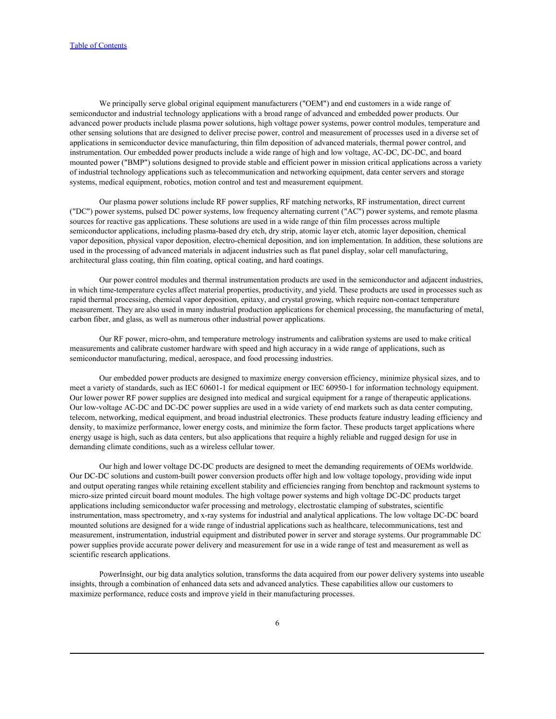We principally serve global original equipment manufacturers ("OEM") and end customers in a wide range of semiconductor and industrial technology applications with a broad range of advanced and embedded power products. Our advanced power products include plasma power solutions, high voltage power systems, power control modules, temperature and other sensing solutions that are designed to deliver precise power, control and measurement of processes used in a diverse set of applications in semiconductor device manufacturing, thin film deposition of advanced materials, thermal power control, and instrumentation. Our embedded power products include a wide range of high and low voltage, AC-DC, DC-DC, and board mounted power ("BMP") solutions designed to provide stable and efficient power in mission critical applications across a variety of industrial technology applications such as telecommunication and networking equipment, data center servers and storage systems, medical equipment, robotics, motion control and test and measurement equipment.

Our plasma power solutions include RF power supplies, RF matching networks, RF instrumentation, direct current ("DC") power systems, pulsed DC power systems, low frequency alternating current ("AC") power systems, and remote plasma sources for reactive gas applications. These solutions are used in a wide range of thin film processes across multiple semiconductor applications, including plasma-based dry etch, dry strip, atomic layer etch, atomic layer deposition, chemical vapor deposition, physical vapor deposition, electro-chemical deposition, and ion implementation. In addition, these solutions are used in the processing of advanced materials in adjacent industries such as flat panel display, solar cell manufacturing, architectural glass coating, thin film coating, optical coating, and hard coatings.

Our power control modules and thermal instrumentation products are used in the semiconductor and adjacent industries, in which time-temperature cycles affect material properties, productivity, and yield. These products are used in processes such as rapid thermal processing, chemical vapor deposition, epitaxy, and crystal growing, which require non-contact temperature measurement. They are also used in many industrial production applications for chemical processing, the manufacturing of metal, carbon fiber, and glass, as well as numerous other industrial power applications.

Our RF power, micro-ohm, and temperature metrology instruments and calibration systems are used to make critical measurements and calibrate customer hardware with speed and high accuracy in a wide range of applications, such as semiconductor manufacturing, medical, aerospace, and food processing industries.

Our embedded power products are designed to maximize energy conversion efficiency, minimize physical sizes, and to meet a variety of standards, such as IEC 60601-1 for medical equipment or IEC 60950-1 for information technology equipment. Our lower power RF power supplies are designed into medical and surgical equipment for a range of therapeutic applications. Our low-voltage AC-DC and DC-DC power supplies are used in a wide variety of end markets such as data center computing, telecom, networking, medical equipment, and broad industrial electronics. These products feature industry leading efficiency and density, to maximize performance, lower energy costs, and minimize the form factor. These products target applications where energy usage is high, such as data centers, but also applications that require a highly reliable and rugged design for use in demanding climate conditions, such as a wireless cellular tower.

Our high and lower voltage DC-DC products are designed to meet the demanding requirements of OEMs worldwide. Our DC-DC solutions and custom-built power conversion products offer high and low voltage topology, providing wide input and output operating ranges while retaining excellent stability and efficiencies ranging from benchtop and rackmount systems to micro-size printed circuit board mount modules. The high voltage power systems and high voltage DC-DC products target applications including semiconductor wafer processing and metrology, electrostatic clamping of substrates, scientific instrumentation, mass spectrometry, and x-ray systems for industrial and analytical applications. The low voltage DC-DC board mounted solutions are designed for a wide range of industrial applications such as healthcare, telecommunications, test and measurement, instrumentation, industrial equipment and distributed power in server and storage systems. Our programmable DC power supplies provide accurate power delivery and measurement for use in a wide range of test and measurement as well as scientific research applications.

PowerInsight, our big data analytics solution, transforms the data acquired from our power delivery systems into useable insights, through a combination of enhanced data sets and advanced analytics. These capabilities allow our customers to maximize performance, reduce costs and improve yield in their manufacturing processes.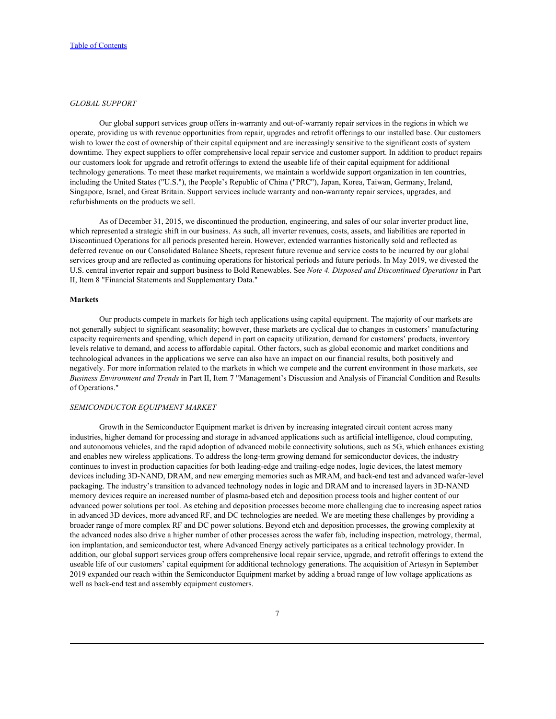## *GLOBAL SUPPORT*

Our global support services group offers in-warranty and out-of-warranty repair services in the regions in which we operate, providing us with revenue opportunities from repair, upgrades and retrofit offerings to our installed base. Our customers wish to lower the cost of ownership of their capital equipment and are increasingly sensitive to the significant costs of system downtime. They expect suppliers to offer comprehensive local repair service and customer support. In addition to product repairs our customers look for upgrade and retrofit offerings to extend the useable life of their capital equipment for additional technology generations. To meet these market requirements, we maintain a worldwide support organization in ten countries, including the United States ("U.S."), the People's Republic of China ("PRC"), Japan, Korea, Taiwan, Germany, Ireland, Singapore, Israel, and Great Britain. Support services include warranty and non-warranty repair services, upgrades, and refurbishments on the products we sell.

As of December 31, 2015, we discontinued the production, engineering, and sales of our solar inverter product line, which represented a strategic shift in our business. As such, all inverter revenues, costs, assets, and liabilities are reported in Discontinued Operations for all periods presented herein. However, extended warranties historically sold and reflected as deferred revenue on our Consolidated Balance Sheets, represent future revenue and service costs to be incurred by our global services group and are reflected as continuing operations for historical periods and future periods. In May 2019, we divested the U.S. central inverter repair and support business to Bold Renewables. See *Note 4. Disposed and Discontinued Operations* in Part II, Item 8 "Financial Statements and Supplementary Data."

# **Markets**

Our products compete in markets for high tech applications using capital equipment. The majority of our markets are not generally subject to significant seasonality; however, these markets are cyclical due to changes in customers' manufacturing capacity requirements and spending, which depend in part on capacity utilization, demand for customers' products, inventory levels relative to demand, and access to affordable capital. Other factors, such as global economic and market conditions and technological advances in the applications we serve can also have an impact on our financial results, both positively and negatively. For more information related to the markets in which we compete and the current environment in those markets, see *Business Environment and Trends* in Part II, Item 7 "Management's Discussion and Analysis of Financial Condition and Results of Operations."

## *SEMICONDUCTOR EQUIPMENT MARKET*

Growth in the Semiconductor Equipment market is driven by increasing integrated circuit content across many industries, higher demand for processing and storage in advanced applications such as artificial intelligence, cloud computing, and autonomous vehicles, and the rapid adoption of advanced mobile connectivity solutions, such as 5G, which enhances existing and enables new wireless applications. To address the long-term growing demand for semiconductor devices, the industry continues to invest in production capacities for both leading-edge and trailing-edge nodes, logic devices, the latest memory devices including 3D-NAND, DRAM, and new emerging memories such as MRAM, and back-end test and advanced wafer-level packaging. The industry's transition to advanced technology nodes in logic and DRAM and to increased layers in 3D-NAND memory devices require an increased number of plasma-based etch and deposition process tools and higher content of our advanced power solutions per tool. As etching and deposition processes become more challenging due to increasing aspect ratios in advanced 3D devices, more advanced RF, and DC technologies are needed. We are meeting these challenges by providing a broader range of more complex RF and DC power solutions. Beyond etch and deposition processes, the growing complexity at the advanced nodes also drive a higher number of other processes across the wafer fab, including inspection, metrology, thermal, ion implantation, and semiconductor test, where Advanced Energy actively participates as a critical technology provider. In addition, our global support services group offers comprehensive local repair service, upgrade, and retrofit offerings to extend the useable life of our customers' capital equipment for additional technology generations. The acquisition of Artesyn in September 2019 expanded our reach within the Semiconductor Equipment market by adding a broad range of low voltage applications as well as back-end test and assembly equipment customers.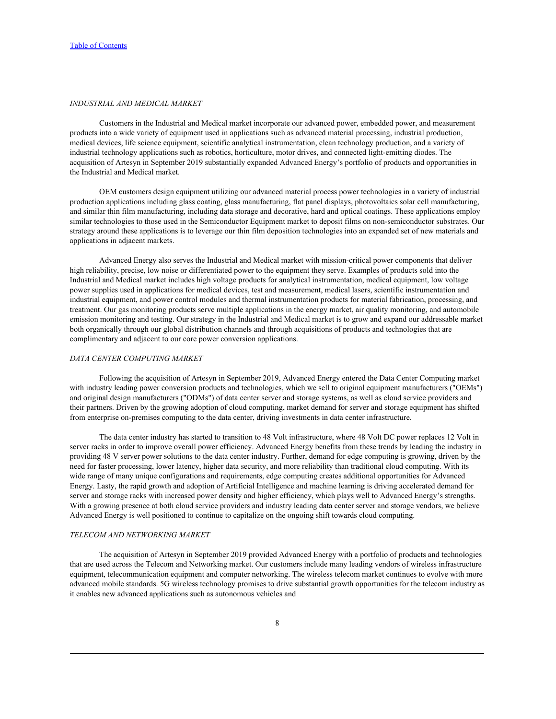# *INDUSTRIAL AND MEDICAL MARKET*

Customers in the Industrial and Medical market incorporate our advanced power, embedded power, and measurement products into a wide variety of equipment used in applications such as advanced material processing, industrial production, medical devices, life science equipment, scientific analytical instrumentation, clean technology production, and a variety of industrial technology applications such as robotics, horticulture, motor drives, and connected light-emitting diodes. The acquisition of Artesyn in September 2019 substantially expanded Advanced Energy's portfolio of products and opportunities in the Industrial and Medical market.

OEM customers design equipment utilizing our advanced material process power technologies in a variety of industrial production applications including glass coating, glass manufacturing, flat panel displays, photovoltaics solar cell manufacturing, and similar thin film manufacturing, including data storage and decorative, hard and optical coatings. These applications employ similar technologies to those used in the Semiconductor Equipment market to deposit films on non-semiconductor substrates. Our strategy around these applications is to leverage our thin film deposition technologies into an expanded set of new materials and applications in adjacent markets.

Advanced Energy also serves the Industrial and Medical market with mission-critical power components that deliver high reliability, precise, low noise or differentiated power to the equipment they serve. Examples of products sold into the Industrial and Medical market includes high voltage products for analytical instrumentation, medical equipment, low voltage power supplies used in applications for medical devices, test and measurement, medical lasers, scientific instrumentation and industrial equipment, and power control modules and thermal instrumentation products for material fabrication, processing, and treatment. Our gas monitoring products serve multiple applications in the energy market, air quality monitoring, and automobile emission monitoring and testing. Our strategy in the Industrial and Medical market is to grow and expand our addressable market both organically through our global distribution channels and through acquisitions of products and technologies that are complimentary and adjacent to our core power conversion applications.

# *DATA CENTER COMPUTING MARKET*

Following the acquisition of Artesyn in September 2019, Advanced Energy entered the Data Center Computing market with industry leading power conversion products and technologies, which we sell to original equipment manufacturers ("OEMs") and original design manufacturers ("ODMs") of data center server and storage systems, as well as cloud service providers and their partners. Driven by the growing adoption of cloud computing, market demand for server and storage equipment has shifted from enterprise on-premises computing to the data center, driving investments in data center infrastructure.

The data center industry has started to transition to 48 Volt infrastructure, where 48 Volt DC power replaces 12 Volt in server racks in order to improve overall power efficiency. Advanced Energy benefits from these trends by leading the industry in providing 48 V server power solutions to the data center industry. Further, demand for edge computing is growing, driven by the need for faster processing, lower latency, higher data security, and more reliability than traditional cloud computing. With its wide range of many unique configurations and requirements, edge computing creates additional opportunities for Advanced Energy. Lasty, the rapid growth and adoption of Artificial Intelligence and machine learning is driving accelerated demand for server and storage racks with increased power density and higher efficiency, which plays well to Advanced Energy's strengths. With a growing presence at both cloud service providers and industry leading data center server and storage vendors, we believe Advanced Energy is well positioned to continue to capitalize on the ongoing shift towards cloud computing.

# *TELECOM AND NETWORKING MARKET*

The acquisition of Artesyn in September 2019 provided Advanced Energy with a portfolio of products and technologies that are used across the Telecom and Networking market. Our customers include many leading vendors of wireless infrastructure equipment, telecommunication equipment and computer networking. The wireless telecom market continues to evolve with more advanced mobile standards. 5G wireless technology promises to drive substantial growth opportunities for the telecom industry as it enables new advanced applications such as autonomous vehicles and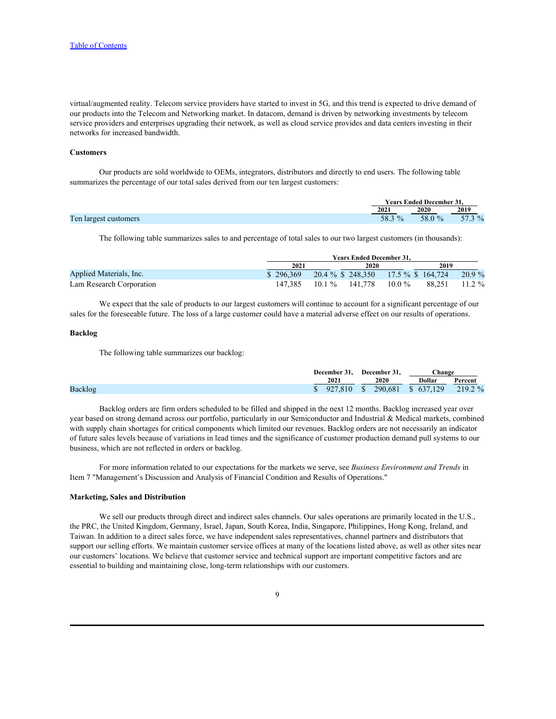virtual/augmented reality. Telecom service providers have started to invest in 5G, and this trend is expected to drive demand of our products into the Telecom and Networking market. In datacom, demand is driven by networking investments by telecom service providers and enterprises upgrading their network, as well as cloud service provides and data centers investing in their networks for increased bandwidth.

## **Customers**

Our products are sold worldwide to OEMs, integrators, distributors and directly to end users. The following table summarizes the percentage of our total sales derived from our ten largest customers:

|                       | Y ear                                            | <b>Ended December 31.</b> |              |
|-----------------------|--------------------------------------------------|---------------------------|--------------|
|                       | 2021                                             | 2020                      | 2019         |
| Ten largest customers | $\sim$ $\sim$ $\sim$<br>۰х<br>$\sqrt{0}$<br>JU.J | $\Omega$ $\Omega$<br>0.oc | $- - -$<br>. |

The following table summarizes sales to and percentage of total sales to our two largest customers (in thousands):

|                          |         | Years Ended December 31. |           |         |           |  |  |  |  |  |
|--------------------------|---------|--------------------------|-----------|---------|-----------|--|--|--|--|--|
|                          | 2021    |                          | 2020      | 2019    |           |  |  |  |  |  |
| Applied Materials, Inc.  | 296,369 | 248,350<br>$20.4 \%$ \$  | $17.5 \%$ | 164,724 | 20.9 %    |  |  |  |  |  |
| Lam Research Corporation | 47,385  | $10.1 \%$<br>141,778     | $10.0 \%$ | 88,251  | 11 $20/2$ |  |  |  |  |  |

We expect that the sale of products to our largest customers will continue to account for a significant percentage of our sales for the foreseeable future. The loss of a large customer could have a material adverse effect on our results of operations.

## **Backlog**

The following table summarizes our backlog:

|                | December 31, | December 31, | hange:                        |         |  |  |
|----------------|--------------|--------------|-------------------------------|---------|--|--|
|                | 2021         | 2020         | <b>Dollar</b>                 | Percent |  |  |
| <b>Backlog</b> | 927,810      | 290.681      | 7,129<br>$\sim$ $\sim$<br>03/ | 219.2 % |  |  |

Backlog orders are firm orders scheduled to be filled and shipped in the next 12 months. Backlog increased year over year based on strong demand across our portfolio, particularly in our Semiconductor and Industrial & Medical markets, combined with supply chain shortages for critical components which limited our revenues. Backlog orders are not necessarily an indicator of future sales levels because of variations in lead times and the significance of customer production demand pull systems to our business, which are not reflected in orders or backlog.

For more information related to our expectations for the markets we serve, see *Business Environment and Trends* in Item 7 "Management's Discussion and Analysis of Financial Condition and Results of Operations."

## **Marketing, Sales and Distribution**

We sell our products through direct and indirect sales channels. Our sales operations are primarily located in the U.S., the PRC, the United Kingdom, Germany, Israel, Japan, South Korea, India, Singapore, Philippines, Hong Kong, Ireland, and Taiwan. In addition to a direct sales force, we have independent sales representatives, channel partners and distributors that support our selling efforts. We maintain customer service offices at many of the locations listed above, as well as other sites near our customers' locations. We believe that customer service and technical support are important competitive factors and are essential to building and maintaining close, long-term relationships with our customers.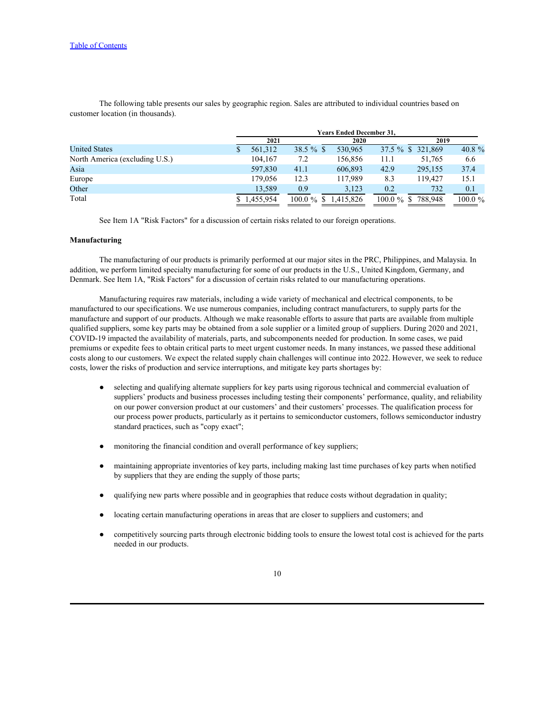The following table presents our sales by geographic region. Sales are attributed to individual countries based on customer location (in thousands).

| 2021<br>2019<br>2020<br><b>United States</b><br>40.8 %<br>$38.5 \%$ \$<br>530,965<br>37.5 % \$ 321,869<br>561,312 |
|-------------------------------------------------------------------------------------------------------------------|
|                                                                                                                   |
|                                                                                                                   |
| 104,167<br>North America (excluding U.S.)<br>156,856<br>7.2<br>51,765<br>6.6                                      |
| Asia<br>597,830<br>37.4<br>295,155<br>41.1<br>606,893<br>42.9                                                     |
| Europe<br>179,056<br>12.3<br>117,989<br>119,427<br>15.1<br>8.3                                                    |
| Other<br>13,589<br>0.9<br>3,123<br>0.1<br>732<br>0.2                                                              |
| Total<br>$100.0\%$ \$ 1,415,826<br>$100.0\%$ \$ 788,948<br>1,455,954<br>$100.0 \%$                                |

See Item 1A "Risk Factors" for a discussion of certain risks related to our foreign operations.

# **Manufacturing**

The manufacturing of our products is primarily performed at our major sites in the PRC, Philippines, and Malaysia. In addition, we perform limited specialty manufacturing for some of our products in the U.S., United Kingdom, Germany, and Denmark. See Item 1A, "Risk Factors" for a discussion of certain risks related to our manufacturing operations.

Manufacturing requires raw materials, including a wide variety of mechanical and electrical components, to be manufactured to our specifications. We use numerous companies, including contract manufacturers, to supply parts for the manufacture and support of our products. Although we make reasonable efforts to assure that parts are available from multiple qualified suppliers, some key parts may be obtained from a sole supplier or a limited group of suppliers. During 2020 and 2021, COVID-19 impacted the availability of materials, parts, and subcomponents needed for production. In some cases, we paid premiums or expedite fees to obtain critical parts to meet urgent customer needs. In many instances, we passed these additional costs along to our customers. We expect the related supply chain challenges will continue into 2022. However, we seek to reduce costs, lower the risks of production and service interruptions, and mitigate key parts shortages by:

- selecting and qualifying alternate suppliers for key parts using rigorous technical and commercial evaluation of suppliers' products and business processes including testing their components' performance, quality, and reliability on our power conversion product at our customers' and their customers' processes. The qualification process for our process power products, particularly as it pertains to semiconductor customers, follows semiconductor industry standard practices, such as "copy exact";
- monitoring the financial condition and overall performance of key suppliers;
- maintaining appropriate inventories of key parts, including making last time purchases of key parts when notified by suppliers that they are ending the supply of those parts;
- qualifying new parts where possible and in geographies that reduce costs without degradation in quality;
- locating certain manufacturing operations in areas that are closer to suppliers and customers; and
- competitively sourcing parts through electronic bidding tools to ensure the lowest total cost is achieved for the parts needed in our products.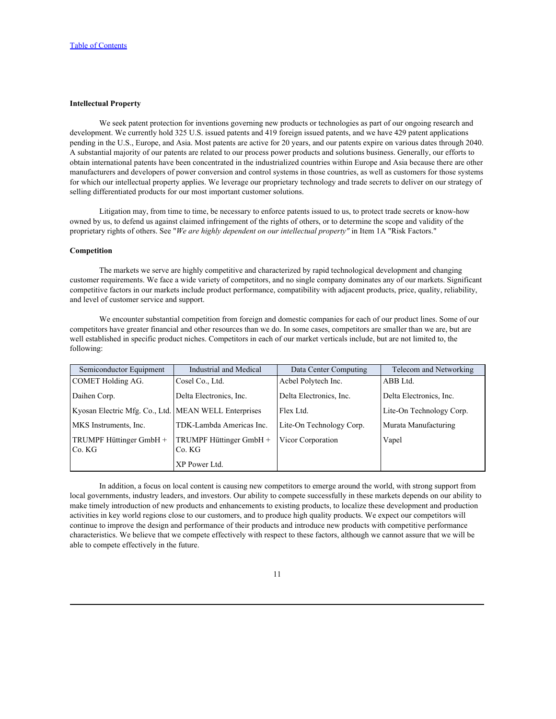## **Intellectual Property**

We seek patent protection for inventions governing new products or technologies as part of our ongoing research and development. We currently hold 325 U.S. issued patents and 419 foreign issued patents, and we have 429 patent applications pending in the U.S., Europe, and Asia. Most patents are active for 20 years, and our patents expire on various dates through 2040. A substantial majority of our patents are related to our process power products and solutions business. Generally, our efforts to obtain international patents have been concentrated in the industrialized countries within Europe and Asia because there are other manufacturers and developers of power conversion and control systems in those countries, as well as customers for those systems for which our intellectual property applies. We leverage our proprietary technology and trade secrets to deliver on our strategy of selling differentiated products for our most important customer solutions.

Litigation may, from time to time, be necessary to enforce patents issued to us, to protect trade secrets or know-how owned by us, to defend us against claimed infringement of the rights of others, or to determine the scope and validity of the proprietary rights of others. See "*We are highly dependent on our intellectual property"* in Item 1A "Risk Factors."

#### **Competition**

The markets we serve are highly competitive and characterized by rapid technological development and changing customer requirements. We face a wide variety of competitors, and no single company dominates any of our markets. Significant competitive factors in our markets include product performance, compatibility with adjacent products, price, quality, reliability, and level of customer service and support.

We encounter substantial competition from foreign and domestic companies for each of our product lines. Some of our competitors have greater financial and other resources than we do. In some cases, competitors are smaller than we are, but are well established in specific product niches. Competitors in each of our market verticals include, but are not limited to, the following:

| Semiconductor Equipment                              | Industrial and Medical            | Data Center Computing    | Telecom and Networking   |
|------------------------------------------------------|-----------------------------------|--------------------------|--------------------------|
| COMET Holding AG.                                    | Cosel Co., Ltd.                   | Acbel Polytech Inc.      | ABB Ltd.                 |
| Daihen Corp.                                         | Delta Electronics, Inc.           | Delta Electronics, Inc.  | Delta Electronics, Inc.  |
| Kyosan Electric Mfg. Co., Ltd. MEAN WELL Enterprises |                                   | Flex Ltd.                | Lite-On Technology Corp. |
| MKS Instruments, Inc.                                | TDK-Lambda Americas Inc.          | Lite-On Technology Corp. | Murata Manufacturing     |
| TRUMPF Hüttinger GmbH +<br>Co. KG                    | TRUMPF Hüttinger GmbH +<br>Co. KG | Vicor Corporation        | Vapel                    |
|                                                      | XP Power Ltd.                     |                          |                          |

In addition, a focus on local content is causing new competitors to emerge around the world, with strong support from local governments, industry leaders, and investors. Our ability to compete successfully in these markets depends on our ability to make timely introduction of new products and enhancements to existing products, to localize these development and production activities in key world regions close to our customers, and to produce high quality products. We expect our competitors will continue to improve the design and performance of their products and introduce new products with competitive performance characteristics. We believe that we compete effectively with respect to these factors, although we cannot assure that we will be able to compete effectively in the future.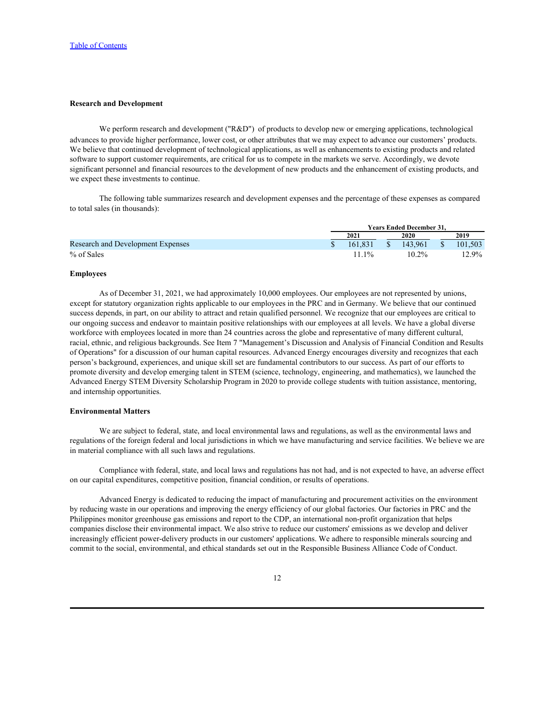# **Research and Development**

We perform research and development ("R&D") of products to develop new or emerging applications, technological advances to provide higher performance, lower cost, or other attributes that we may expect to advance our customers' products. We believe that continued development of technological applications, as well as enhancements to existing products and related software to support customer requirements, are critical for us to compete in the markets we serve. Accordingly, we devote significant personnel and financial resources to the development of new products and the enhancement of existing products, and we expect these investments to continue.

The following table summarizes research and development expenses and the percentage of these expenses as compared to total sales (in thousands):

|                                   |          | <b>Years Ended December 31.</b> |         |
|-----------------------------------|----------|---------------------------------|---------|
|                                   | 2021     | 2020                            | 2019    |
| Research and Development Expenses | 161,831  | 143,961                         | 101,503 |
| % of Sales                        | $.1.1\%$ | $10.2\%$                        | 12.9%   |

## **Employees**

As of December 31, 2021, we had approximately 10,000 employees. Our employees are not represented by unions, except for statutory organization rights applicable to our employees in the PRC and in Germany. We believe that our continued success depends, in part, on our ability to attract and retain qualified personnel. We recognize that our employees are critical to our ongoing success and endeavor to maintain positive relationships with our employees at all levels. We have a global diverse workforce with employees located in more than 24 countries across the globe and representative of many different cultural, racial, ethnic, and religious backgrounds. See Item 7 "Management's Discussion and Analysis of Financial Condition and Results of Operations" for a discussion of our human capital resources. Advanced Energy encourages diversity and recognizes that each person's background, experiences, and unique skill set are fundamental contributors to our success. As part of our efforts to promote diversity and develop emerging talent in STEM (science, technology, engineering, and mathematics), we launched the Advanced Energy STEM Diversity Scholarship Program in 2020 to provide college students with tuition assistance, mentoring, and internship opportunities.

#### **Environmental Matters**

We are subject to federal, state, and local environmental laws and regulations, as well as the environmental laws and regulations of the foreign federal and local jurisdictions in which we have manufacturing and service facilities. We believe we are in material compliance with all such laws and regulations.

Compliance with federal, state, and local laws and regulations has not had, and is not expected to have, an adverse effect on our capital expenditures, competitive position, financial condition, or results of operations.

Advanced Energy is dedicated to reducing the impact of manufacturing and procurement activities on the environment by reducing waste in our operations and improving the energy efficiency of our global factories. Our factories in PRC and the Philippines monitor greenhouse gas emissions and report to the CDP, an international non-profit organization that helps companies disclose their environmental impact. We also strive to reduce our customers' emissions as we develop and deliver increasingly efficient power-delivery products in our customers' applications. We adhere to responsible minerals sourcing and commit to the social, environmental, and ethical standards set out in the Responsible Business Alliance Code of Conduct.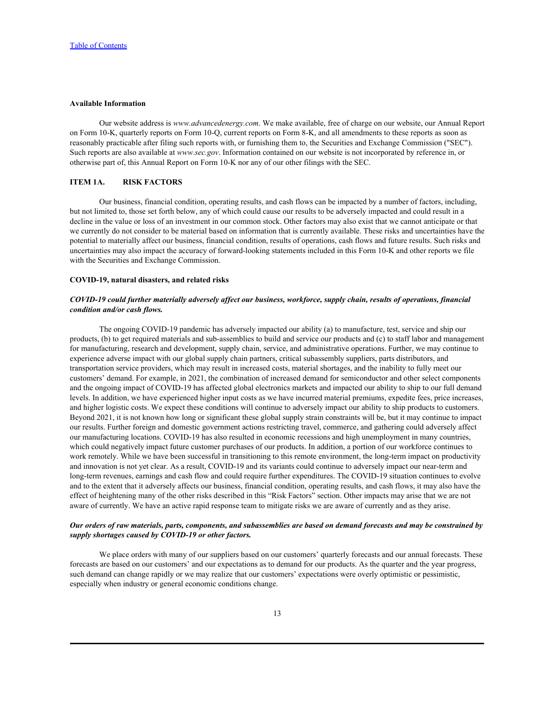## **Available Information**

Our website address is *www.advancedenergy.com*. We make available, free of charge on our website, our Annual Report on Form 10-K, quarterly reports on Form 10-Q, current reports on Form 8-K, and all amendments to these reports as soon as reasonably practicable after filing such reports with, or furnishing them to, the Securities and Exchange Commission ("SEC"). Such reports are also available at *www.sec.gov*. Information contained on our website is not incorporated by reference in, or otherwise part of, this Annual Report on Form 10-K nor any of our other filings with the SEC.

## <span id="page-12-0"></span>**ITEM 1A. RISK FACTORS**

Our business, financial condition, operating results, and cash flows can be impacted by a number of factors, including, but not limited to, those set forth below, any of which could cause our results to be adversely impacted and could result in a decline in the value or loss of an investment in our common stock. Other factors may also exist that we cannot anticipate or that we currently do not consider to be material based on information that is currently available. These risks and uncertainties have the potential to materially affect our business, financial condition, results of operations, cash flows and future results. Such risks and uncertainties may also impact the accuracy of forward-looking statements included in this Form 10-K and other reports we file with the Securities and Exchange Commission.

### **COVID-19, natural disasters, and related risks**

# *COVID-19 could further materially adversely affect our business, workforce, supply chain, results of operations, financial condition and/or cash flows.*

The ongoing COVID-19 pandemic has adversely impacted our ability (a) to manufacture, test, service and ship our products, (b) to get required materials and sub-assemblies to build and service our products and (c) to staff labor and management for manufacturing, research and development, supply chain, service, and administrative operations. Further, we may continue to experience adverse impact with our global supply chain partners, critical subassembly suppliers, parts distributors, and transportation service providers, which may result in increased costs, material shortages, and the inability to fully meet our customers' demand. For example, in 2021, the combination of increased demand for semiconductor and other select components and the ongoing impact of COVID-19 has affected global electronics markets and impacted our ability to ship to our full demand levels. In addition, we have experienced higher input costs as we have incurred material premiums, expedite fees, price increases, and higher logistic costs. We expect these conditions will continue to adversely impact our ability to ship products to customers. Beyond 2021, it is not known how long or significant these global supply strain constraints will be, but it may continue to impact our results. Further foreign and domestic government actions restricting travel, commerce, and gathering could adversely affect our manufacturing locations. COVID-19 has also resulted in economic recessions and high unemployment in many countries, which could negatively impact future customer purchases of our products. In addition, a portion of our workforce continues to work remotely. While we have been successful in transitioning to this remote environment, the long-term impact on productivity and innovation is not yet clear. As a result, COVID-19 and its variants could continue to adversely impact our near-term and long-term revenues, earnings and cash flow and could require further expenditures. The COVID-19 situation continues to evolve and to the extent that it adversely affects our business, financial condition, operating results, and cash flows, it may also have the effect of heightening many of the other risks described in this "Risk Factors" section. Other impacts may arise that we are not aware of currently. We have an active rapid response team to mitigate risks we are aware of currently and as they arise.

# *Our orders of raw materials, parts, components, and subassemblies are based on demand forecasts and may be constrained by supply shortages caused by COVID-19 or other factors.*

We place orders with many of our suppliers based on our customers' quarterly forecasts and our annual forecasts. These forecasts are based on our customers' and our expectations as to demand for our products. As the quarter and the year progress, such demand can change rapidly or we may realize that our customers' expectations were overly optimistic or pessimistic, especially when industry or general economic conditions change.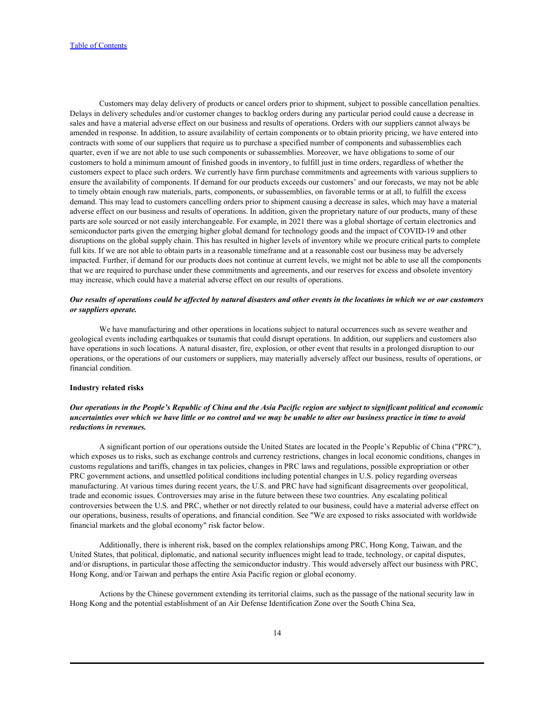Customers may delay delivery of products or cancel orders prior to shipment, subject to possible cancellation penalties. Delays in delivery schedules and/or customer changes to backlog orders during any particular period could cause a decrease in sales and have a material adverse effect on our business and results of operations. Orders with our suppliers cannot always be amended in response. In addition, to assure availability of certain components or to obtain priority pricing, we have entered into contracts with some of our suppliers that require us to purchase a specified number of components and subassemblies each quarter, even if we are not able to use such components or subassemblies. Moreover, we have obligations to some of our customers to hold a minimum amount of finished goods in inventory, to fulfill just in time orders, regardless of whether the customers expect to place such orders. We currently have firm purchase commitments and agreements with various suppliers to ensure the availability of components. If demand for our products exceeds our customers' and our forecasts, we may not be able to timely obtain enough raw materials, parts, components, or subassemblies, on favorable terms or at all, to fulfill the excess demand. This may lead to customers cancelling orders prior to shipment causing a decrease in sales, which may have a material adverse effect on our business and results of operations. In addition, given the proprietary nature of our products, many of these parts are sole sourced or not easily interchangeable. For example, in 2021 there was a global shortage of certain electronics and semiconductor parts given the emerging higher global demand for technology goods and the impact of COVID-19 and other disruptions on the global supply chain. This has resulted in higher levels of inventory while we procure critical parts to complete full kits. If we are not able to obtain parts in a reasonable timeframe and at a reasonable cost our business may be adversely impacted. Further, if demand for our products does not continue at current levels, we might not be able to use all the components that we are required to purchase under these commitments and agreements, and our reserves for excess and obsolete inventory may increase, which could have a material adverse effect on our results of operations.

# *Our results of operations could be affected by natural disasters and other events in the locations in which we or our customers or suppliers operate.*

We have manufacturing and other operations in locations subject to natural occurrences such as severe weather and geological events including earthquakes or tsunamis that could disrupt operations. In addition, our suppliers and customers also have operations in such locations. A natural disaster, fire, explosion, or other event that results in a prolonged disruption to our operations, or the operations of our customers or suppliers, may materially adversely affect our business, results of operations, or financial condition.

# **Industry related risks**

# *Our operations in the People's Republic of China and the Asia Pacific region are subject to significant political and economic uncertainties over which we have little or no control and we may be unable to alter our business practice in time to avoid reductions in revenues.*

A significant portion of our operations outside the United States are located in the People's Republic of China ("PRC"), which exposes us to risks, such as exchange controls and currency restrictions, changes in local economic conditions, changes in customs regulations and tariffs, changes in tax policies, changes in PRC laws and regulations, possible expropriation or other PRC government actions, and unsettled political conditions including potential changes in U.S. policy regarding overseas manufacturing. At various times during recent years, the U.S. and PRC have had significant disagreements over geopolitical, trade and economic issues. Controversies may arise in the future between these two countries. Any escalating political controversies between the U.S. and PRC, whether or not directly related to our business, could have a material adverse effect on our operations, business, results of operations, and financial condition. See "We are exposed to risks associated with worldwide financial markets and the global economy" risk factor below.

Additionally, there is inherent risk, based on the complex relationships among PRC, Hong Kong, Taiwan, and the United States, that political, diplomatic, and national security influences might lead to trade, technology, or capital disputes, and/or disruptions, in particular those affecting the semiconductor industry. This would adversely affect our business with PRC, Hong Kong, and/or Taiwan and perhaps the entire Asia Pacific region or global economy.

Actions by the Chinese government extending its territorial claims, such as the passage of the national security law in Hong Kong and the potential establishment of an Air Defense Identification Zone over the South China Sea,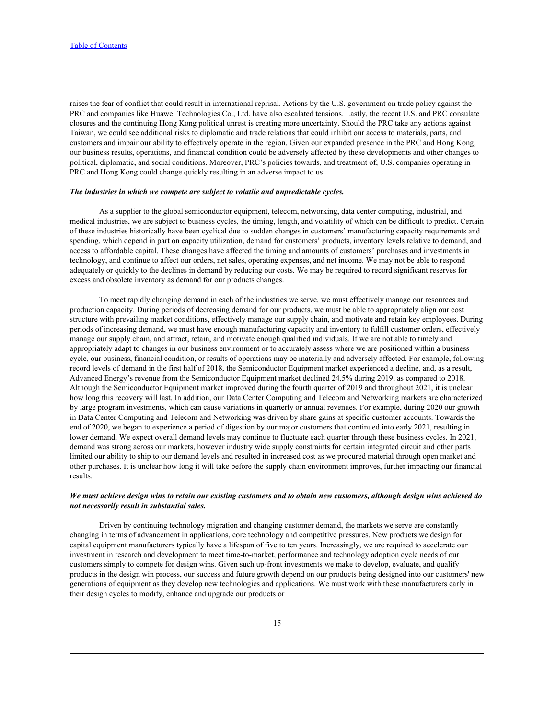raises the fear of conflict that could result in international reprisal. Actions by the U.S. government on trade policy against the PRC and companies like Huawei Technologies Co., Ltd. have also escalated tensions. Lastly, the recent U.S. and PRC consulate closures and the continuing Hong Kong political unrest is creating more uncertainty. Should the PRC take any actions against Taiwan, we could see additional risks to diplomatic and trade relations that could inhibit our access to materials, parts, and customers and impair our ability to effectively operate in the region. Given our expanded presence in the PRC and Hong Kong, our business results, operations, and financial condition could be adversely affected by these developments and other changes to political, diplomatic, and social conditions. Moreover, PRC's policies towards, and treatment of, U.S. companies operating in PRC and Hong Kong could change quickly resulting in an adverse impact to us.

#### *The industries in which we compete are subject to volatile and unpredictable cycles.*

As a supplier to the global semiconductor equipment, telecom, networking, data center computing, industrial, and medical industries, we are subject to business cycles, the timing, length, and volatility of which can be difficult to predict. Certain of these industries historically have been cyclical due to sudden changes in customers' manufacturing capacity requirements and spending, which depend in part on capacity utilization, demand for customers' products, inventory levels relative to demand, and access to affordable capital. These changes have affected the timing and amounts of customers' purchases and investments in technology, and continue to affect our orders, net sales, operating expenses, and net income. We may not be able to respond adequately or quickly to the declines in demand by reducing our costs. We may be required to record significant reserves for excess and obsolete inventory as demand for our products changes.

To meet rapidly changing demand in each of the industries we serve, we must effectively manage our resources and production capacity. During periods of decreasing demand for our products, we must be able to appropriately align our cost structure with prevailing market conditions, effectively manage our supply chain, and motivate and retain key employees. During periods of increasing demand, we must have enough manufacturing capacity and inventory to fulfill customer orders, effectively manage our supply chain, and attract, retain, and motivate enough qualified individuals. If we are not able to timely and appropriately adapt to changes in our business environment or to accurately assess where we are positioned within a business cycle, our business, financial condition, or results of operations may be materially and adversely affected. For example, following record levels of demand in the first half of 2018, the Semiconductor Equipment market experienced a decline, and, as a result, Advanced Energy's revenue from the Semiconductor Equipment market declined 24.5% during 2019, as compared to 2018. Although the Semiconductor Equipment market improved during the fourth quarter of 2019 and throughout 2021, it is unclear how long this recovery will last. In addition, our Data Center Computing and Telecom and Networking markets are characterized by large program investments, which can cause variations in quarterly or annual revenues. For example, during 2020 our growth in Data Center Computing and Telecom and Networking was driven by share gains at specific customer accounts. Towards the end of 2020, we began to experience a period of digestion by our major customers that continued into early 2021, resulting in lower demand. We expect overall demand levels may continue to fluctuate each quarter through these business cycles. In 2021, demand was strong across our markets, however industry wide supply constraints for certain integrated circuit and other parts limited our ability to ship to our demand levels and resulted in increased cost as we procured material through open market and other purchases. It is unclear how long it will take before the supply chain environment improves, further impacting our financial results.

## *We must achieve design wins to retain our existing customers and to obtain new customers, although design wins achieved do not necessarily result in substantial sales.*

Driven by continuing technology migration and changing customer demand, the markets we serve are constantly changing in terms of advancement in applications, core technology and competitive pressures. New products we design for capital equipment manufacturers typically have a lifespan of five to ten years. Increasingly, we are required to accelerate our investment in research and development to meet time-to-market, performance and technology adoption cycle needs of our customers simply to compete for design wins. Given such up-front investments we make to develop, evaluate, and qualify products in the design win process, our success and future growth depend on our products being designed into our customers' new generations of equipment as they develop new technologies and applications. We must work with these manufacturers early in their design cycles to modify, enhance and upgrade our products or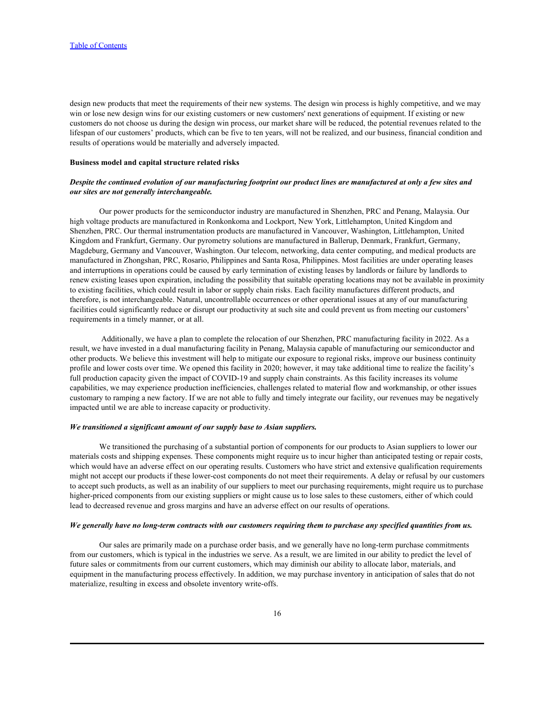design new products that meet the requirements of their new systems. The design win process is highly competitive, and we may win or lose new design wins for our existing customers or new customers' next generations of equipment. If existing or new customers do not choose us during the design win process, our market share will be reduced, the potential revenues related to the lifespan of our customers' products, which can be five to ten years, will not be realized, and our business, financial condition and results of operations would be materially and adversely impacted.

#### **Business model and capital structure related risks**

## *Despite the continued evolution of our manufacturing footprint our product lines are manufactured at only a few sites and our sites are not generally interchangeable.*

Our power products for the semiconductor industry are manufactured in Shenzhen, PRC and Penang, Malaysia. Our high voltage products are manufactured in Ronkonkoma and Lockport, New York, Littlehampton, United Kingdom and Shenzhen, PRC. Our thermal instrumentation products are manufactured in Vancouver, Washington, Littlehampton, United Kingdom and Frankfurt, Germany. Our pyrometry solutions are manufactured in Ballerup, Denmark, Frankfurt, Germany, Magdeburg, Germany and Vancouver, Washington. Our telecom, networking, data center computing, and medical products are manufactured in Zhongshan, PRC, Rosario, Philippines and Santa Rosa, Philippines. Most facilities are under operating leases and interruptions in operations could be caused by early termination of existing leases by landlords or failure by landlords to renew existing leases upon expiration, including the possibility that suitable operating locations may not be available in proximity to existing facilities, which could result in labor or supply chain risks. Each facility manufactures different products, and therefore, is not interchangeable. Natural, uncontrollable occurrences or other operational issues at any of our manufacturing facilities could significantly reduce or disrupt our productivity at such site and could prevent us from meeting our customers' requirements in a timely manner, or at all.

 Additionally, we have a plan to complete the relocation of our Shenzhen, PRC manufacturing facility in 2022. As a result, we have invested in a dual manufacturing facility in Penang, Malaysia capable of manufacturing our semiconductor and other products. We believe this investment will help to mitigate our exposure to regional risks, improve our business continuity profile and lower costs over time. We opened this facility in 2020; however, it may take additional time to realize the facility's full production capacity given the impact of COVID-19 and supply chain constraints. As this facility increases its volume capabilities, we may experience production inefficiencies, challenges related to material flow and workmanship, or other issues customary to ramping a new factory. If we are not able to fully and timely integrate our facility, our revenues may be negatively impacted until we are able to increase capacity or productivity.

## *We transitioned a significant amount of our supply base to Asian suppliers.*

We transitioned the purchasing of a substantial portion of components for our products to Asian suppliers to lower our materials costs and shipping expenses. These components might require us to incur higher than anticipated testing or repair costs, which would have an adverse effect on our operating results. Customers who have strict and extensive qualification requirements might not accept our products if these lower-cost components do not meet their requirements. A delay or refusal by our customers to accept such products, as well as an inability of our suppliers to meet our purchasing requirements, might require us to purchase higher-priced components from our existing suppliers or might cause us to lose sales to these customers, either of which could lead to decreased revenue and gross margins and have an adverse effect on our results of operations.

#### *We generally have no long-term contracts with our customers requiring them to purchase any specified quantities from us.*

Our sales are primarily made on a purchase order basis, and we generally have no long-term purchase commitments from our customers, which is typical in the industries we serve. As a result, we are limited in our ability to predict the level of future sales or commitments from our current customers, which may diminish our ability to allocate labor, materials, and equipment in the manufacturing process effectively. In addition, we may purchase inventory in anticipation of sales that do not materialize, resulting in excess and obsolete inventory write-offs.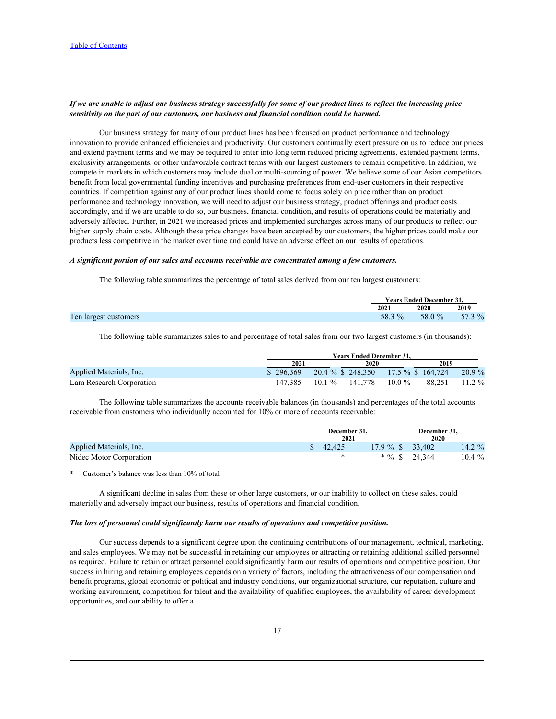# *If we are unable to adjust our business strategy successfully for some of our product lines to reflect the increasing price sensitivity on the part of our customers, our business and financial condition could be harmed.*

Our business strategy for many of our product lines has been focused on product performance and technology innovation to provide enhanced efficiencies and productivity. Our customers continually exert pressure on us to reduce our prices and extend payment terms and we may be required to enter into long term reduced pricing agreements, extended payment terms, exclusivity arrangements, or other unfavorable contract terms with our largest customers to remain competitive. In addition, we compete in markets in which customers may include dual or multi-sourcing of power. We believe some of our Asian competitors benefit from local governmental funding incentives and purchasing preferences from end-user customers in their respective countries. If competition against any of our product lines should come to focus solely on price rather than on product performance and technology innovation, we will need to adjust our business strategy, product offerings and product costs accordingly, and if we are unable to do so, our business, financial condition, and results of operations could be materially and adversely affected. Further, in 2021 we increased prices and implemented surcharges across many of our products to reflect our higher supply chain costs. Although these price changes have been accepted by our customers, the higher prices could make our products less competitive in the market over time and could have an adverse effect on our results of operations.

## *A significant portion of our sales and accounts receivable are concentrated among a few customers.*

The following table summarizes the percentage of total sales derived from our ten largest customers:

|                       |             | <b>Years Ended December 31,</b> |        |
|-----------------------|-------------|---------------------------------|--------|
|                       | 2021        | 2020                            | 2019   |
| Ten largest customers | 5020/<br>ەد | 58.0 %<br>$\sqrt{0}$            | 57.2.0 |

The following table summarizes sales to and percentage of total sales from our two largest customers (in thousands):

|                          |         | <b>Years Ended December 31.</b> |              |         |        |  |  |  |  |
|--------------------------|---------|---------------------------------|--------------|---------|--------|--|--|--|--|
|                          | 2021    | 2020                            |              | 2019    |        |  |  |  |  |
| Applied Materials, Inc.  | 296.369 | 20.4 % \$ 248,350               | $17.5 \%$ \$ | 164,724 | 20.9 % |  |  |  |  |
| Lam Research Corporation | 147,385 | 141.778<br>$10.1 \%$            | $10.0 \%$    | 88.251  |        |  |  |  |  |

The following table summarizes the accounts receivable balances (in thousands) and percentages of the total accounts receivable from customers who individually accounted for 10% or more of accounts receivable:

|                         | $\sim$<br>December 31, |            | December 31, |           |
|-------------------------|------------------------|------------|--------------|-----------|
|                         | 2021                   |            | 2020         |           |
| Applied Materials, Inc. | 42,425                 | 17 Q $0/6$ | 33,402       | 14.2 %    |
| Nidec Motor Corporation |                        | $* 0/2$    | 24,344       | $10.4 \%$ |

\* Customer's balance was less than 10% of total

A significant decline in sales from these or other large customers, or our inability to collect on these sales, could materially and adversely impact our business, results of operations and financial condition.

# *The loss of personnel could significantly harm our results of operations and competitive position.*

Our success depends to a significant degree upon the continuing contributions of our management, technical, marketing, and sales employees. We may not be successful in retaining our employees or attracting or retaining additional skilled personnel as required. Failure to retain or attract personnel could significantly harm our results of operations and competitive position. Our success in hiring and retaining employees depends on a variety of factors, including the attractiveness of our compensation and benefit programs, global economic or political and industry conditions, our organizational structure, our reputation, culture and working environment, competition for talent and the availability of qualified employees, the availability of career development opportunities, and our ability to offer a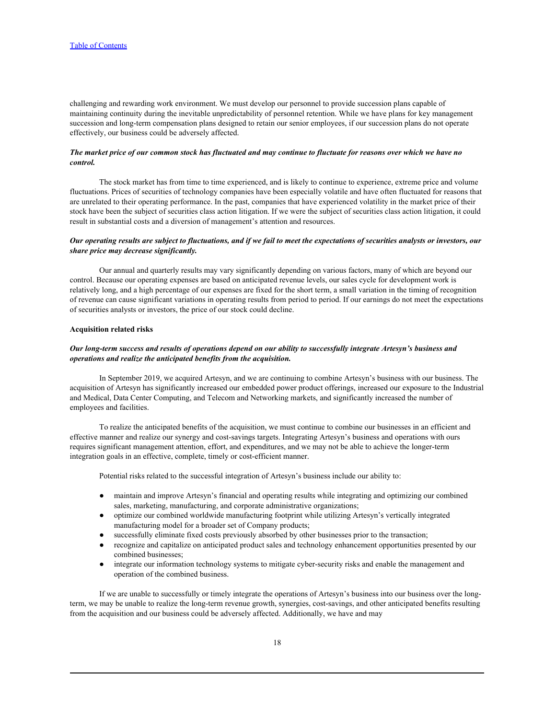challenging and rewarding work environment. We must develop our personnel to provide succession plans capable of maintaining continuity during the inevitable unpredictability of personnel retention. While we have plans for key management succession and long-term compensation plans designed to retain our senior employees, if our succession plans do not operate effectively, our business could be adversely affected.

# *The market price of our common stock has fluctuated and may continue to fluctuate for reasons over which we have no control.*

The stock market has from time to time experienced, and is likely to continue to experience, extreme price and volume fluctuations. Prices of securities of technology companies have been especially volatile and have often fluctuated for reasons that are unrelated to their operating performance. In the past, companies that have experienced volatility in the market price of their stock have been the subject of securities class action litigation. If we were the subject of securities class action litigation, it could result in substantial costs and a diversion of management's attention and resources.

# *Our operating results are subject to fluctuations, and if we fail to meet the expectations of securities analysts or investors, our share price may decrease significantly.*

Our annual and quarterly results may vary significantly depending on various factors, many of which are beyond our control. Because our operating expenses are based on anticipated revenue levels, our sales cycle for development work is relatively long, and a high percentage of our expenses are fixed for the short term, a small variation in the timing of recognition of revenue can cause significant variations in operating results from period to period. If our earnings do not meet the expectations of securities analysts or investors, the price of our stock could decline.

# **Acquisition related risks**

# *Our long-term success and results of operations depend on our ability to successfully integrate Artesyn's business and operations and realize the anticipated benefits from the acquisition.*

In September 2019, we acquired Artesyn, and we are continuing to combine Artesyn's business with our business. The acquisition of Artesyn has significantly increased our embedded power product offerings, increased our exposure to the Industrial and Medical, Data Center Computing, and Telecom and Networking markets, and significantly increased the number of employees and facilities.

To realize the anticipated benefits of the acquisition, we must continue to combine our businesses in an efficient and effective manner and realize our synergy and cost-savings targets. Integrating Artesyn's business and operations with ours requires significant management attention, effort, and expenditures, and we may not be able to achieve the longer-term integration goals in an effective, complete, timely or cost-efficient manner.

Potential risks related to the successful integration of Artesyn's business include our ability to:

- maintain and improve Artesyn's financial and operating results while integrating and optimizing our combined sales, marketing, manufacturing, and corporate administrative organizations;
- optimize our combined worldwide manufacturing footprint while utilizing Artesyn's vertically integrated manufacturing model for a broader set of Company products;
- successfully eliminate fixed costs previously absorbed by other businesses prior to the transaction;
- recognize and capitalize on anticipated product sales and technology enhancement opportunities presented by our combined businesses;
- integrate our information technology systems to mitigate cyber-security risks and enable the management and operation of the combined business.

If we are unable to successfully or timely integrate the operations of Artesyn's business into our business over the longterm, we may be unable to realize the long-term revenue growth, synergies, cost-savings, and other anticipated benefits resulting from the acquisition and our business could be adversely affected. Additionally, we have and may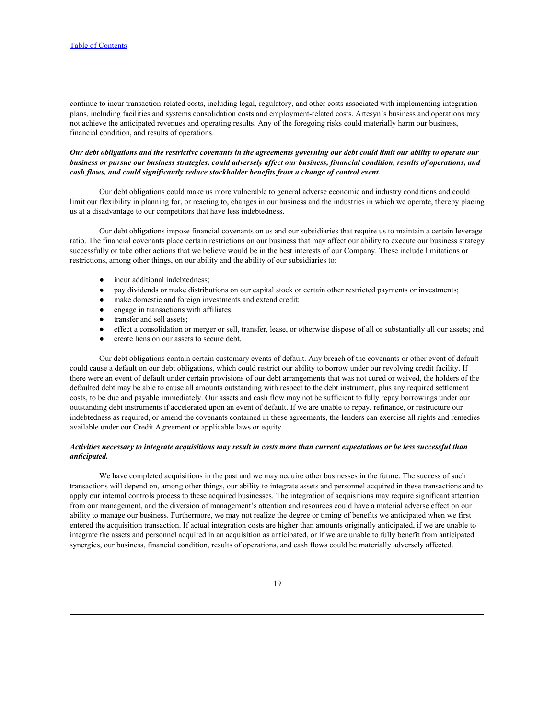continue to incur transaction-related costs, including legal, regulatory, and other costs associated with implementing integration plans, including facilities and systems consolidation costs and employment-related costs. Artesyn's business and operations may not achieve the anticipated revenues and operating results. Any of the foregoing risks could materially harm our business, financial condition, and results of operations.

# *Our debt obligations and the restrictive covenants in the agreements governing our debt could limit our ability to operate our business or pursue our business strategies, could adversely affect our business, financial condition, results of operations, and cash flows, and could significantly reduce stockholder benefits from a change of control event.*

Our debt obligations could make us more vulnerable to general adverse economic and industry conditions and could limit our flexibility in planning for, or reacting to, changes in our business and the industries in which we operate, thereby placing us at a disadvantage to our competitors that have less indebtedness.

Our debt obligations impose financial covenants on us and our subsidiaries that require us to maintain a certain leverage ratio. The financial covenants place certain restrictions on our business that may affect our ability to execute our business strategy successfully or take other actions that we believe would be in the best interests of our Company. These include limitations or restrictions, among other things, on our ability and the ability of our subsidiaries to:

- 
- incur additional indebtedness;<br>● pay dividends or make distributions on our capital stock or certain other restricted payments or investments;
- make domestic and foreign investments and extend credit;
- engage in transactions with affiliates;
- transfer and sell assets;
- effect a consolidation or merger or sell, transfer, lease, or otherwise dispose of all or substantially all our assets; and
- create liens on our assets to secure debt.

Our debt obligations contain certain customary events of default. Any breach of the covenants or other event of default could cause a default on our debt obligations, which could restrict our ability to borrow under our revolving credit facility. If there were an event of default under certain provisions of our debt arrangements that was not cured or waived, the holders of the defaulted debt may be able to cause all amounts outstanding with respect to the debt instrument, plus any required settlement costs, to be due and payable immediately. Our assets and cash flow may not be sufficient to fully repay borrowings under our outstanding debt instruments if accelerated upon an event of default. If we are unable to repay, refinance, or restructure our indebtedness as required, or amend the covenants contained in these agreements, the lenders can exercise all rights and remedies available under our Credit Agreement or applicable laws or equity.

# *Activities necessary to integrate acquisitions may result in costs more than current expectations or be less successful than anticipated.*

We have completed acquisitions in the past and we may acquire other businesses in the future. The success of such transactions will depend on, among other things, our ability to integrate assets and personnel acquired in these transactions and to apply our internal controls process to these acquired businesses. The integration of acquisitions may require significant attention from our management, and the diversion of management's attention and resources could have a material adverse effect on our ability to manage our business. Furthermore, we may not realize the degree or timing of benefits we anticipated when we first entered the acquisition transaction. If actual integration costs are higher than amounts originally anticipated, if we are unable to integrate the assets and personnel acquired in an acquisition as anticipated, or if we are unable to fully benefit from anticipated synergies, our business, financial condition, results of operations, and cash flows could be materially adversely affected.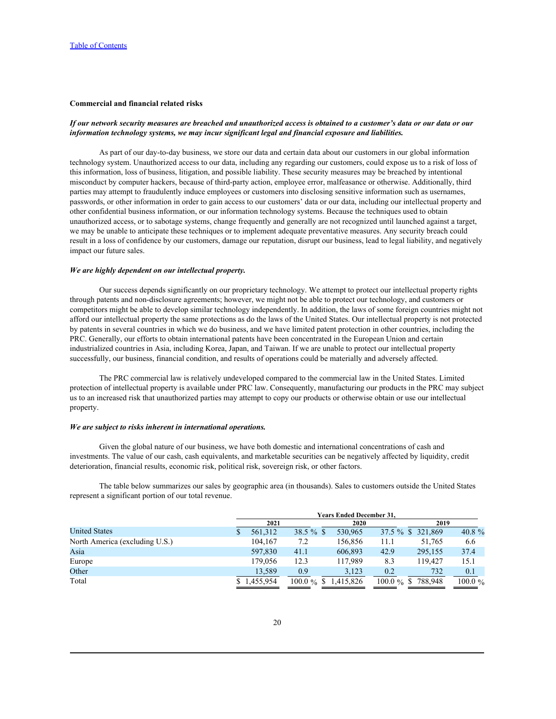# **Commercial and financial related risks**

## *If our network security measures are breached and unauthorized access is obtained to a customer's data or our data or our information technology systems, we may incur significant legal and financial exposure and liabilities.*

As part of our day-to-day business, we store our data and certain data about our customers in our global information technology system. Unauthorized access to our data, including any regarding our customers, could expose us to a risk of loss of this information, loss of business, litigation, and possible liability. These security measures may be breached by intentional misconduct by computer hackers, because of third-party action, employee error, malfeasance or otherwise. Additionally, third parties may attempt to fraudulently induce employees or customers into disclosing sensitive information such as usernames, passwords, or other information in order to gain access to our customers' data or our data, including our intellectual property and other confidential business information, or our information technology systems. Because the techniques used to obtain unauthorized access, or to sabotage systems, change frequently and generally are not recognized until launched against a target, we may be unable to anticipate these techniques or to implement adequate preventative measures. Any security breach could result in a loss of confidence by our customers, damage our reputation, disrupt our business, lead to legal liability, and negatively impact our future sales.

## *We are highly dependent on our intellectual property.*

Our success depends significantly on our proprietary technology. We attempt to protect our intellectual property rights through patents and non-disclosure agreements; however, we might not be able to protect our technology, and customers or competitors might be able to develop similar technology independently. In addition, the laws of some foreign countries might not afford our intellectual property the same protections as do the laws of the United States. Our intellectual property is not protected by patents in several countries in which we do business, and we have limited patent protection in other countries, including the PRC. Generally, our efforts to obtain international patents have been concentrated in the European Union and certain industrialized countries in Asia, including Korea, Japan, and Taiwan. If we are unable to protect our intellectual property successfully, our business, financial condition, and results of operations could be materially and adversely affected.

The PRC commercial law is relatively undeveloped compared to the commercial law in the United States. Limited protection of intellectual property is available under PRC law. Consequently, manufacturing our products in the PRC may subject us to an increased risk that unauthorized parties may attempt to copy our products or otherwise obtain or use our intellectual property.

## *We are subject to risks inherent in international operations.*

Given the global nature of our business, we have both domestic and international concentrations of cash and investments. The value of our cash, cash equivalents, and marketable securities can be negatively affected by liquidity, credit deterioration, financial results, economic risk, political risk, sovereign risk, or other factors.

The table below summarizes our sales by geographic area (in thousands). Sales to customers outside the United States represent a significant portion of our total revenue.

|           | <b>Years Ended December 31.</b> |           |      |         |                                                   |  |  |  |
|-----------|---------------------------------|-----------|------|---------|---------------------------------------------------|--|--|--|
| 2021      |                                 | 2020      |      |         |                                                   |  |  |  |
| 561,312   | $38.5 \%$ \$                    | 530,965   |      |         | 40.8 %                                            |  |  |  |
| 104,167   | 7.2                             | 156,856   | 11.1 | 51,765  | 6.6                                               |  |  |  |
| 597,830   | 41.1                            | 606,893   | 42.9 | 295,155 | 37.4                                              |  |  |  |
| 179,056   | 12.3                            | 117,989   | 8.3  | 119,427 | 15.1                                              |  |  |  |
| 13,589    | 0.9                             | 3,123     | 0.2  | 732     | 0.1                                               |  |  |  |
| 1,455,954 | $100.0 \%$ \$                   | 1,415,826 |      |         | 100.0 $%$                                         |  |  |  |
|           |                                 |           |      |         | 2019<br>37.5 % \$ 321,869<br>$100.0\%$ \$ 788,948 |  |  |  |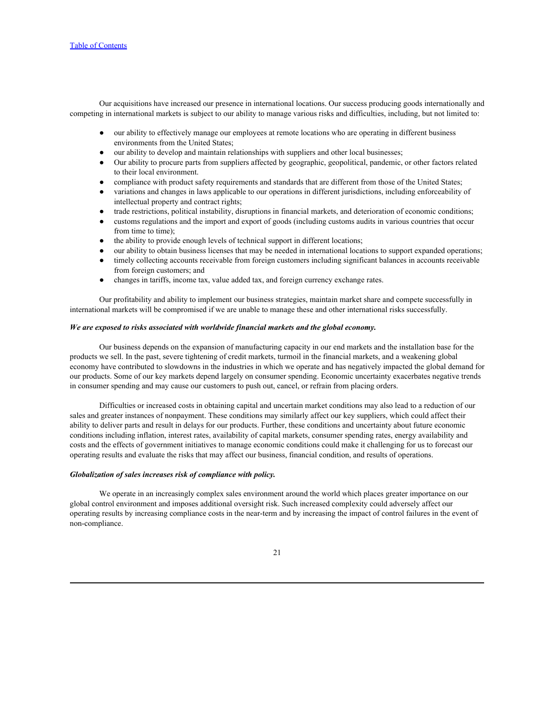Our acquisitions have increased our presence in international locations. Our success producing goods internationally and competing in international markets is subject to our ability to manage various risks and difficulties, including, but not limited to:

- our ability to effectively manage our employees at remote locations who are operating in different business environments from the United States;
- our ability to develop and maintain relationships with suppliers and other local businesses;
- Our ability to procure parts from suppliers affected by geographic, geopolitical, pandemic, or other factors related to their local environment.
- compliance with product safety requirements and standards that are different from those of the United States;
- variations and changes in laws applicable to our operations in different jurisdictions, including enforceability of intellectual property and contract rights;
- trade restrictions, political instability, disruptions in financial markets, and deterioration of economic conditions;
- customs regulations and the import and export of goods (including customs audits in various countries that occur from time to time);
- the ability to provide enough levels of technical support in different locations;
- our ability to obtain business licenses that may be needed in international locations to support expanded operations; ● timely collecting accounts receivable from foreign customers including significant balances in accounts receivable
	- from foreign customers; and
- changes in tariffs, income tax, value added tax, and foreign currency exchange rates.

Our profitability and ability to implement our business strategies, maintain market share and compete successfully in international markets will be compromised if we are unable to manage these and other international risks successfully.

## *We are exposed to risks associated with worldwide financial markets and the global economy.*

Our business depends on the expansion of manufacturing capacity in our end markets and the installation base for the products we sell. In the past, severe tightening of credit markets, turmoil in the financial markets, and a weakening global economy have contributed to slowdowns in the industries in which we operate and has negatively impacted the global demand for our products. Some of our key markets depend largely on consumer spending. Economic uncertainty exacerbates negative trends in consumer spending and may cause our customers to push out, cancel, or refrain from placing orders.

Difficulties or increased costs in obtaining capital and uncertain market conditions may also lead to a reduction of our sales and greater instances of nonpayment. These conditions may similarly affect our key suppliers, which could affect their ability to deliver parts and result in delays for our products. Further, these conditions and uncertainty about future economic conditions including inflation, interest rates, availability of capital markets, consumer spending rates, energy availability and costs and the effects of government initiatives to manage economic conditions could make it challenging for us to forecast our operating results and evaluate the risks that may affect our business, financial condition, and results of operations.

## *Globalization of sales increases risk of compliance with policy.*

We operate in an increasingly complex sales environment around the world which places greater importance on our global control environment and imposes additional oversight risk. Such increased complexity could adversely affect our operating results by increasing compliance costs in the near-term and by increasing the impact of control failures in the event of non-compliance.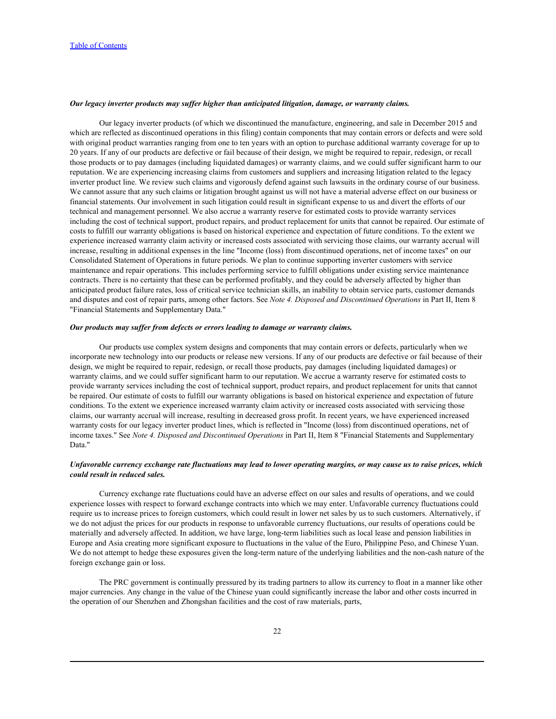## *Our legacy inverter products may suffer higher than anticipated litigation, damage, or warranty claims.*

Our legacy inverter products (of which we discontinued the manufacture, engineering, and sale in December 2015 and which are reflected as discontinued operations in this filing) contain components that may contain errors or defects and were sold with original product warranties ranging from one to ten years with an option to purchase additional warranty coverage for up to 20 years. If any of our products are defective or fail because of their design, we might be required to repair, redesign, or recall those products or to pay damages (including liquidated damages) or warranty claims, and we could suffer significant harm to our reputation. We are experiencing increasing claims from customers and suppliers and increasing litigation related to the legacy inverter product line. We review such claims and vigorously defend against such lawsuits in the ordinary course of our business. We cannot assure that any such claims or litigation brought against us will not have a material adverse effect on our business or financial statements. Our involvement in such litigation could result in significant expense to us and divert the efforts of our technical and management personnel. We also accrue a warranty reserve for estimated costs to provide warranty services including the cost of technical support, product repairs, and product replacement for units that cannot be repaired. Our estimate of costs to fulfill our warranty obligations is based on historical experience and expectation of future conditions. To the extent we experience increased warranty claim activity or increased costs associated with servicing those claims, our warranty accrual will increase, resulting in additional expenses in the line "Income (loss) from discontinued operations, net of income taxes" on our Consolidated Statement of Operations in future periods. We plan to continue supporting inverter customers with service maintenance and repair operations. This includes performing service to fulfill obligations under existing service maintenance contracts. There is no certainty that these can be performed profitably, and they could be adversely affected by higher than anticipated product failure rates, loss of critical service technician skills, an inability to obtain service parts, customer demands and disputes and cost of repair parts, among other factors. See *Note 4. Disposed and Discontinued Operations* in Part II, Item 8 "Financial Statements and Supplementary Data."

#### *Our products may suffer from defects or errors leading to damage or warranty claims.*

Our products use complex system designs and components that may contain errors or defects, particularly when we incorporate new technology into our products or release new versions. If any of our products are defective or fail because of their design, we might be required to repair, redesign, or recall those products, pay damages (including liquidated damages) or warranty claims, and we could suffer significant harm to our reputation. We accrue a warranty reserve for estimated costs to provide warranty services including the cost of technical support, product repairs, and product replacement for units that cannot be repaired. Our estimate of costs to fulfill our warranty obligations is based on historical experience and expectation of future conditions. To the extent we experience increased warranty claim activity or increased costs associated with servicing those claims, our warranty accrual will increase, resulting in decreased gross profit. In recent years, we have experienced increased warranty costs for our legacy inverter product lines, which is reflected in "Income (loss) from discontinued operations, net of income taxes." See *Note 4. Disposed and Discontinued Operations* in Part II, Item 8 "Financial Statements and Supplementary Data." **Data**."

## *Unfavorable currency exchange rate fluctuations may lead to lower operating margins, or may cause us to raise prices, which could result in reduced sales.*

Currency exchange rate fluctuations could have an adverse effect on our sales and results of operations, and we could experience losses with respect to forward exchange contracts into which we may enter. Unfavorable currency fluctuations could require us to increase prices to foreign customers, which could result in lower net sales by us to such customers. Alternatively, if we do not adjust the prices for our products in response to unfavorable currency fluctuations, our results of operations could be materially and adversely affected. In addition, we have large, long-term liabilities such as local lease and pension liabilities in Europe and Asia creating more significant exposure to fluctuations in the value of the Euro, Philippine Peso, and Chinese Yuan. We do not attempt to hedge these exposures given the long-term nature of the underlying liabilities and the non-cash nature of the foreign exchange gain or loss.

The PRC government is continually pressured by its trading partners to allow its currency to float in a manner like other major currencies. Any change in the value of the Chinese yuan could significantly increase the labor and other costs incurred in the operation of our Shenzhen and Zhongshan facilities and the cost of raw materials, parts,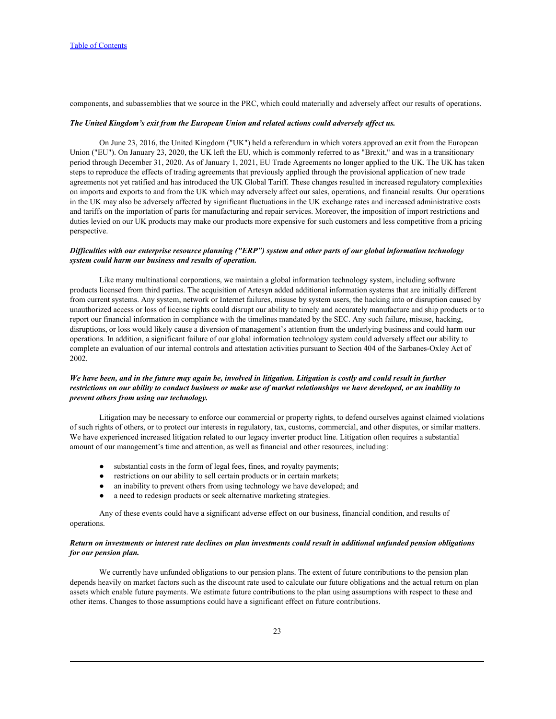components, and subassemblies that we source in the PRC, which could materially and adversely affect our results of operations.

#### *The United Kingdom's exit from the European Union and related actions could adversely affect us.*

On June 23, 2016, the United Kingdom ("UK") held a referendum in which voters approved an exit from the European Union ("EU"). On January 23, 2020, the UK left the EU, which is commonly referred to as "Brexit," and was in a transitionary period through December 31, 2020. As of January 1, 2021, EU Trade Agreements no longer applied to the UK. The UK has taken steps to reproduce the effects of trading agreements that previously applied through the provisional application of new trade agreements not yet ratified and has introduced the UK Global Tariff. These changes resulted in increased regulatory complexities on imports and exports to and from the UK which may adversely affect our sales, operations, and financial results. Our operations in the UK may also be adversely affected by significant fluctuations in the UK exchange rates and increased administrative costs and tariffs on the importation of parts for manufacturing and repair services. Moreover, the imposition of import restrictions and duties levied on our UK products may make our products more expensive for such customers and less competitive from a pricing perspective.

# *Difficulties with our enterprise resource planning ("ERP") system and other parts of our global information technology system could harm our business and results of operation.*

Like many multinational corporations, we maintain a global information technology system, including software products licensed from third parties. The acquisition of Artesyn added additional information systems that are initially different from current systems. Any system, network or Internet failures, misuse by system users, the hacking into or disruption caused by unauthorized access or loss of license rights could disrupt our ability to timely and accurately manufacture and ship products or to report our financial information in compliance with the timelines mandated by the SEC. Any such failure, misuse, hacking, disruptions, or loss would likely cause a diversion of management's attention from the underlying business and could harm our operations. In addition, a significant failure of our global information technology system could adversely affect our ability to complete an evaluation of our internal controls and attestation activities pursuant to Section 404 of the Sarbanes-Oxley Act of 2002.

# *We have been, and in the future may again be, involved in litigation. Litigation is costly and could result in further restrictions on our ability to conduct business or make use of market relationships we have developed, or an inability to prevent others from using our technology.*

Litigation may be necessary to enforce our commercial or property rights, to defend ourselves against claimed violations of such rights of others, or to protect our interests in regulatory, tax, customs, commercial, and other disputes, or similar matters. We have experienced increased litigation related to our legacy inverter product line. Litigation often requires a substantial amount of our management's time and attention, as well as financial and other resources, including:

- substantial costs in the form of legal fees, fines, and royalty payments;
- restrictions on our ability to sell certain products or in certain markets;
- an inability to prevent others from using technology we have developed; and
- a need to redesign products or seek alternative marketing strategies.

Any of these events could have a significant adverse effect on our business, financial condition, and results of operations.

# *Return on investments or interest rate declines on plan investments could result in additional unfunded pension obligations for our pension plan.*

We currently have unfunded obligations to our pension plans. The extent of future contributions to the pension plan depends heavily on market factors such as the discount rate used to calculate our future obligations and the actual return on plan assets which enable future payments. We estimate future contributions to the plan using assumptions with respect to these and other items. Changes to those assumptions could have a significant effect on future contributions.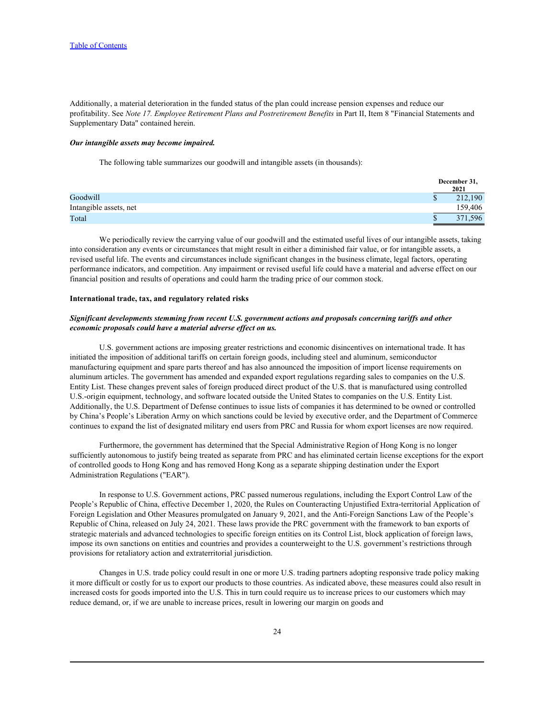Additionally, a material deterioration in the funded status of the plan could increase pension expenses and reduce our profitability. See *Note 17. Employee Retirement Plans and Postretirement Benefits* in Part II, Item 8 "Financial Statements and Supplementary Data" contained herein.

#### *Our intangible assets may become impaired.*

The following table summarizes our goodwill and intangible assets (in thousands):

|                        | December 31,<br>2021 |
|------------------------|----------------------|
| Goodwill               | 212,190              |
| Intangible assets, net | 159,406              |
| Total                  | 371,596              |

We periodically review the carrying value of our goodwill and the estimated useful lives of our intangible assets, taking into consideration any events or circumstances that might result in either a diminished fair value, or for intangible assets, a revised useful life. The events and circumstances include significant changes in the business climate, legal factors, operating performance indicators, and competition. Any impairment or revised useful life could have a material and adverse effect on our financial position and results of operations and could harm the trading price of our common stock.

## **International trade, tax, and regulatory related risks**

# *Significant developments stemming from recent U.S. government actions and proposals concerning tariffs and other economic proposals could have a material adverse effect on us.*

U.S. government actions are imposing greater restrictions and economic disincentives on international trade. It has initiated the imposition of additional tariffs on certain foreign goods, including steel and aluminum, semiconductor manufacturing equipment and spare parts thereof and has also announced the imposition of import license requirements on aluminum articles. The government has amended and expanded export regulations regarding sales to companies on the U.S. Entity List. These changes prevent sales of foreign produced direct product of the U.S. that is manufactured using controlled U.S.-origin equipment, technology, and software located outside the United States to companies on the U.S. Entity List. Additionally, the U.S. Department of Defense continues to issue lists of companies it has determined to be owned or controlled by China's People's Liberation Army on which sanctions could be levied by executive order, and the Department of Commerce continues to expand the list of designated military end users from PRC and Russia for whom export licenses are now required.

Furthermore, the government has determined that the Special Administrative Region of Hong Kong is no longer sufficiently autonomous to justify being treated as separate from PRC and has eliminated certain license exceptions for the export of controlled goods to Hong Kong and has removed Hong Kong as a separate shipping destination under the Export Administration Regulations ("EAR").

In response to U.S. Government actions, PRC passed numerous regulations, including the Export Control Law of the People's Republic of China, effective December 1, 2020, the Rules on Counteracting Unjustified Extra-territorial Application of Foreign Legislation and Other Measures promulgated on January 9, 2021, and the Anti-Foreign Sanctions Law of the People's Republic of China, released on July 24, 2021. These laws provide the PRC government with the framework to ban exports of strategic materials and advanced technologies to specific foreign entities on its Control List, block application of foreign laws, impose its own sanctions on entities and countries and provides a counterweight to the U.S. government's restrictions through provisions for retaliatory action and extraterritorial jurisdiction.

Changes in U.S. trade policy could result in one or more U.S. trading partners adopting responsive trade policy making it more difficult or costly for us to export our products to those countries. As indicated above, these measures could also result in increased costs for goods imported into the U.S. This in turn could require us to increase prices to our customers which may reduce demand, or, if we are unable to increase prices, result in lowering our margin on goods and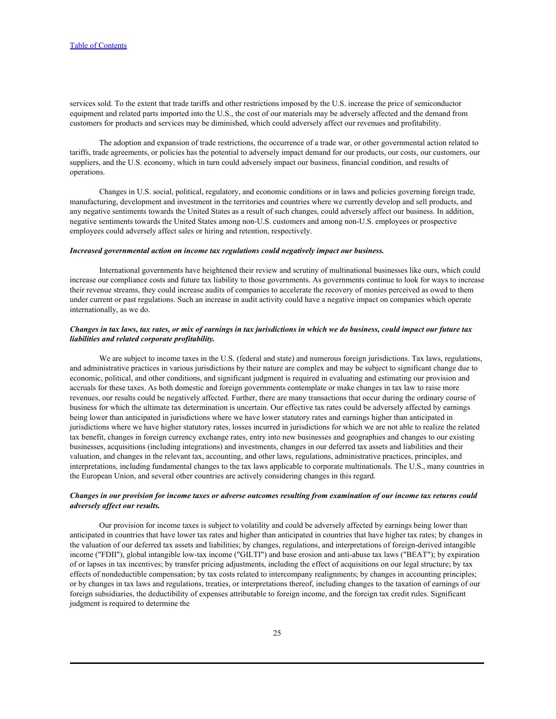services sold. To the extent that trade tariffs and other restrictions imposed by the U.S. increase the price of semiconductor equipment and related parts imported into the U.S., the cost of our materials may be adversely affected and the demand from customers for products and services may be diminished, which could adversely affect our revenues and profitability.

The adoption and expansion of trade restrictions, the occurrence of a trade war, or other governmental action related to tariffs, trade agreements, or policies has the potential to adversely impact demand for our products, our costs, our customers, our suppliers, and the U.S. economy, which in turn could adversely impact our business, financial condition, and results of operations.

Changes in U.S. social, political, regulatory, and economic conditions or in laws and policies governing foreign trade, manufacturing, development and investment in the territories and countries where we currently develop and sell products, and any negative sentiments towards the United States as a result of such changes, could adversely affect our business. In addition, negative sentiments towards the United States among non-U.S. customers and among non-U.S. employees or prospective employees could adversely affect sales or hiring and retention, respectively.

#### *Increased governmental action on income tax regulations could negatively impact our business.*

International governments have heightened their review and scrutiny of multinational businesses like ours, which could increase our compliance costs and future tax liability to those governments. As governments continue to look for ways to increase their revenue streams, they could increase audits of companies to accelerate the recovery of monies perceived as owed to them under current or past regulations. Such an increase in audit activity could have a negative impact on companies which operate internationally, as we do.

# *Changes in tax laws, tax rates, or mix of earnings in tax jurisdictions in which we do business, could impact our future tax liabilities and related corporate profitability.*

We are subject to income taxes in the U.S. (federal and state) and numerous foreign jurisdictions. Tax laws, regulations, and administrative practices in various jurisdictions by their nature are complex and may be subject to significant change due to economic, political, and other conditions, and significant judgment is required in evaluating and estimating our provision and accruals for these taxes. As both domestic and foreign governments contemplate or make changes in tax law to raise more revenues, our results could be negatively affected. Further, there are many transactions that occur during the ordinary course of business for which the ultimate tax determination is uncertain. Our effective tax rates could be adversely affected by earnings being lower than anticipated in jurisdictions where we have lower statutory rates and earnings higher than anticipated in jurisdictions where we have higher statutory rates, losses incurred in jurisdictions for which we are not able to realize the related tax benefit, changes in foreign currency exchange rates, entry into new businesses and geographies and changes to our existing businesses, acquisitions (including integrations) and investments, changes in our deferred tax assets and liabilities and their valuation, and changes in the relevant tax, accounting, and other laws, regulations, administrative practices, principles, and interpretations, including fundamental changes to the tax laws applicable to corporate multinationals. The U.S., many countries in the European Union, and several other countries are actively considering changes in this regard.

# *Changes in our provision for income taxes or adverse outcomes resulting from examination of our income tax returns could adversely affect our results.*

Our provision for income taxes is subject to volatility and could be adversely affected by earnings being lower than anticipated in countries that have lower tax rates and higher than anticipated in countries that have higher tax rates; by changes in the valuation of our deferred tax assets and liabilities; by changes, regulations, and interpretations of foreign-derived intangible income ("FDII"), global intangible low-tax income ("GILTI") and base erosion and anti-abuse tax laws ("BEAT"); by expiration of or lapses in tax incentives; by transfer pricing adjustments, including the effect of acquisitions on our legal structure; by tax effects of nondeductible compensation; by tax costs related to intercompany realignments; by changes in accounting principles; or by changes in tax laws and regulations, treaties, or interpretations thereof, including changes to the taxation of earnings of our foreign subsidiaries, the deductibility of expenses attributable to foreign income, and the foreign tax credit rules. Significant judgment is required to determine the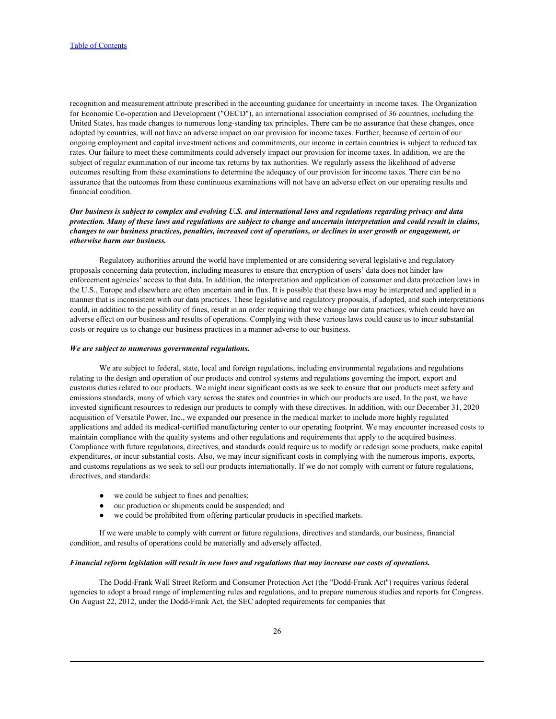recognition and measurement attribute prescribed in the accounting guidance for uncertainty in income taxes. The Organization for Economic Co-operation and Development ("OECD"), an international association comprised of 36 countries, including the United States, has made changes to numerous long-standing tax principles. There can be no assurance that these changes, once adopted by countries, will not have an adverse impact on our provision for income taxes. Further, because of certain of our ongoing employment and capital investment actions and commitments, our income in certain countries is subject to reduced tax rates. Our failure to meet these commitments could adversely impact our provision for income taxes. In addition, we are the subject of regular examination of our income tax returns by tax authorities. We regularly assess the likelihood of adverse outcomes resulting from these examinations to determine the adequacy of our provision for income taxes. There can be no assurance that the outcomes from these continuous examinations will not have an adverse effect on our operating results and financial condition.

# *Our business is subject to complex and evolving U.S. and international laws and regulations regarding privacy and data protection. Many of these laws and regulations are subject to change and uncertain interpretation and could result in claims, changes to our business practices, penalties, increased cost of operations, or declines in user growth or engagement, or otherwise harm our business.*

Regulatory authorities around the world have implemented or are considering several legislative and regulatory proposals concerning data protection, including measures to ensure that encryption of users' data does not hinder law enforcement agencies' access to that data. In addition, the interpretation and application of consumer and data protection laws in the U.S., Europe and elsewhere are often uncertain and in flux. It is possible that these laws may be interpreted and applied in a manner that is inconsistent with our data practices. These legislative and regulatory proposals, if adopted, and such interpretations could, in addition to the possibility of fines, result in an order requiring that we change our data practices, which could have an adverse effect on our business and results of operations. Complying with these various laws could cause us to incur substantial costs or require us to change our business practices in a manner adverse to our business.

#### *We are subject to numerous governmental regulations.*

We are subject to federal, state, local and foreign regulations, including environmental regulations and regulations relating to the design and operation of our products and control systems and regulations governing the import, export and customs duties related to our products. We might incur significant costs as we seek to ensure that our products meet safety and emissions standards, many of which vary across the states and countries in which our products are used. In the past, we have invested significant resources to redesign our products to comply with these directives. In addition, with our December 31, 2020 acquisition of Versatile Power, Inc., we expanded our presence in the medical market to include more highly regulated applications and added its medical-certified manufacturing center to our operating footprint. We may encounter increased costs to maintain compliance with the quality systems and other regulations and requirements that apply to the acquired business. Compliance with future regulations, directives, and standards could require us to modify or redesign some products, make capital expenditures, or incur substantial costs. Also, we may incur significant costs in complying with the numerous imports, exports, and customs regulations as we seek to sell our products internationally. If we do not comply with current or future regulations, directives, and standards:

- we could be subject to fines and penalties;
- our production or shipments could be suspended; and
- we could be prohibited from offering particular products in specified markets.

If we were unable to comply with current or future regulations, directives and standards, our business, financial condition, and results of operations could be materially and adversely affected.

## *Financial reform legislation will result in new laws and regulations that may increase our costs of operations.*

The Dodd-Frank Wall Street Reform and Consumer Protection Act (the "Dodd-Frank Act") requires various federal agencies to adopt a broad range of implementing rules and regulations, and to prepare numerous studies and reports for Congress. On August 22, 2012, under the Dodd-Frank Act, the SEC adopted requirements for companies that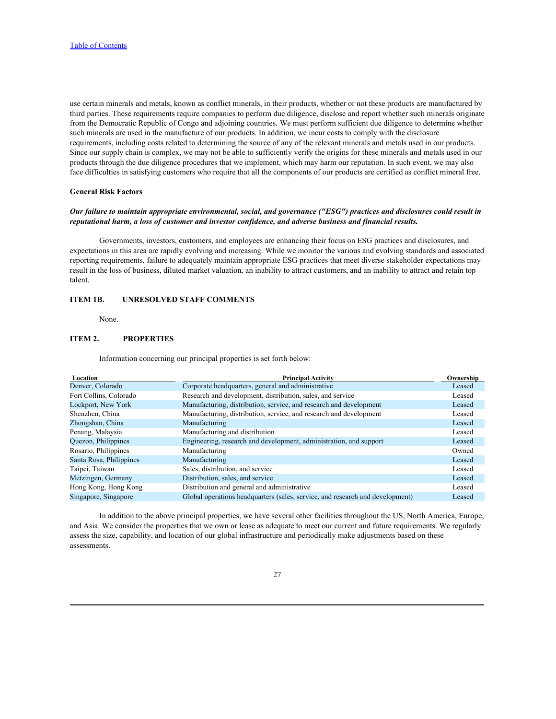use certain minerals and metals, known as conflict minerals, in their products, whether or not these products are manufactured by third parties. These requirements require companies to perform due diligence, disclose and report whether such minerals originate from the Democratic Republic of Congo and adjoining countries. We must perform sufficient due diligence to determine whether such minerals are used in the manufacture of our products. In addition, we incur costs to comply with the disclosure requirements, including costs related to determining the source of any of the relevant minerals and metals used in our products. Since our supply chain is complex, we may not be able to sufficiently verify the origins for these minerals and metals used in our products through the due diligence procedures that we implement, which may harm our reputation. In such event, we may also face difficulties in satisfying customers who require that all the components of our products are certified as conflict mineral free.

#### **General Risk Factors**

# *Our failure to maintain appropriate environmental, social, and governance ("ESG") practices and disclosures could result in reputational harm, a loss of customer and investor confidence, and adverse business and financial results.*

Governments, investors, customers, and employees are enhancing their focus on ESG practices and disclosures, and expectations in this area are rapidly evolving and increasing. While we monitor the various and evolving standards and associated reporting requirements, failure to adequately maintain appropriate ESG practices that meet diverse stakeholder expectations may result in the loss of business, diluted market valuation, an inability to attract customers, and an inability to attract and retain top talent.

# <span id="page-26-0"></span>**ITEM 1B. UNRESOLVED STAFF COMMENTS**

None.

# <span id="page-26-1"></span>**ITEM 2. PROPERTIES**

Information concerning our principal properties is set forth below:

| <b>Principal Activity</b>                                                     | Ownership |
|-------------------------------------------------------------------------------|-----------|
| Corporate headquarters, general and administrative                            | Leased    |
| Research and development, distribution, sales, and service                    | Leased    |
| Manufacturing, distribution, service, and research and development            | Leased    |
| Manufacturing, distribution, service, and research and development            | Leased    |
| Manufacturing                                                                 | Leased    |
| Manufacturing and distribution                                                | Leased    |
| Engineering, research and development, administration, and support            | Leased    |
| Manufacturing                                                                 | Owned     |
| Manufacturing                                                                 | Leased    |
| Sales, distribution, and service                                              | Leased    |
| Distribution, sales, and service                                              | Leased    |
| Distribution and general and administrative                                   | Leased    |
| Global operations headquarters (sales, service, and research and development) | Leased    |
|                                                                               |           |

In addition to the above principal properties, we have several other facilities throughout the US, North America, Europe, and Asia. We consider the properties that we own or lease as adequate to meet our current and future requirements. We regularly assess the size, capability, and location of our global infrastructure and periodically make adjustments based on these assessments.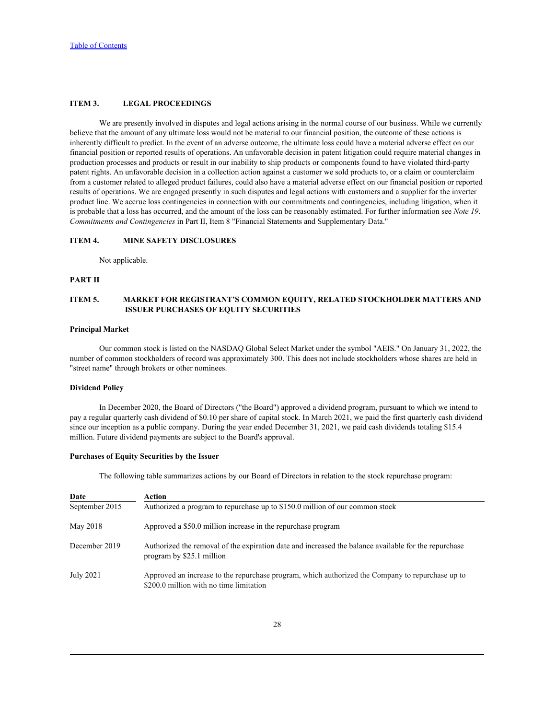# <span id="page-27-0"></span>**ITEM 3. LEGAL PROCEEDINGS**

We are presently involved in disputes and legal actions arising in the normal course of our business. While we currently believe that the amount of any ultimate loss would not be material to our financial position, the outcome of these actions is inherently difficult to predict. In the event of an adverse outcome, the ultimate loss could have a material adverse effect on our financial position or reported results of operations. An unfavorable decision in patent litigation could require material changes in production processes and products or result in our inability to ship products or components found to have violated third-party patent rights. An unfavorable decision in a collection action against a customer we sold products to, or a claim or counterclaim from a customer related to alleged product failures, could also have a material adverse effect on our financial position or reported results of operations. We are engaged presently in such disputes and legal actions with customers and a supplier for the inverter product line. We accrue loss contingencies in connection with our commitments and contingencies, including litigation, when it is probable that a loss has occurred, and the amount of the loss can be reasonably estimated. For further information see *Note 19*. *Commitments and Contingencies* in Part II, Item 8 "Financial Statements and Supplementary Data."

## <span id="page-27-1"></span>**ITEM 4. MINE SAFETY DISCLOSURES**

Not applicable.

# <span id="page-27-2"></span>**PART II**

# <span id="page-27-3"></span>**ITEM 5. MARKET FOR REGISTRANT'S COMMON EQUITY, RELATED STOCKHOLDER MATTERS AND ISSUER PURCHASES OF EQUITY SECURITIES**

# **Principal Market**

Our common stock is listed on the NASDAQ Global Select Market under the symbol "AEIS." On January 31, 2022, the number of common stockholders of record was approximately 300. This does not include stockholders whose shares are held in "street name" through brokers or other nominees.

# **Dividend Policy**

In December 2020, the Board of Directors ("the Board") approved a dividend program, pursuant to which we intend to pay a regular quarterly cash dividend of \$0.10 per share of capital stock. In March 2021, we paid the first quarterly cash dividend since our inception as a public company. During the year ended December 31, 2021, we paid cash dividends totaling \$15.4 million. Future dividend payments are subject to the Board's approval.

#### **Purchases of Equity Securities by the Issuer**

The following table summarizes actions by our Board of Directors in relation to the stock repurchase program:

| Date             | Action                                                                                                                                      |
|------------------|---------------------------------------------------------------------------------------------------------------------------------------------|
| September 2015   | Authorized a program to repurchase up to \$150.0 million of our common stock                                                                |
| May 2018         | Approved a \$50.0 million increase in the repurchase program                                                                                |
| December 2019    | Authorized the removal of the expiration date and increased the balance available for the repurchase<br>program by \$25.1 million           |
| <b>July 2021</b> | Approved an increase to the repurchase program, which authorized the Company to repurchase up to<br>\$200.0 million with no time limitation |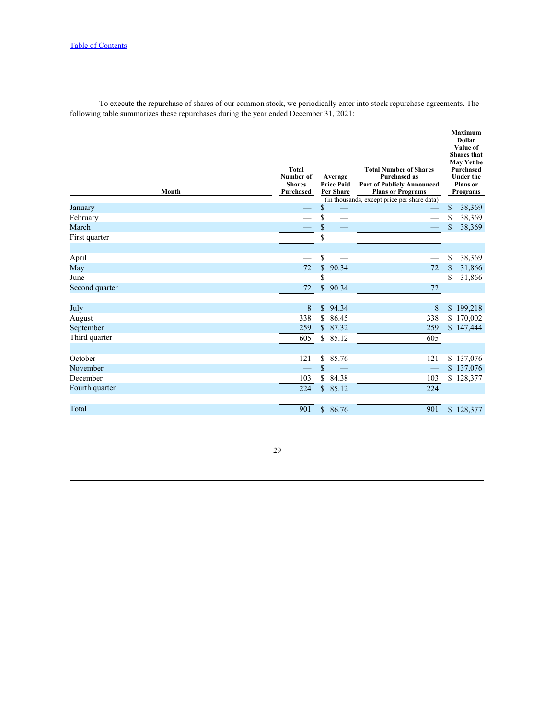To execute the repurchase of shares of our common stock, we periodically enter into stock repurchase agreements. The following table summarizes these repurchases during the year ended December 31, 2021:

|                | Month | <b>Total</b><br>Number of<br><b>Shares</b><br>Purchased | Average<br><b>Price Paid</b><br>Per Share | <b>Total Number of Shares</b><br><b>Purchased as</b><br><b>Part of Publicly Announced</b><br><b>Plans or Programs</b> |               | Maximum<br><b>Dollar</b><br>Value of<br><b>Shares</b> that<br>May Yet be<br>Purchased<br><b>Under the</b><br><b>Plans</b> or<br>Programs |
|----------------|-------|---------------------------------------------------------|-------------------------------------------|-----------------------------------------------------------------------------------------------------------------------|---------------|------------------------------------------------------------------------------------------------------------------------------------------|
| January        |       | $\overline{\phantom{0}}$                                |                                           | (in thousands, except price per share data)<br>$\overline{\phantom{m}}$                                               | <sup>\$</sup> | 38,369                                                                                                                                   |
| February       |       | $\overline{\phantom{0}}$                                |                                           |                                                                                                                       |               | 38,369                                                                                                                                   |
| March          |       | $\overline{\phantom{0}}$                                |                                           | $\hspace{0.05cm}$                                                                                                     | \$.           | 38,369                                                                                                                                   |
| First quarter  |       |                                                         |                                           |                                                                                                                       |               |                                                                                                                                          |
|                |       |                                                         |                                           |                                                                                                                       |               |                                                                                                                                          |
| April          |       |                                                         | $\hspace{0.05cm}$                         |                                                                                                                       |               | 38,369                                                                                                                                   |
| May            |       |                                                         | 72 \$ 90.34                               | 72                                                                                                                    | \$            | 31,866                                                                                                                                   |
| June           |       |                                                         | \$.<br>$\hspace{0.05cm}$                  |                                                                                                                       | \$            | 31,866                                                                                                                                   |
| Second quarter |       | 72                                                      | \$90.34                                   | 72                                                                                                                    |               |                                                                                                                                          |
|                |       |                                                         |                                           |                                                                                                                       |               |                                                                                                                                          |
| July           |       |                                                         | 8 \$ 94.34                                |                                                                                                                       |               | 8 \$ 199,218                                                                                                                             |
| August         |       | 338                                                     | \$86.45                                   | 338                                                                                                                   |               | \$170,002                                                                                                                                |
| September      |       | 259                                                     | \$87.32                                   | 259                                                                                                                   |               | \$147,444                                                                                                                                |
| Third quarter  |       | 605                                                     | \$85.12                                   | 605                                                                                                                   |               |                                                                                                                                          |
|                |       |                                                         |                                           |                                                                                                                       |               |                                                                                                                                          |
| October        |       | 121                                                     | \$85.76                                   | 121                                                                                                                   |               | \$137,076                                                                                                                                |
| November       |       | $\overline{\phantom{a}}$                                | -8<br>$\hspace{0.1mm}-\hspace{0.1mm}$     | $\overline{\phantom{m}}$                                                                                              |               | \$137,076                                                                                                                                |
| December       |       | 103                                                     | \$84.38                                   | 103                                                                                                                   |               | \$128,377                                                                                                                                |
| Fourth quarter |       | 224                                                     | \$85.12                                   | 224                                                                                                                   |               |                                                                                                                                          |
|                |       |                                                         |                                           |                                                                                                                       |               |                                                                                                                                          |
| Total          |       | 901                                                     | \$86.76                                   | 901                                                                                                                   |               | \$128,377                                                                                                                                |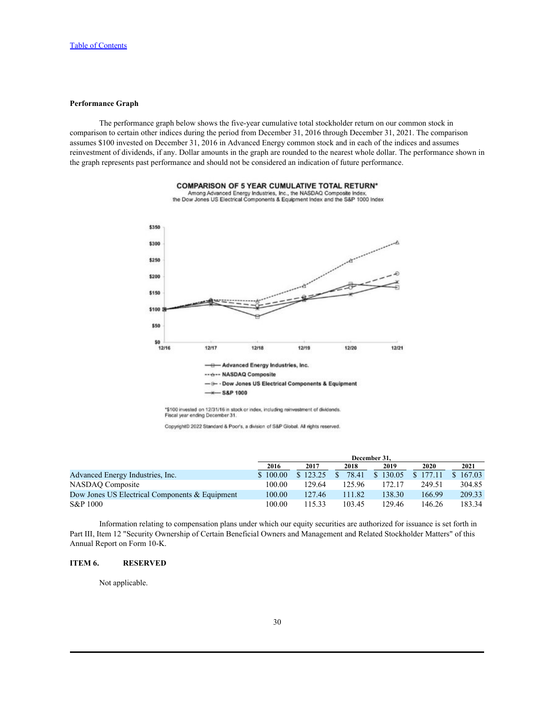## **Performance Graph**

The performance graph below shows the five-year cumulative total stockholder return on our common stock in comparison to certain other indices during the period from December 31, 2016 through December 31, 2021. The comparison assumes \$100 invested on December 31, 2016 in Advanced Energy common stock and in each of the indices and assumes reinvestment of dividends, if any. Dollar amounts in the graph are rounded to the nearest whole dollar. The performance shown in the graph represents past performance and should not be considered an indication of future performance.



**COMPARISON OF 5 YEAR CUMULATIVE TOTAL RETURN\*** Among Advanced Energy Industries, Inc., the NASDAQ Composite Index,<br>the Dow Jones US Electrical Components & Equipment Index and the S&P 1000 Index

Copyright® 2022 Standard & Poor's, a division of S&P Global. All rights reserved.

|                                                | December 31. |          |        |        |          |          |  |  |  |
|------------------------------------------------|--------------|----------|--------|--------|----------|----------|--|--|--|
|                                                | 2016         | 2017     | 2018   | 2019   | 2020     | 2021     |  |  |  |
| Advanced Energy Industries, Inc.               | 100.00       | \$123.25 | 78.41  | 130.05 | \$177.11 | \$167.03 |  |  |  |
| NASDAQ Composite                               | 100.00       | 129.64   | 125.96 | 172.17 | 249.51   | 304.85   |  |  |  |
| Dow Jones US Electrical Components & Equipment | 100.00       | 127.46   | 111.82 | 138.30 | 166.99   | 209.33   |  |  |  |
| S&P 1000                                       | 100.00       | 115.33   | 103.45 | 129.46 | 146.26   | 183.34   |  |  |  |

Information relating to compensation plans under which our equity securities are authorized for issuance is set forth in Part III, Item 12 "Security Ownership of Certain Beneficial Owners and Management and Related Stockholder Matters" of this Annual Report on Form 10-K.

## <span id="page-29-0"></span>**ITEM 6. RESERVED**

Not applicable.

<sup>\*\$100</sup> invested on 12/31/16 in stock or index, including reinvestment of dividends.<br>Fiscal year ending December 31.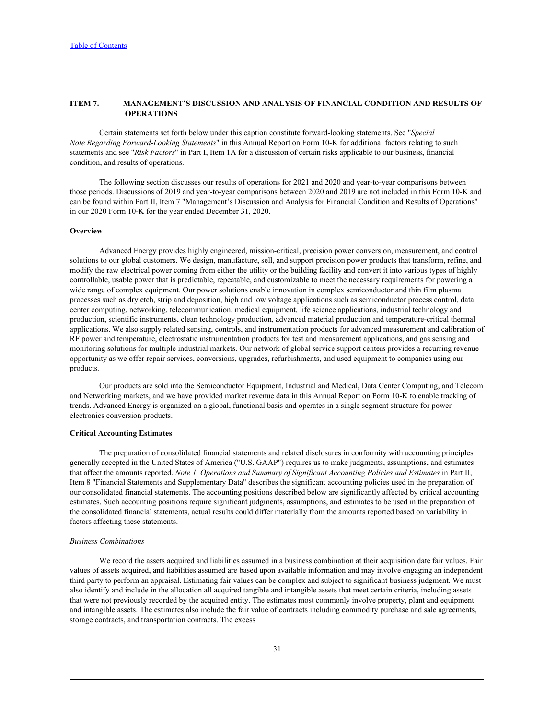# <span id="page-30-0"></span>**ITEM 7. MANAGEMENT'S DISCUSSION AND ANALYSIS OF FINANCIAL CONDITION AND RESULTS OF OPERATIONS**

Certain statements set forth below under this caption constitute forward-looking statements. See "*Special Note Regarding Forward-Looking Statements*" in this Annual Report on Form 10-K for additional factors relating to such statements and see "*Risk Factors*" in Part I, Item 1A for a discussion of certain risks applicable to our business, financial condition, and results of operations.

The following section discusses our results of operations for 2021 and 2020 and year-to-year comparisons between those periods. Discussions of 2019 and year-to-year comparisons between 2020 and 2019 are not included in this Form 10-K and can be found within Part II, Item 7 "Management's Discussion and Analysis for Financial Condition and Results of Operations" in our 2020 Form 10-K for the year ended December 31, 2020.

#### **Overview Overview** *COVERS <b>COVERS*

Advanced Energy provides highly engineered, mission-critical, precision power conversion, measurement, and control solutions to our global customers. We design, manufacture, sell, and support precision power products that transform, refine, and modify the raw electrical power coming from either the utility or the building facility and convert it into various types of highly controllable, usable power that is predictable, repeatable, and customizable to meet the necessary requirements for powering a wide range of complex equipment. Our power solutions enable innovation in complex semiconductor and thin film plasma processes such as dry etch, strip and deposition, high and low voltage applications such as semiconductor process control, data center computing, networking, telecommunication, medical equipment, life science applications, industrial technology and production, scientific instruments, clean technology production, advanced material production and temperature-critical thermal applications. We also supply related sensing, controls, and instrumentation products for advanced measurement and calibration of RF power and temperature, electrostatic instrumentation products for test and measurement applications, and gas sensing and monitoring solutions for multiple industrial markets. Our network of global service support centers provides a recurring revenue opportunity as we offer repair services, conversions, upgrades, refurbishments, and used equipment to companies using our products.

Our products are sold into the Semiconductor Equipment, Industrial and Medical, Data Center Computing, and Telecom and Networking markets, and we have provided market revenue data in this Annual Report on Form 10-K to enable tracking of trends. Advanced Energy is organized on a global, functional basis and operates in a single segment structure for power electronics conversion products.

## **Critical Accounting Estimates**

The preparation of consolidated financial statements and related disclosures in conformity with accounting principles generally accepted in the United States of America ("U.S. GAAP") requires us to make judgments, assumptions, and estimates that affect the amounts reported. *Note 1. Operations and Summary of Significant Accounting Policies and Estimates* in Part II, Item 8 "Financial Statements and Supplementary Data" describes the significant accounting policies used in the preparation of our consolidated financial statements. The accounting positions described below are significantly affected by critical accounting estimates. Such accounting positions require significant judgments, assumptions, and estimates to be used in the preparation of the consolidated financial statements, actual results could differ materially from the amounts reported based on variability in factors affecting these statements.

#### *Business Combinations*

We record the assets acquired and liabilities assumed in a business combination at their acquisition date fair values. Fair values of assets acquired, and liabilities assumed are based upon available information and may involve engaging an independent third party to perform an appraisal. Estimating fair values can be complex and subject to significant business judgment. We must also identify and include in the allocation all acquired tangible and intangible assets that meet certain criteria, including assets that were not previously recorded by the acquired entity. The estimates most commonly involve property, plant and equipment and intangible assets. The estimates also include the fair value of contracts including commodity purchase and sale agreements, storage contracts, and transportation contracts. The excess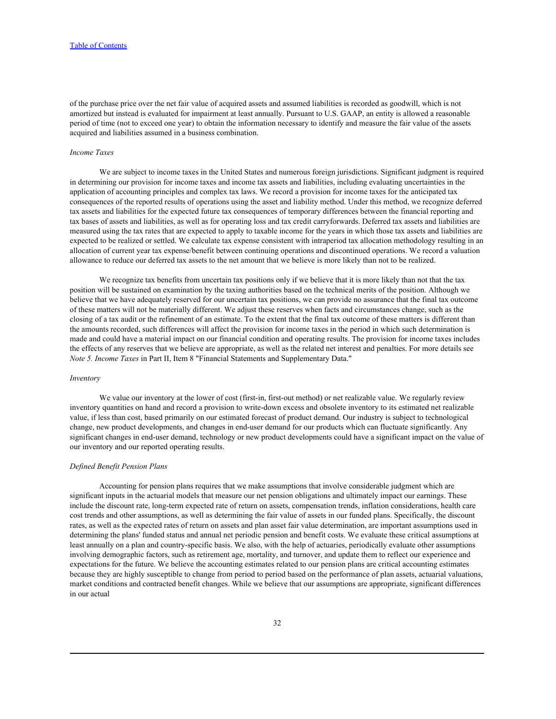of the purchase price over the net fair value of acquired assets and assumed liabilities is recorded as goodwill, which is not amortized but instead is evaluated for impairment at least annually. Pursuant to U.S. GAAP, an entity is allowed a reasonable period of time (not to exceed one year) to obtain the information necessary to identify and measure the fair value of the assets acquired and liabilities assumed in a business combination.

#### *Income Taxes*

We are subject to income taxes in the United States and numerous foreign jurisdictions. Significant judgment is required in determining our provision for income taxes and income tax assets and liabilities, including evaluating uncertainties in the application of accounting principles and complex tax laws. We record a provision for income taxes for the anticipated tax consequences of the reported results of operations using the asset and liability method. Under this method, we recognize deferred tax assets and liabilities for the expected future tax consequences of temporary differences between the financial reporting and tax bases of assets and liabilities, as well as for operating loss and tax credit carryforwards. Deferred tax assets and liabilities are measured using the tax rates that are expected to apply to taxable income for the years in which those tax assets and liabilities are expected to be realized or settled. We calculate tax expense consistent with intraperiod tax allocation methodology resulting in an allocation of current year tax expense/benefit between continuing operations and discontinued operations. We record a valuation allowance to reduce our deferred tax assets to the net amount that we believe is more likely than not to be realized.

We recognize tax benefits from uncertain tax positions only if we believe that it is more likely than not that the tax position will be sustained on examination by the taxing authorities based on the technical merits of the position. Although we believe that we have adequately reserved for our uncertain tax positions, we can provide no assurance that the final tax outcome of these matters will not be materially different. We adjust these reserves when facts and circumstances change, such as the closing of a tax audit or the refinement of an estimate. To the extent that the final tax outcome of these matters is different than the amounts recorded, such differences will affect the provision for income taxes in the period in which such determination is made and could have a material impact on our financial condition and operating results. The provision for income taxes includes the effects of any reserves that we believe are appropriate, as well as the related net interest and penalties. For more details see *Note 5. Income Taxes* in Part II, Item 8 "Financial Statements and Supplementary Data."

## *Inventory*

We value our inventory at the lower of cost (first-in, first-out method) or net realizable value. We regularly review inventory quantities on hand and record a provision to write-down excess and obsolete inventory to its estimated net realizable value, if less than cost, based primarily on our estimated forecast of product demand. Our industry is subject to technological change, new product developments, and changes in end-user demand for our products which can fluctuate significantly. Any significant changes in end-user demand, technology or new product developments could have a significant impact on the value of our inventory and our reported operating results.

## *Defined Benefit Pension Plans*

Accounting for pension plans requires that we make assumptions that involve considerable judgment which are significant inputs in the actuarial models that measure our net pension obligations and ultimately impact our earnings. These include the discount rate, long-term expected rate of return on assets, compensation trends, inflation considerations, health care cost trends and other assumptions, as well as determining the fair value of assets in our funded plans. Specifically, the discount rates, as well as the expected rates of return on assets and plan asset fair value determination, are important assumptions used in determining the plans' funded status and annual net periodic pension and benefit costs. We evaluate these critical assumptions at least annually on a plan and country-specific basis. We also, with the help of actuaries, periodically evaluate other assumptions involving demographic factors, such as retirement age, mortality, and turnover, and update them to reflect our experience and expectations for the future. We believe the accounting estimates related to our pension plans are critical accounting estimates because they are highly susceptible to change from period to period based on the performance of plan assets, actuarial valuations, market conditions and contracted benefit changes. While we believe that our assumptions are appropriate, significant differences in our actual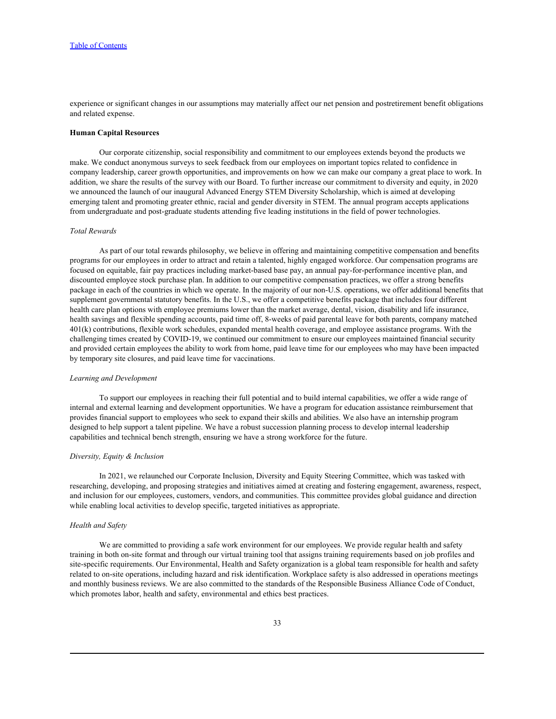experience or significant changes in our assumptions may materially affect our net pension and postretirement benefit obligations and related expense.

## **Human Capital Resources**

Our corporate citizenship, social responsibility and commitment to our employees extends beyond the products we make. We conduct anonymous surveys to seek feedback from our employees on important topics related to confidence in company leadership, career growth opportunities, and improvements on how we can make our company a great place to work. In addition, we share the results of the survey with our Board. To further increase our commitment to diversity and equity, in 2020 we announced the launch of our inaugural Advanced Energy STEM Diversity Scholarship, which is aimed at developing emerging talent and promoting greater ethnic, racial and gender diversity in STEM. The annual program accepts applications from undergraduate and post-graduate students attending five leading institutions in the field of power technologies.

# *Total Rewards*

As part of our total rewards philosophy, we believe in offering and maintaining competitive compensation and benefits programs for our employees in order to attract and retain a talented, highly engaged workforce. Our compensation programs are focused on equitable, fair pay practices including market-based base pay, an annual pay-for-performance incentive plan, and discounted employee stock purchase plan. In addition to our competitive compensation practices, we offer a strong benefits package in each of the countries in which we operate. In the majority of our non-U.S. operations, we offer additional benefits that supplement governmental statutory benefits. In the U.S., we offer a competitive benefits package that includes four different health care plan options with employee premiums lower than the market average, dental, vision, disability and life insurance, health savings and flexible spending accounts, paid time off, 8-weeks of paid parental leave for both parents, company matched 401(k) contributions, flexible work schedules, expanded mental health coverage, and employee assistance programs. With the challenging times created by COVID-19, we continued our commitment to ensure our employees maintained financial security and provided certain employees the ability to work from home, paid leave time for our employees who may have been impacted by temporary site closures, and paid leave time for vaccinations.

## *Learning and Development*

To support our employees in reaching their full potential and to build internal capabilities, we offer a wide range of internal and external learning and development opportunities. We have a program for education assistance reimbursement that provides financial support to employees who seek to expand their skills and abilities. We also have an internship program designed to help support a talent pipeline. We have a robust succession planning process to develop internal leadership capabilities and technical bench strength, ensuring we have a strong workforce for the future.

## *Diversity, Equity & Inclusion*

In 2021, we relaunched our Corporate Inclusion, Diversity and Equity Steering Committee, which was tasked with researching, developing, and proposing strategies and initiatives aimed at creating and fostering engagement, awareness, respect, and inclusion for our employees, customers, vendors, and communities. This committee provides global guidance and direction while enabling local activities to develop specific, targeted initiatives as appropriate.

## *Health and Safety*

We are committed to providing a safe work environment for our employees. We provide regular health and safety training in both on-site format and through our virtual training tool that assigns training requirements based on job profiles and site-specific requirements. Our Environmental, Health and Safety organization is a global team responsible for health and safety related to on-site operations, including hazard and risk identification. Workplace safety is also addressed in operations meetings and monthly business reviews. We are also committed to the standards of the Responsible Business Alliance Code of Conduct, which promotes labor, health and safety, environmental and ethics best practices.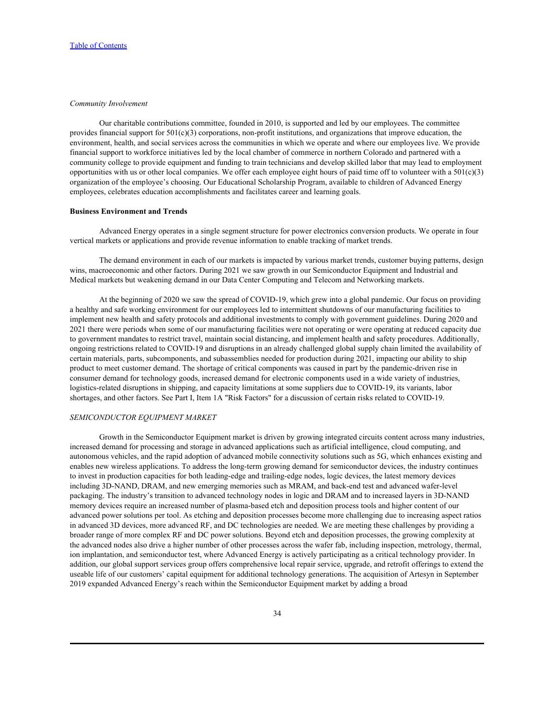## *Community Involvement*

Our charitable contributions committee, founded in 2010, is supported and led by our employees. The committee provides financial support for  $501(c)(3)$  corporations, non-profit institutions, and organizations that improve education, the environment, health, and social services across the communities in which we operate and where our employees live. We provide financial support to workforce initiatives led by the local chamber of commerce in northern Colorado and partnered with a community college to provide equipment and funding to train technicians and develop skilled labor that may lead to employment opportunities with us or other local companies. We offer each employee eight hours of paid time off to volunteer with a  $501(c)(3)$ organization of the employee's choosing. Our Educational Scholarship Program, available to children of Advanced Energy employees, celebrates education accomplishments and facilitates career and learning goals.

## **Business Environment and Trends**

Advanced Energy operates in a single segment structure for power electronics conversion products. We operate in four vertical markets or applications and provide revenue information to enable tracking of market trends.

The demand environment in each of our markets is impacted by various market trends, customer buying patterns, design wins, macroeconomic and other factors. During 2021 we saw growth in our Semiconductor Equipment and Industrial and Medical markets but weakening demand in our Data Center Computing and Telecom and Networking markets.

At the beginning of 2020 we saw the spread of COVID-19, which grew into a global pandemic. Our focus on providing a healthy and safe working environment for our employees led to intermittent shutdowns of our manufacturing facilities to implement new health and safety protocols and additional investments to comply with government guidelines. During 2020 and 2021 there were periods when some of our manufacturing facilities were not operating or were operating at reduced capacity due to government mandates to restrict travel, maintain social distancing, and implement health and safety procedures. Additionally, ongoing restrictions related to COVID-19 and disruptions in an already challenged global supply chain limited the availability of certain materials, parts, subcomponents, and subassemblies needed for production during 2021, impacting our ability to ship product to meet customer demand. The shortage of critical components was caused in part by the pandemic-driven rise in consumer demand for technology goods, increased demand for electronic components used in a wide variety of industries, logistics-related disruptions in shipping, and capacity limitations at some suppliers due to COVID-19, its variants, labor shortages, and other factors. See Part I, Item 1A "Risk Factors" for a discussion of certain risks related to COVID-19.

## *SEMICONDUCTOR EQUIPMENT MARKET*

Growth in the Semiconductor Equipment market is driven by growing integrated circuits content across many industries, increased demand for processing and storage in advanced applications such as artificial intelligence, cloud computing, and autonomous vehicles, and the rapid adoption of advanced mobile connectivity solutions such as 5G, which enhances existing and enables new wireless applications. To address the long-term growing demand for semiconductor devices, the industry continues to invest in production capacities for both leading-edge and trailing-edge nodes, logic devices, the latest memory devices including 3D-NAND, DRAM, and new emerging memories such as MRAM, and back-end test and advanced wafer-level packaging. The industry's transition to advanced technology nodes in logic and DRAM and to increased layers in 3D-NAND memory devices require an increased number of plasma-based etch and deposition process tools and higher content of our advanced power solutions per tool. As etching and deposition processes become more challenging due to increasing aspect ratios in advanced 3D devices, more advanced RF, and DC technologies are needed. We are meeting these challenges by providing a broader range of more complex RF and DC power solutions. Beyond etch and deposition processes, the growing complexity at the advanced nodes also drive a higher number of other processes across the wafer fab, including inspection, metrology, thermal, ion implantation, and semiconductor test, where Advanced Energy is actively participating as a critical technology provider. In addition, our global support services group offers comprehensive local repair service, upgrade, and retrofit offerings to extend the useable life of our customers' capital equipment for additional technology generations. The acquisition of Artesyn in September 2019 expanded Advanced Energy's reach within the Semiconductor Equipment market by adding a broad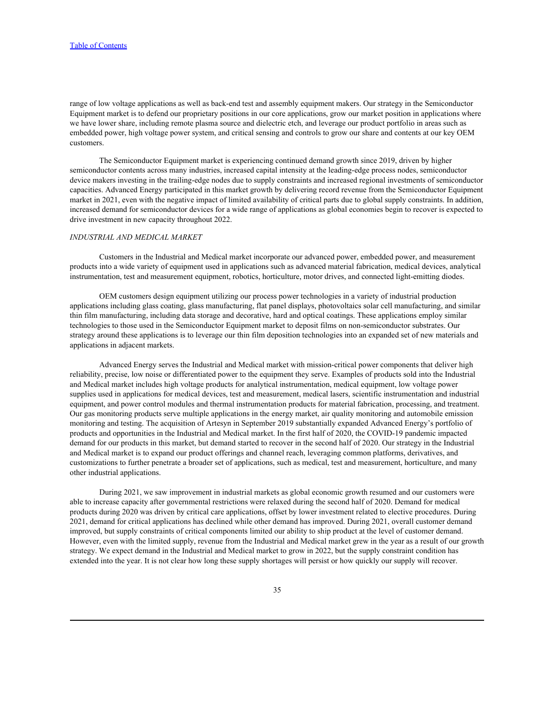range of low voltage applications as well as back-end test and assembly equipment makers. Our strategy in the Semiconductor Equipment market is to defend our proprietary positions in our core applications, grow our market position in applications where we have lower share, including remote plasma source and dielectric etch, and leverage our product portfolio in areas such as embedded power, high voltage power system, and critical sensing and controls to grow our share and contents at our key OEM customers.

The Semiconductor Equipment market is experiencing continued demand growth since 2019, driven by higher semiconductor contents across many industries, increased capital intensity at the leading-edge process nodes, semiconductor device makers investing in the trailing-edge nodes due to supply constraints and increased regional investments of semiconductor capacities. Advanced Energy participated in this market growth by delivering record revenue from the Semiconductor Equipment market in 2021, even with the negative impact of limited availability of critical parts due to global supply constraints. In addition, increased demand for semiconductor devices for a wide range of applications as global economies begin to recover is expected to drive investment in new capacity throughout 2022.

## *INDUSTRIAL AND MEDICAL MARKET*

Customers in the Industrial and Medical market incorporate our advanced power, embedded power, and measurement products into a wide variety of equipment used in applications such as advanced material fabrication, medical devices, analytical instrumentation, test and measurement equipment, robotics, horticulture, motor drives, and connected light-emitting diodes.

OEM customers design equipment utilizing our process power technologies in a variety of industrial production applications including glass coating, glass manufacturing, flat panel displays, photovoltaics solar cell manufacturing, and similar thin film manufacturing, including data storage and decorative, hard and optical coatings. These applications employ similar technologies to those used in the Semiconductor Equipment market to deposit films on non-semiconductor substrates. Our strategy around these applications is to leverage our thin film deposition technologies into an expanded set of new materials and applications in adjacent markets.

Advanced Energy serves the Industrial and Medical market with mission-critical power components that deliver high reliability, precise, low noise or differentiated power to the equipment they serve. Examples of products sold into the Industrial and Medical market includes high voltage products for analytical instrumentation, medical equipment, low voltage power supplies used in applications for medical devices, test and measurement, medical lasers, scientific instrumentation and industrial equipment, and power control modules and thermal instrumentation products for material fabrication, processing, and treatment. Our gas monitoring products serve multiple applications in the energy market, air quality monitoring and automobile emission monitoring and testing. The acquisition of Artesyn in September 2019 substantially expanded Advanced Energy's portfolio of products and opportunities in the Industrial and Medical market. In the first half of 2020, the COVID-19 pandemic impacted demand for our products in this market, but demand started to recover in the second half of 2020. Our strategy in the Industrial and Medical market is to expand our product offerings and channel reach, leveraging common platforms, derivatives, and customizations to further penetrate a broader set of applications, such as medical, test and measurement, horticulture, and many other industrial applications.

During 2021, we saw improvement in industrial markets as global economic growth resumed and our customers were able to increase capacity after governmental restrictions were relaxed during the second half of 2020. Demand for medical products during 2020 was driven by critical care applications, offset by lower investment related to elective procedures. During 2021, demand for critical applications has declined while other demand has improved. During 2021, overall customer demand improved, but supply constraints of critical components limited our ability to ship product at the level of customer demand. However, even with the limited supply, revenue from the Industrial and Medical market grew in the year as a result of our growth strategy. We expect demand in the Industrial and Medical market to grow in 2022, but the supply constraint condition has extended into the year. It is not clear how long these supply shortages will persist or how quickly our supply will recover.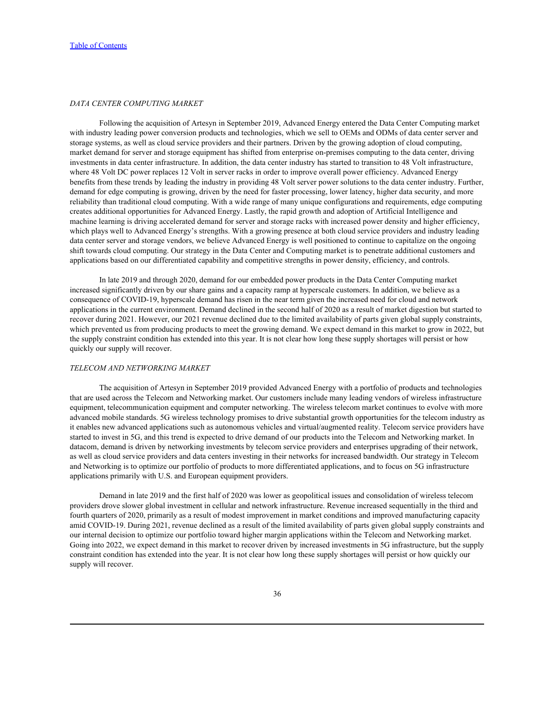# *DATA CENTER COMPUTING MARKET*

Following the acquisition of Artesyn in September 2019, Advanced Energy entered the Data Center Computing market with industry leading power conversion products and technologies, which we sell to OEMs and ODMs of data center server and storage systems, as well as cloud service providers and their partners. Driven by the growing adoption of cloud computing, market demand for server and storage equipment has shifted from enterprise on-premises computing to the data center, driving investments in data center infrastructure. In addition, the data center industry has started to transition to 48 Volt infrastructure, where 48 Volt DC power replaces 12 Volt in server racks in order to improve overall power efficiency. Advanced Energy benefits from these trends by leading the industry in providing 48 Volt server power solutions to the data center industry. Further, demand for edge computing is growing, driven by the need for faster processing, lower latency, higher data security, and more reliability than traditional cloud computing. With a wide range of many unique configurations and requirements, edge computing creates additional opportunities for Advanced Energy. Lastly, the rapid growth and adoption of Artificial Intelligence and machine learning is driving accelerated demand for server and storage racks with increased power density and higher efficiency, which plays well to Advanced Energy's strengths. With a growing presence at both cloud service providers and industry leading data center server and storage vendors, we believe Advanced Energy is well positioned to continue to capitalize on the ongoing shift towards cloud computing. Our strategy in the Data Center and Computing market is to penetrate additional customers and applications based on our differentiated capability and competitive strengths in power density, efficiency, and controls.

In late 2019 and through 2020, demand for our embedded power products in the Data Center Computing market increased significantly driven by our share gains and a capacity ramp at hyperscale customers. In addition, we believe as a consequence of COVID-19, hyperscale demand has risen in the near term given the increased need for cloud and network applications in the current environment. Demand declined in the second half of 2020 as a result of market digestion but started to recover during 2021. However, our 2021 revenue declined due to the limited availability of parts given global supply constraints, which prevented us from producing products to meet the growing demand. We expect demand in this market to grow in 2022, but the supply constraint condition has extended into this year. It is not clear how long these supply shortages will persist or how quickly our supply will recover.

## *TELECOM AND NETWORKING MARKET*

The acquisition of Artesyn in September 2019 provided Advanced Energy with a portfolio of products and technologies that are used across the Telecom and Networking market. Our customers include many leading vendors of wireless infrastructure equipment, telecommunication equipment and computer networking. The wireless telecom market continues to evolve with more advanced mobile standards. 5G wireless technology promises to drive substantial growth opportunities for the telecom industry as it enables new advanced applications such as autonomous vehicles and virtual/augmented reality. Telecom service providers have started to invest in 5G, and this trend is expected to drive demand of our products into the Telecom and Networking market. In datacom, demand is driven by networking investments by telecom service providers and enterprises upgrading of their network, as well as cloud service providers and data centers investing in their networks for increased bandwidth. Our strategy in Telecom and Networking is to optimize our portfolio of products to more differentiated applications, and to focus on 5G infrastructure applications primarily with U.S. and European equipment providers.

Demand in late 2019 and the first half of 2020 was lower as geopolitical issues and consolidation of wireless telecom providers drove slower global investment in cellular and network infrastructure. Revenue increased sequentially in the third and fourth quarters of 2020, primarily as a result of modest improvement in market conditions and improved manufacturing capacity amid COVID-19. During 2021, revenue declined as a result of the limited availability of parts given global supply constraints and our internal decision to optimize our portfolio toward higher margin applications within the Telecom and Networking market. Going into 2022, we expect demand in this market to recover driven by increased investments in 5G infrastructure, but the supply constraint condition has extended into the year. It is not clear how long these supply shortages will persist or how quickly our supply will recover.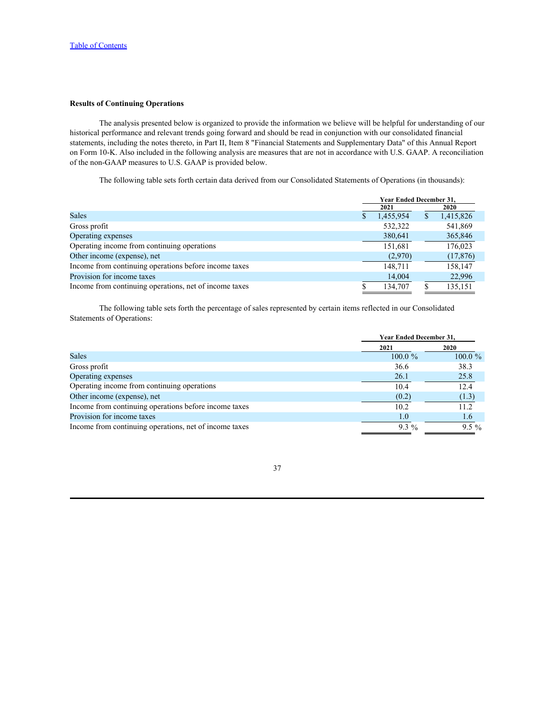# **Results of Continuing Operations**

The analysis presented below is organized to provide the information we believe will be helpful for understanding of our historical performance and relevant trends going forward and should be read in conjunction with our consolidated financial statements, including the notes thereto, in Part II, Item 8 "Financial Statements and Supplementary Data" of this Annual Report on Form 10-K. Also included in the following analysis are measures that are not in accordance with U.S. GAAP. A reconciliation of the non-GAAP measures to U.S. GAAP is provided below.

The following table sets forth certain data derived from our Consolidated Statements of Operations (in thousands):

| 2021      | 2020                           |
|-----------|--------------------------------|
| 1,455,954 | 1,415,826                      |
| 532,322   | 541,869                        |
| 380,641   | 365,846                        |
| 151,681   | 176,023                        |
| (2,970)   | (17, 876)                      |
| 148.711   | 158,147                        |
| 14.004    | 22,996                         |
| 134,707   | 135,151                        |
|           | <b>Year Ended December 31.</b> |

The following table sets forth the percentage of sales represented by certain items reflected in our Consolidated Statements of Operations:

|                                                        | <b>Year Ended December 31,</b> |            |
|--------------------------------------------------------|--------------------------------|------------|
|                                                        | 2021                           | 2020       |
| <b>Sales</b>                                           | 100.0%                         | $100.0 \%$ |
| Gross profit                                           | 36.6                           | 38.3       |
| Operating expenses                                     | 26.1                           | 25.8       |
| Operating income from continuing operations            | 10.4                           | .2.4       |
| Other income (expense), net                            | (0.2)                          | (1.3)      |
| Income from continuing operations before income taxes  | 10.2                           |            |
| Provision for income taxes                             | 1.0 <sub>1</sub>               | 1.6        |
| Income from continuing operations, net of income taxes | $9.3\%$                        | $9.5\%$    |
|                                                        |                                |            |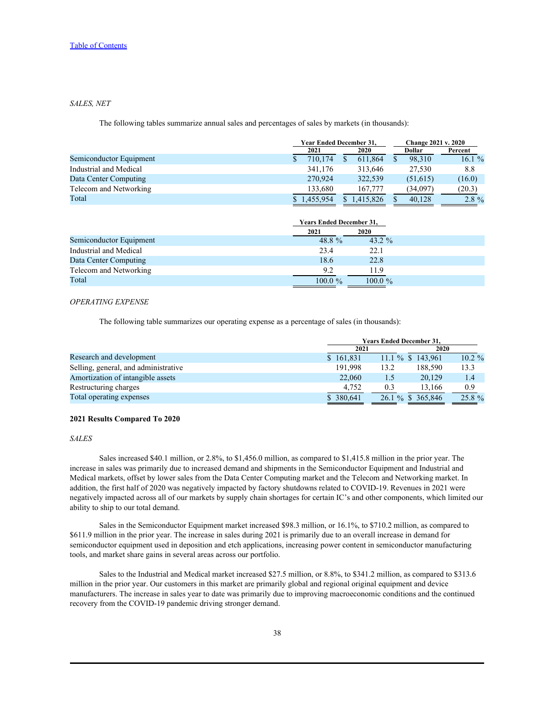## *SALES, NET*

The following tables summarize annual sales and percentages of sales by markets (in thousands):

|                         | <b>Year Ended December 31.</b> |           | Change 2021 v. 2020 |         |  |  |
|-------------------------|--------------------------------|-----------|---------------------|---------|--|--|
|                         | 2021                           | 2020      | Dollar              | Percent |  |  |
| Semiconductor Equipment | 710,174                        | 611.864   | 98,310              | 16.1%   |  |  |
| Industrial and Medical  | 341,176                        | 313,646   | 27,530              | 8.8     |  |  |
| Data Center Computing   | 270,924                        | 322,539   | (51,615)            | (16.0)  |  |  |
| Telecom and Networking  | 133,680                        | 167,777   | (34,097)            | (20.3)  |  |  |
| Total                   | 1,455,954                      | 1.415.826 | 40,128              | $2.8\%$ |  |  |

|                         | <b>Years Ended December 31,</b> |            |  |
|-------------------------|---------------------------------|------------|--|
|                         | 2021                            | 2020       |  |
| Semiconductor Equipment | 48.8%                           | 43.2 $%$   |  |
| Industrial and Medical  | 23.4                            | 22.1       |  |
| Data Center Computing   | 18.6                            | 22.8       |  |
| Telecom and Networking  | 9.2                             | 11.9       |  |
| Total                   | 100.0%                          | $100.0 \%$ |  |

### *OPERATING EXPENSE*

The following table summarizes our operating expense as a percentage of sales (in thousands):

|                                      | <b>Years Ended December 31,</b> |                     |         |           |  |  |
|--------------------------------------|---------------------------------|---------------------|---------|-----------|--|--|
|                                      | 2021                            |                     | 2020    |           |  |  |
| Research and development             | 161,831                         | $11.1\%$ \$ 143,961 |         | $10.2 \%$ |  |  |
| Selling, general, and administrative | 191.998                         | 132                 | 188,590 | 13.3      |  |  |
| Amortization of intangible assets    | 22,060                          |                     | 20,129  | 1.4       |  |  |
| Restructuring charges                | 4.752                           | 0.3                 | 13,166  | 0.9       |  |  |
| Total operating expenses             | 380,641                         | 26.1 % \$ 365,846   |         | $25.8 \%$ |  |  |

## **2021 Results Compared To 2020**

#### *SALES*

Sales increased \$40.1 million, or 2.8%, to \$1,456.0 million, as compared to \$1,415.8 million in the prior year. The increase in sales was primarily due to increased demand and shipments in the Semiconductor Equipment and Industrial and Medical markets, offset by lower sales from the Data Center Computing market and the Telecom and Networking market. In addition, the first half of 2020 was negatively impacted by factory shutdowns related to COVID-19. Revenues in 2021 were negatively impacted across all of our markets by supply chain shortages for certain IC's and other components, which limited our ability to ship to our total demand.

Sales in the Semiconductor Equipment market increased \$98.3 million, or 16.1%, to \$710.2 million, as compared to \$611.9 million in the prior year. The increase in sales during 2021 is primarily due to an overall increase in demand for semiconductor equipment used in deposition and etch applications, increasing power content in semiconductor manufacturing tools, and market share gains in several areas across our portfolio.

Sales to the Industrial and Medical market increased \$27.5 million, or 8.8%, to \$341.2 million, as compared to \$313.6 million in the prior year. Our customers in this market are primarily global and regional original equipment and device manufacturers. The increase in sales year to date was primarily due to improving macroeconomic conditions and the continued recovery from the COVID-19 pandemic driving stronger demand.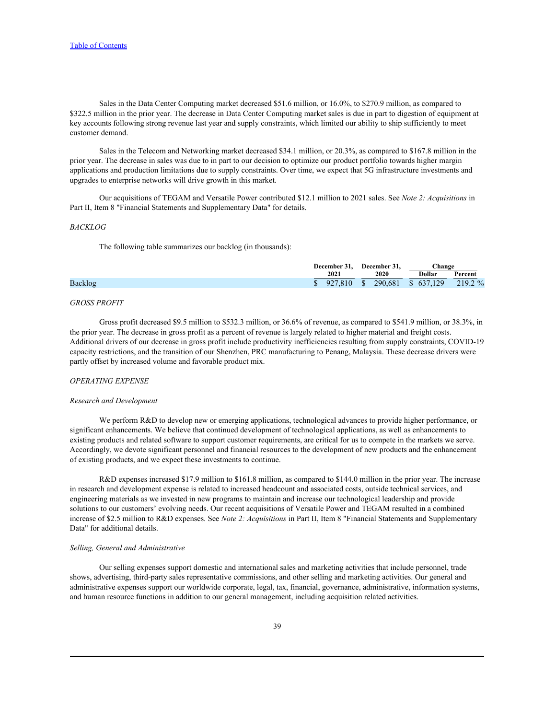Sales in the Data Center Computing market decreased \$51.6 million, or 16.0%, to \$270.9 million, as compared to \$322.5 million in the prior year. The decrease in Data Center Computing market sales is due in part to digestion of equipment at key accounts following strong revenue last year and supply constraints, which limited our ability to ship sufficiently to meet customer demand.

Sales in the Telecom and Networking market decreased \$34.1 million, or 20.3%, as compared to \$167.8 million in the prior year. The decrease in sales was due to in part to our decision to optimize our product portfolio towards higher margin applications and production limitations due to supply constraints. Over time, we expect that 5G infrastructure investments and upgrades to enterprise networks will drive growth in this market.

Our acquisitions of TEGAM and Versatile Power contributed \$12.1 million to 2021 sales. See *Note 2: Acquisitions* in Part II, Item 8 "Financial Statements and Supplementary Data" for details.

### *BACKLOG*

The following table summarizes our backlog (in thousands):

|                | - - -<br>December 31. | December 31, | .)hange |         |
|----------------|-----------------------|--------------|---------|---------|
|                | 2021                  | 2020         | Dollar  | Percent |
| <b>Backlog</b> | 927,810               | 290.681      | 637,129 | 219.2 % |

### *GROSS PROFIT*

Gross profit decreased \$9.5 million to \$532.3 million, or 36.6% of revenue, as compared to \$541.9 million, or 38.3%, in the prior year. The decrease in gross profit as a percent of revenue is largely related to higher material and freight costs. Additional drivers of our decrease in gross profit include productivity inefficiencies resulting from supply constraints, COVID-19 capacity restrictions, and the transition of our Shenzhen, PRC manufacturing to Penang, Malaysia. These decrease drivers were partly offset by increased volume and favorable product mix.

### *OPERATING EXPENSE*

#### *Research and Development*

We perform R&D to develop new or emerging applications, technological advances to provide higher performance, or significant enhancements. We believe that continued development of technological applications, as well as enhancements to existing products and related software to support customer requirements, are critical for us to compete in the markets we serve. Accordingly, we devote significant personnel and financial resources to the development of new products and the enhancement of existing products, and we expect these investments to continue.

R&D expenses increased \$17.9 million to \$161.8 million, as compared to \$144.0 million in the prior year. The increase in research and development expense is related to increased headcount and associated costs, outside technical services, and engineering materials as we invested in new programs to maintain and increase our technological leadership and provide solutions to our customers' evolving needs. Our recent acquisitions of Versatile Power and TEGAM resulted in a combined increase of \$2.5 million to R&D expenses. See *Note 2: Acquisitions* in Part II, Item 8 "Financial Statements and Supplementary Data" for additional details.

#### *Selling, General and Administrative*

Our selling expenses support domestic and international sales and marketing activities that include personnel, trade shows, advertising, third-party sales representative commissions, and other selling and marketing activities. Our general and administrative expenses support our worldwide corporate, legal, tax, financial, governance, administrative, information systems, and human resource functions in addition to our general management, including acquisition related activities.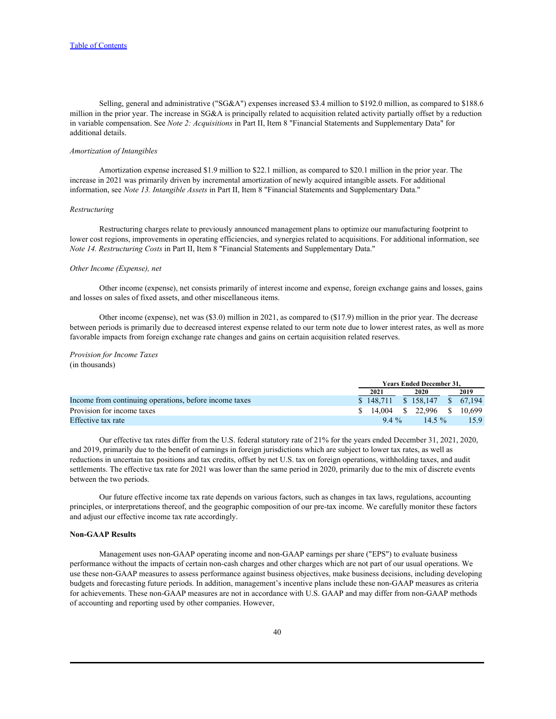Selling, general and administrative ("SG&A") expenses increased \$3.4 million to \$192.0 million, as compared to \$188.6 million in the prior year. The increase in SG&A is principally related to acquisition related activity partially offset by a reduction in variable compensation. See *Note 2: Acquisitions* in Part II, Item 8 "Financial Statements and Supplementary Data" for additional details.

### *Amortization of Intangibles*

Amortization expense increased \$1.9 million to \$22.1 million, as compared to \$20.1 million in the prior year. The increase in 2021 was primarily driven by incremental amortization of newly acquired intangible assets. For additional information, see *Note 13. Intangible Assets* in Part II, Item 8 "Financial Statements and Supplementary Data."

#### *Restructuring*

Restructuring charges relate to previously announced management plans to optimize our manufacturing footprint to lower cost regions, improvements in operating efficiencies, and synergies related to acquisitions. For additional information, see *Note 14. Restructuring Costs* in Part II, Item 8 "Financial Statements and Supplementary Data."

### *Other Income (Expense), net*

Other income (expense), net consists primarily of interest income and expense, foreign exchange gains and losses, gains and losses on sales of fixed assets, and other miscellaneous items.

Other income (expense), net was (\$3.0) million in 2021, as compared to (\$17.9) million in the prior year. The decrease between periods is primarily due to decreased interest expense related to our term note due to lower interest rates, as well as more favorable impacts from foreign exchange rate changes and gains on certain acquisition related reserves.

### *Provision for Income Taxes* (in thousands)

|                                                        |                                 | <b>Years Ended December 31.</b> |        |
|--------------------------------------------------------|---------------------------------|---------------------------------|--------|
|                                                        | 2021                            | 2020                            | 2019   |
| Income from continuing operations, before income taxes | \$ 148,711 \$ 158,147 \$ 67,194 |                                 |        |
| Provision for income taxes                             | 14.004 \$ 22.996 \$             |                                 | 10.699 |
| Effective tax rate                                     | $9.4\%$                         | 14.5 $%$                        | 15.9   |

Our effective tax rates differ from the U.S. federal statutory rate of 21% for the years ended December 31, 2021, 2020, and 2019, primarily due to the benefit of earnings in foreign jurisdictions which are subject to lower tax rates, as well as reductions in uncertain tax positions and tax credits, offset by net U.S. tax on foreign operations, withholding taxes, and audit settlements. The effective tax rate for 2021 was lower than the same period in 2020, primarily due to the mix of discrete events between the two periods.

Our future effective income tax rate depends on various factors, such as changes in tax laws, regulations, accounting principles, or interpretations thereof, and the geographic composition of our pre-tax income. We carefully monitor these factors and adjust our effective income tax rate accordingly.

# **Non-GAAP Results**

Management uses non-GAAP operating income and non-GAAP earnings per share ("EPS") to evaluate business performance without the impacts of certain non-cash charges and other charges which are not part of our usual operations. We use these non-GAAP measures to assess performance against business objectives, make business decisions, including developing budgets and forecasting future periods. In addition, management's incentive plans include these non-GAAP measures as criteria for achievements. These non-GAAP measures are not in accordance with U.S. GAAP and may differ from non-GAAP methods of accounting and reporting used by other companies. However,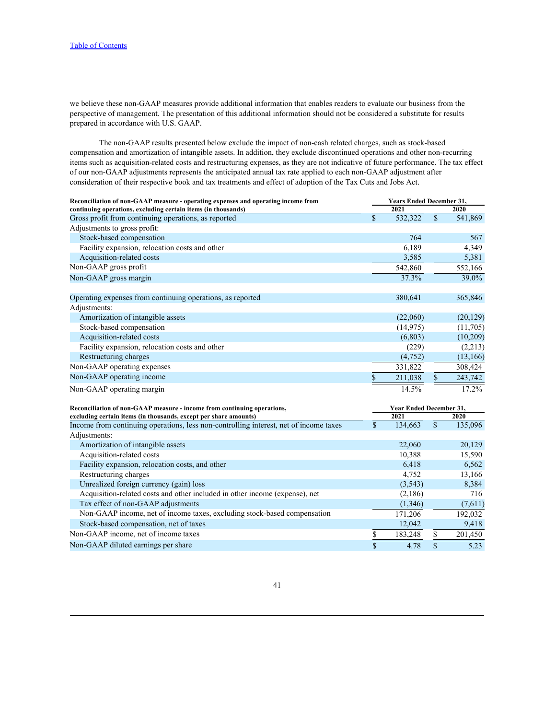we believe these non-GAAP measures provide additional information that enables readers to evaluate our business from the perspective of management. The presentation of this additional information should not be considered a substitute for results prepared in accordance with U.S. GAAP.

The non-GAAP results presented below exclude the impact of non-cash related charges, such as stock-based compensation and amortization of intangible assets. In addition, they exclude discontinued operations and other non-recurring items such as acquisition-related costs and restructuring expenses, as they are not indicative of future performance. The tax effect of our non-GAAP adjustments represents the anticipated annual tax rate applied to each non-GAAP adjustment after consideration of their respective book and tax treatments and effect of adoption of the Tax Cuts and Jobs Act.

| Reconciliation of non-GAAP measure - operating expenses and operating income from     |    | <b>Years Ended December 31,</b> |               |           |
|---------------------------------------------------------------------------------------|----|---------------------------------|---------------|-----------|
| continuing operations, excluding certain items (in thousands)                         |    | 2021                            |               | 2020      |
| Gross profit from continuing operations, as reported                                  |    | 532,322                         | <sup>\$</sup> | 541,869   |
| Adjustments to gross profit:                                                          |    |                                 |               |           |
| Stock-based compensation                                                              |    | 764                             |               | 567       |
| Facility expansion, relocation costs and other                                        |    | 6,189                           |               | 4,349     |
| Acquisition-related costs                                                             |    | 3,585                           |               | 5,381     |
| Non-GAAP gross profit                                                                 |    | 542,860                         |               | 552,166   |
| Non-GAAP gross margin                                                                 |    | 37.3%                           |               | 39.0%     |
|                                                                                       |    |                                 |               |           |
| Operating expenses from continuing operations, as reported                            |    | 380,641                         |               | 365,846   |
| Adjustments:                                                                          |    |                                 |               |           |
| Amortization of intangible assets                                                     |    | (22,060)                        |               | (20, 129) |
| Stock-based compensation                                                              |    | (14, 975)                       |               | (11,705)  |
| Acquisition-related costs                                                             |    | (6,803)                         |               | (10,209)  |
| Facility expansion, relocation costs and other                                        |    | (229)                           |               | (2,213)   |
| Restructuring charges                                                                 |    | (4,752)                         |               | (13,166)  |
| Non-GAAP operating expenses                                                           |    | 331,822                         |               | 308,424   |
| Non-GAAP operating income                                                             |    | 211,038                         |               | 243,742   |
| Non-GAAP operating margin                                                             |    | 14.5%                           |               | 17.2%     |
| Reconciliation of non-GAAP measure - income from continuing operations,               |    | <b>Year Ended December 31,</b>  |               |           |
| excluding certain items (in thousands, except per share amounts)                      |    | 2021                            |               | 2020      |
| Income from continuing operations, less non-controlling interest, net of income taxes | -S | 134,663                         | <sup>S</sup>  | 135,096   |
| Adjustments:                                                                          |    |                                 |               |           |
| Amortization of intangible assets                                                     |    | 22,060                          |               | 20,129    |
| Acquisition-related costs                                                             |    | 10,388                          |               | 15,590    |
| Facility expansion, relocation costs, and other                                       |    | 6,418                           |               | 6,562     |
| Restructuring charges                                                                 |    | 4,752                           |               | 13,166    |
| Unrealized foreign currency (gain) loss                                               |    | (3,543)                         |               | 8,384     |
| Acquisition-related costs and other included in other income (expense), net           |    | (2,186)                         |               | 716       |
| Tax effect of non-GAAP adjustments                                                    |    | (1, 346)                        |               | (7,611)   |
| Non-GAAP income, net of income taxes, excluding stock-based compensation              |    | 171,206                         |               | 192,032   |
| Stock-based compensation, net of taxes                                                |    | 12,042                          |               | 9,418     |
| Non-GAAP income, net of income taxes                                                  |    | 183,248                         |               | 201,450   |
|                                                                                       |    |                                 |               |           |
| Non-GAAP diluted earnings per share                                                   |    | 4.78                            |               | 5.23      |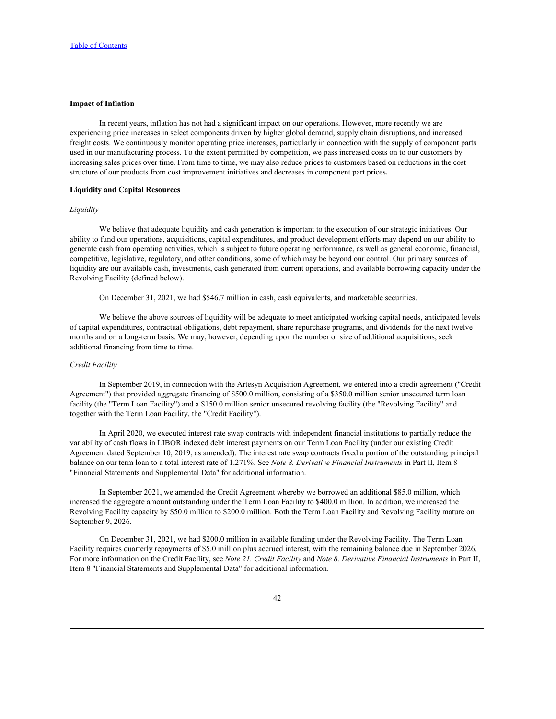### **Impact of Inflation**

In recent years, inflation has not had a significant impact on our operations. However, more recently we are experiencing price increases in select components driven by higher global demand, supply chain disruptions, and increased freight costs. We continuously monitor operating price increases, particularly in connection with the supply of component parts used in our manufacturing process. To the extent permitted by competition, we pass increased costs on to our customers by increasing sales prices over time. From time to time, we may also reduce prices to customers based on reductions in the cost structure of our products from cost improvement initiatives and decreases in component part prices**.**

### **Liquidity and Capital Resources**

#### *Liquidity*

We believe that adequate liquidity and cash generation is important to the execution of our strategic initiatives. Our ability to fund our operations, acquisitions, capital expenditures, and product development efforts may depend on our ability to generate cash from operating activities, which is subject to future operating performance, as well as general economic, financial, competitive, legislative, regulatory, and other conditions, some of which may be beyond our control. Our primary sources of liquidity are our available cash, investments, cash generated from current operations, and available borrowing capacity under the Revolving Facility (defined below).

On December 31, 2021, we had \$546.7 million in cash, cash equivalents, and marketable securities.

We believe the above sources of liquidity will be adequate to meet anticipated working capital needs, anticipated levels of capital expenditures, contractual obligations, debt repayment, share repurchase programs, and dividends for the next twelve months and on a long-term basis. We may, however, depending upon the number or size of additional acquisitions, seek additional financing from time to time.

## *Credit Facility*

In September 2019, in connection with the Artesyn Acquisition Agreement, we entered into a credit agreement ("Credit Agreement") that provided aggregate financing of \$500.0 million, consisting of a \$350.0 million senior unsecured term loan facility (the "Term Loan Facility") and a \$150.0 million senior unsecured revolving facility (the "Revolving Facility" and together with the Term Loan Facility, the "Credit Facility").

In April 2020, we executed interest rate swap contracts with independent financial institutions to partially reduce the variability of cash flows in LIBOR indexed debt interest payments on our Term Loan Facility (under our existing Credit Agreement dated September 10, 2019, as amended). The interest rate swap contracts fixed a portion of the outstanding principal balance on our term loan to a total interest rate of 1.271%. See *Note 8. Derivative Financial Instruments* in Part II, Item 8 "Financial Statements and Supplemental Data" for additional information.

In September 2021, we amended the Credit Agreement whereby we borrowed an additional \$85.0 million, which increased the aggregate amount outstanding under the Term Loan Facility to \$400.0 million. In addition, we increased the Revolving Facility capacity by \$50.0 million to \$200.0 million. Both the Term Loan Facility and Revolving Facility mature on September 9, 2026.

On December 31, 2021, we had \$200.0 million in available funding under the Revolving Facility. The Term Loan Facility requires quarterly repayments of \$5.0 million plus accrued interest, with the remaining balance due in September 2026. For more information on the Credit Facility, see *Note 21. Credit Facility* and *Note 8. Derivative Financial Instruments* in Part II, Item 8 "Financial Statements and Supplemental Data" for additional information.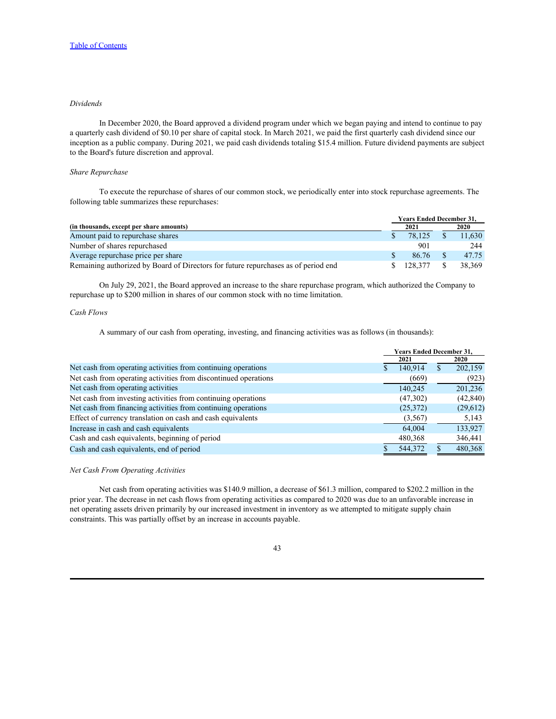## *Dividends*

In December 2020, the Board approved a dividend program under which we began paying and intend to continue to pay a quarterly cash dividend of \$0.10 per share of capital stock. In March 2021, we paid the first quarterly cash dividend since our inception as a public company. During 2021, we paid cash dividends totaling \$15.4 million. Future dividend payments are subject to the Board's future discretion and approval.

### *Share Repurchase*

To execute the repurchase of shares of our common stock, we periodically enter into stock repurchase agreements. The following table summarizes these repurchases:

|                                                                                    | <b>Years Ended December 31.</b> |             |
|------------------------------------------------------------------------------------|---------------------------------|-------------|
| (in thousands, except per share amounts)                                           | 2021                            | <b>2020</b> |
| Amount paid to repurchase shares                                                   | 78.125                          | 11,630      |
| Number of shares repurchased                                                       | 901                             | 244         |
| Average repurchase price per share                                                 | 86.76                           | 47.75       |
| Remaining authorized by Board of Directors for future repurchases as of period end | 128.377                         | 38.369      |

On July 29, 2021, the Board approved an increase to the share repurchase program, which authorized the Company to repurchase up to \$200 million in shares of our common stock with no time limitation.

### *Cash Flows*

A summary of our cash from operating, investing, and financing activities was as follows (in thousands):

|                                                                 | <b>Years Ended December 31,</b> |             |
|-----------------------------------------------------------------|---------------------------------|-------------|
|                                                                 | 2021                            | <b>2020</b> |
| Net cash from operating activities from continuing operations   | 140.914                         | 202,159     |
| Net cash from operating activities from discontinued operations | (669)                           | (923)       |
| Net cash from operating activities                              | 140.245                         | 201,236     |
| Net cash from investing activities from continuing operations   | (47,302)                        | (42, 840)   |
| Net cash from financing activities from continuing operations   | (25,372)                        | (29,612)    |
| Effect of currency translation on cash and cash equivalents     | (3,567)                         | 5,143       |
| Increase in cash and cash equivalents                           | 64,004                          | 133,927     |
| Cash and cash equivalents, beginning of period                  | 480,368                         | 346,441     |
| Cash and cash equivalents, end of period                        | 544,372                         | 480,368     |
|                                                                 |                                 |             |

### *Net Cash From Operating Activities*

Net cash from operating activities was \$140.9 million, a decrease of \$61.3 million, compared to \$202.2 million in the prior year. The decrease in net cash flows from operating activities as compared to 2020 was due to an unfavorable increase in net operating assets driven primarily by our increased investment in inventory as we attempted to mitigate supply chain constraints. This was partially offset by an increase in accounts payable.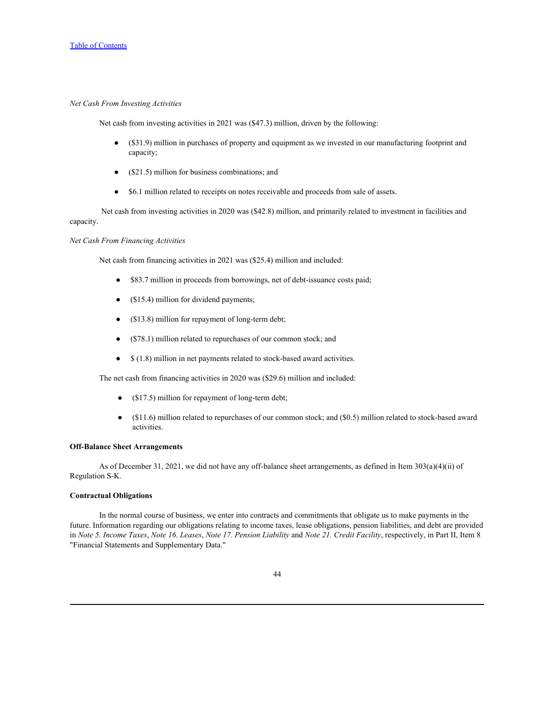### *Net Cash From Investing Activities*

Net cash from investing activities in 2021 was (\$47.3) million, driven by the following:

- (\$31.9) million in purchases of property and equipment as we invested in our manufacturing footprint and capacity;
- (\$21.5) million for business combinations; and
- \$6.1 million related to receipts on notes receivable and proceeds from sale of assets.

 Net cash from investing activities in 2020 was (\$42.8) million, and primarily related to investment in facilities and capacity.

*Net Cash From Financing Activities*

Net cash from financing activities in 2021 was (\$25.4) million and included:

- \$83.7 million in proceeds from borrowings, net of debt-issuance costs paid;
- (\$15.4) million for dividend payments;
- (\$13.8) million for repayment of long-term debt;
- (\$78.1) million related to repurchases of our common stock; and
- $$ (1.8)$  million in net payments related to stock-based award activities.

The net cash from financing activities in 2020 was (\$29.6) million and included:

- (\$17.5) million for repayment of long-term debt;
- (\$11.6) million related to repurchases of our common stock; and (\$0.5) million related to stock-based award activities.

### **Off-Balance Sheet Arrangements**

As of December 31, 2021, we did not have any off-balance sheet arrangements, as defined in Item 303(a)(4)(ii) of Regulation S-K.

# **Contractual Obligations**

In the normal course of business, we enter into contracts and commitments that obligate us to make payments in the future. Information regarding our obligations relating to income taxes, lease obligations, pension liabilities, and debt are provided in *Note 5. Income Taxes*, *Note 16. Leases*, *Note 17. Pension Liability* and *Note 21. Credit Facility*, respectively, in Part II, Item 8 "Financial Statements and Supplementary Data."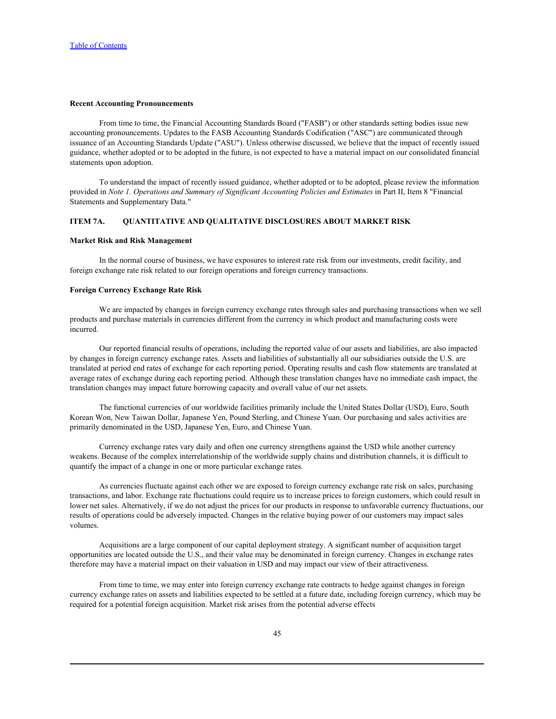### **Recent Accounting Pronouncements**

From time to time, the Financial Accounting Standards Board ("FASB") or other standards setting bodies issue new accounting pronouncements. Updates to the FASB Accounting Standards Codification ("ASC") are communicated through issuance of an Accounting Standards Update ("ASU"). Unless otherwise discussed, we believe that the impact of recently issued guidance, whether adopted or to be adopted in the future, is not expected to have a material impact on our consolidated financial statements upon adoption.

To understand the impact of recently issued guidance, whether adopted or to be adopted, please review the information provided in *Note 1. Operations and Summary of Significant Accounting Policies and Estimates* in Part II, Item 8 "Financial Statements and Supplementary Data."

### **ITEM 7A. QUANTITATIVE AND QUALITATIVE DISCLOSURES ABOUT MARKET RISK**

#### **Market Risk and Risk Management**

In the normal course of business, we have exposures to interest rate risk from our investments, credit facility, and foreign exchange rate risk related to our foreign operations and foreign currency transactions.

### **Foreign Currency Exchange Rate Risk**

We are impacted by changes in foreign currency exchange rates through sales and purchasing transactions when we sell products and purchase materials in currencies different from the currency in which product and manufacturing costs were incurred.

Our reported financial results of operations, including the reported value of our assets and liabilities, are also impacted by changes in foreign currency exchange rates. Assets and liabilities of substantially all our subsidiaries outside the U.S. are translated at period end rates of exchange for each reporting period. Operating results and cash flow statements are translated at average rates of exchange during each reporting period. Although these translation changes have no immediate cash impact, the translation changes may impact future borrowing capacity and overall value of our net assets.

The functional currencies of our worldwide facilities primarily include the United States Dollar (USD), Euro, South Korean Won, New Taiwan Dollar, Japanese Yen, Pound Sterling, and Chinese Yuan. Our purchasing and sales activities are primarily denominated in the USD, Japanese Yen, Euro, and Chinese Yuan.

Currency exchange rates vary daily and often one currency strengthens against the USD while another currency weakens. Because of the complex interrelationship of the worldwide supply chains and distribution channels, it is difficult to quantify the impact of a change in one or more particular exchange rates.

As currencies fluctuate against each other we are exposed to foreign currency exchange rate risk on sales, purchasing transactions, and labor. Exchange rate fluctuations could require us to increase prices to foreign customers, which could result in lower net sales. Alternatively, if we do not adjust the prices for our products in response to unfavorable currency fluctuations, our results of operations could be adversely impacted. Changes in the relative buying power of our customers may impact sales volumes.

Acquisitions are a large component of our capital deployment strategy. A significant number of acquisition target opportunities are located outside the U.S., and their value may be denominated in foreign currency. Changes in exchange rates therefore may have a material impact on their valuation in USD and may impact our view of their attractiveness.

From time to time, we may enter into foreign currency exchange rate contracts to hedge against changes in foreign currency exchange rates on assets and liabilities expected to be settled at a future date, including foreign currency, which may be required for a potential foreign acquisition. Market risk arises from the potential adverse effects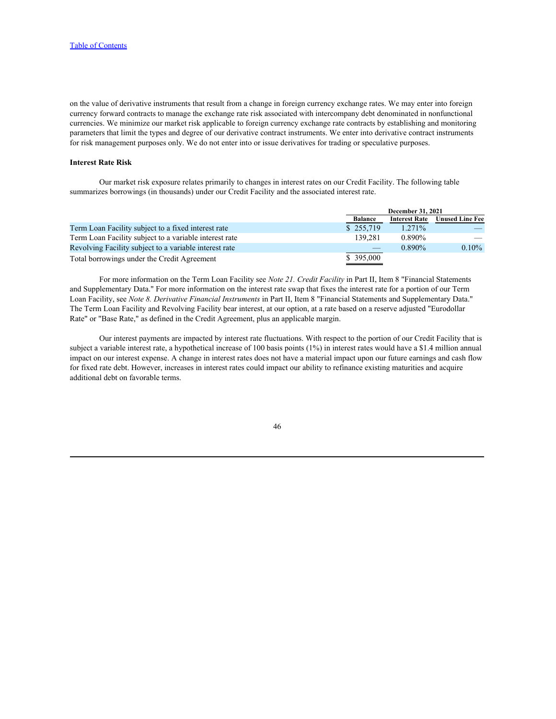on the value of derivative instruments that result from a change in foreign currency exchange rates. We may enter into foreign currency forward contracts to manage the exchange rate risk associated with intercompany debt denominated in nonfunctional currencies. We minimize our market risk applicable to foreign currency exchange rate contracts by establishing and monitoring parameters that limit the types and degree of our derivative contract instruments. We enter into derivative contract instruments for risk management purposes only. We do not enter into or issue derivatives for trading or speculative purposes.

### **Interest Rate Risk**

Our market risk exposure relates primarily to changes in interest rates on our Credit Facility. The following table summarizes borrowings (in thousands) under our Credit Facility and the associated interest rate.

|                                                        |                          | <b>December 31, 2021</b> |                               |
|--------------------------------------------------------|--------------------------|--------------------------|-------------------------------|
|                                                        | <b>Balance</b>           |                          | Interest Rate Unused Line Fee |
| Term Loan Facility subject to a fixed interest rate    | 255,719                  | 1.271%                   |                               |
| Term Loan Facility subject to a variable interest rate | 139,281                  | 0.890%                   | $\hspace{0.05cm}$             |
| Revolving Facility subject to a variable interest rate | $\overline{\phantom{a}}$ | 0.890%                   | 0.10%                         |
| Total borrowings under the Credit Agreement            | 395,000                  |                          |                               |

For more information on the Term Loan Facility see *Note 21. Credit Facility* in Part II, Item 8 "Financial Statements and Supplementary Data." For more information on the interest rate swap that fixes the interest rate for a portion of our Term Loan Facility, see *Note 8. Derivative Financial Instruments* in Part II, Item 8 "Financial Statements and Supplementary Data." The Term Loan Facility and Revolving Facility bear interest, at our option, at a rate based on a reserve adjusted "Eurodollar Rate" or "Base Rate," as defined in the Credit Agreement, plus an applicable margin.

Our interest payments are impacted by interest rate fluctuations. With respect to the portion of our Credit Facility that is subject a variable interest rate, a hypothetical increase of 100 basis points (1%) in interest rates would have a \$1.4 million annual impact on our interest expense. A change in interest rates does not have a material impact upon our future earnings and cash flow for fixed rate debt. However, increases in interest rates could impact our ability to refinance existing maturities and acquire additional debt on favorable terms.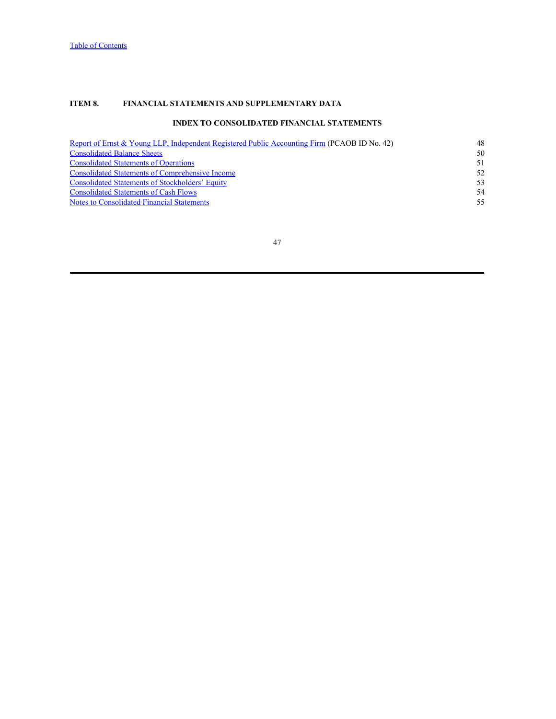# **ITEM 8. FINANCIAL STATEMENTS AND SUPPLEMENTARY DATA**

# **INDEX TO CONSOLIDATED FINANCIAL STATEMENTS**

| Report of Ernst & Young LLP, Independent Registered Public Accounting Firm (PCAOB ID No. 42) | 48 |  |
|----------------------------------------------------------------------------------------------|----|--|
| <b>Consolidated Balance Sheets</b>                                                           | 50 |  |
| <b>Consolidated Statements of Operations</b>                                                 |    |  |
| <b>Consolidated Statements of Comprehensive Income</b>                                       | 52 |  |
| <b>Consolidated Statements of Stockholders' Equity</b>                                       |    |  |
| <b>Consolidated Statements of Cash Flows</b>                                                 |    |  |
| <b>Notes to Consolidated Financial Statements</b>                                            |    |  |
|                                                                                              |    |  |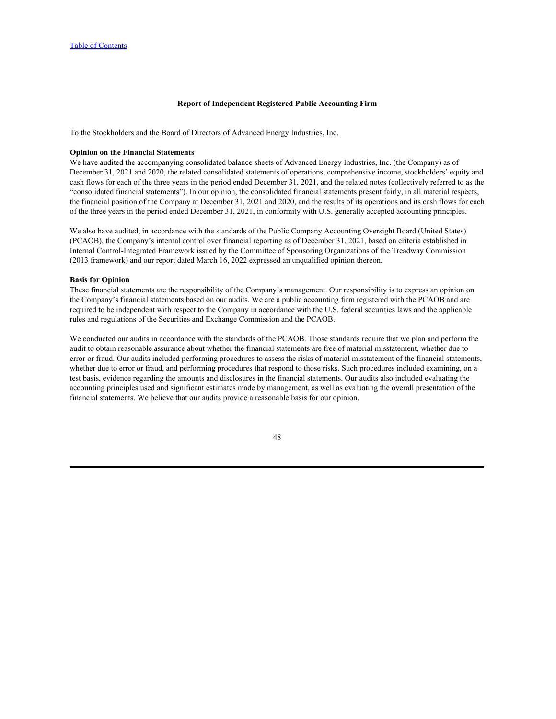### **Report of Independent Registered Public Accounting Firm**

<span id="page-47-0"></span>To the Stockholders and the Board of Directors of Advanced Energy Industries, Inc.

#### **Opinion on the Financial Statements**

We have audited the accompanying consolidated balance sheets of Advanced Energy Industries, Inc. (the Company) as of December 31, 2021 and 2020, the related consolidated statements of operations, comprehensive income, stockholders' equity and cash flows for each of the three years in the period ended December 31, 2021, and the related notes (collectively referred to as the "consolidated financial statements"). In our opinion, the consolidated financial statements present fairly, in all material respects, the financial position of the Company at December 31, 2021 and 2020, and the results of its operations and its cash flows for each of the three years in the period ended December 31, 2021, in conformity with U.S. generally accepted accounting principles.

We also have audited, in accordance with the standards of the Public Company Accounting Oversight Board (United States) (PCAOB), the Company's internal control over financial reporting as of December 31, 2021, based on criteria established in Internal Control-Integrated Framework issued by the Committee of Sponsoring Organizations of the Treadway Commission (2013 framework) and our report dated March 16, 2022 expressed an unqualified opinion thereon.

### **Basis for Opinion**

These financial statements are the responsibility of the Company's management. Our responsibility is to express an opinion on the Company's financial statements based on our audits. We are a public accounting firm registered with the PCAOB and are required to be independent with respect to the Company in accordance with the U.S. federal securities laws and the applicable rules and regulations of the Securities and Exchange Commission and the PCAOB.

We conducted our audits in accordance with the standards of the PCAOB. Those standards require that we plan and perform the audit to obtain reasonable assurance about whether the financial statements are free of material misstatement, whether due to error or fraud. Our audits included performing procedures to assess the risks of material misstatement of the financial statements, whether due to error or fraud, and performing procedures that respond to those risks. Such procedures included examining, on a test basis, evidence regarding the amounts and disclosures in the financial statements. Our audits also included evaluating the accounting principles used and significant estimates made by management, as well as evaluating the overall presentation of the financial statements. We believe that our audits provide a reasonable basis for our opinion.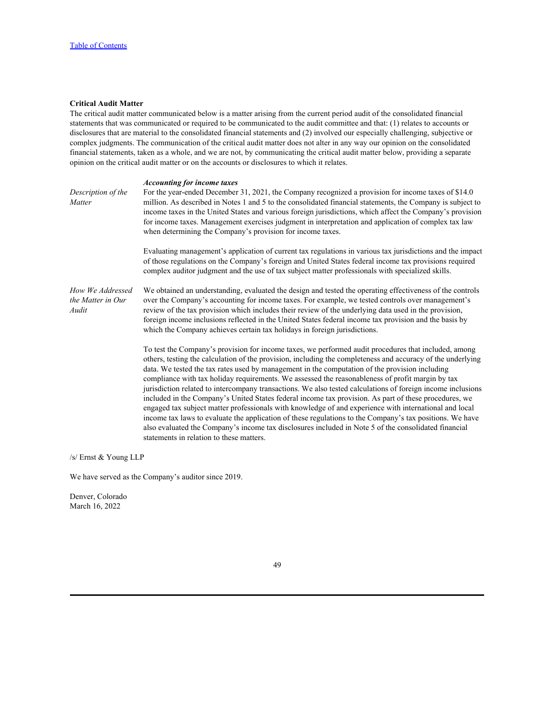### **Critical Audit Matter**

The critical audit matter communicated below is a matter arising from the current period audit of the consolidated financial statements that was communicated or required to be communicated to the audit committee and that: (1) relates to accounts or disclosures that are material to the consolidated financial statements and (2) involved our especially challenging, subjective or complex judgments. The communication of the critical audit matter does not alter in any way our opinion on the consolidated financial statements, taken as a whole, and we are not, by communicating the critical audit matter below, providing a separate opinion on the critical audit matter or on the accounts or disclosures to which it relates.

# *Accounting for income taxes Description of the* For the year-ended December 31, 2021, the Company recognized a provision for income taxes of \$14.0 *Matter* million. As described in Notes 1 and 5 to the consolidated financial statements, the Company is subject to income taxes in the United States and various foreign jurisdictions, which affect the Company's provision for income taxes. Management exercises judgment in interpretation and application of complex tax law when determining the Company's provision for income taxes. Evaluating management's application of current tax regulations in various tax jurisdictions and the impact of those regulations on the Company's foreign and United States federal income tax provisions required complex auditor judgment and the use of tax subject matter professionals with specialized skills. *How We Addressed* We obtained an understanding, evaluated the design and tested the operating effectiveness of the controls *the Matter in Our* over the Company's accounting for income taxes. For example, we tested controls over management's *Audit* review of the tax provision which includes their review of the underlying data used in the provision, foreign income inclusions reflected in the United States federal income tax provision and the basis by which the Company achieves certain tax holidays in foreign jurisdictions. To test the Company's provision for income taxes, we performed audit procedures that included, among others, testing the calculation of the provision, including the completeness and accuracy of the underlying data. We tested the tax rates used by management in the computation of the provision including compliance with tax holiday requirements. We assessed the reasonableness of profit margin by tax jurisdiction related to intercompany transactions. We also tested calculations of foreign income inclusions included in the Company's United States federal income tax provision. As part of these procedures, we engaged tax subject matter professionals with knowledge of and experience with international and local income tax laws to evaluate the application of these regulations to the Company's tax positions. We have also evaluated the Company's income tax disclosures included in Note 5 of the consolidated financial statements in relation to these matters.

#### /s/ Ernst & Young LLP

We have served as the Company's auditor since 2019.

Denver, Colorado March 16, 2022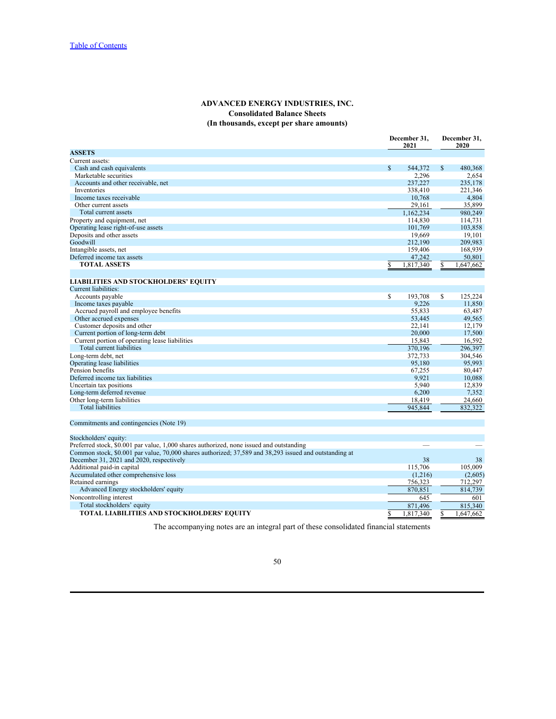# **ADVANCED ENERGY INDUSTRIES, INC. Consolidated Balance Sheets (In thousands, except per share amounts)**

<span id="page-49-0"></span>

|                                                                                                        |               | December 31,<br>2021 |    | December 31,<br>2020 |
|--------------------------------------------------------------------------------------------------------|---------------|----------------------|----|----------------------|
| <b>ASSETS</b>                                                                                          |               |                      |    |                      |
| Current assets:                                                                                        |               |                      |    |                      |
| Cash and cash equivalents                                                                              | $\mathcal{S}$ | 544,372              | -S | 480,368              |
| Marketable securities                                                                                  |               | 2,296                |    | 2,654                |
| Accounts and other receivable, net                                                                     |               | 237,227              |    | 235,178              |
|                                                                                                        |               |                      |    |                      |
| Inventories                                                                                            |               | 338,410              |    | 221,346              |
| Income taxes receivable                                                                                |               | 10,768               |    | 4,804                |
| Other current assets                                                                                   |               | 29,161               |    | 35,899               |
| Total current assets                                                                                   |               | 1,162,234            |    | 980,249              |
| Property and equipment, net                                                                            |               | 114,830              |    | 114,731              |
| Operating lease right-of-use assets                                                                    |               | 101,769              |    | 103,858              |
| Deposits and other assets                                                                              |               | 19,669               |    | 19,101               |
| Goodwill                                                                                               |               | 212,190              |    | 209,983              |
| Intangible assets, net                                                                                 |               | 159,406              |    | 168,939              |
| Deferred income tax assets                                                                             |               | 47,242               |    | 50,801               |
| <b>TOTAL ASSETS</b>                                                                                    |               | 1,817,340            |    | 1,647,662            |
|                                                                                                        |               |                      |    |                      |
|                                                                                                        |               |                      |    |                      |
| <b>LIABILITIES AND STOCKHOLDERS' EQUITY</b>                                                            |               |                      |    |                      |
| Current liabilities:                                                                                   |               |                      |    |                      |
| Accounts payable                                                                                       | S.            | 193,708              | -S | 125,224              |
| Income taxes payable                                                                                   |               | 9,226                |    | 11,850               |
| Accrued payroll and employee benefits                                                                  |               | 55,833               |    | 63,487               |
| Other accrued expenses                                                                                 |               | 53,445               |    | 49,565               |
| Customer deposits and other                                                                            |               | 22,141               |    | 12,179               |
| Current portion of long-term debt                                                                      |               | 20,000               |    | 17,500               |
| Current portion of operating lease liabilities                                                         |               | 15,843               |    | 16,592               |
| Total current liabilities                                                                              |               | 370,196              |    | 296,397              |
| Long-term debt, net                                                                                    |               | 372,733              |    | 304,546              |
| Operating lease liabilities                                                                            |               | 95,180               |    | 95,993               |
| Pension benefits                                                                                       |               | 67,255               |    | 80,447               |
| Deferred income tax liabilities                                                                        |               | 9,921                |    | 10,088               |
| Uncertain tax positions                                                                                |               | 5,940                |    | 12,839               |
|                                                                                                        |               | 6,200                |    | 7,352                |
| Long-term deferred revenue<br>Other long-term liabilities                                              |               | 18,419               |    | 24,660               |
| <b>Total liabilities</b>                                                                               |               |                      |    |                      |
|                                                                                                        |               | 945,844              |    | 832,322              |
| Commitments and contingencies (Note 19)                                                                |               |                      |    |                      |
| Stockholders' equity:                                                                                  |               |                      |    |                      |
| Preferred stock, \$0.001 par value, 1,000 shares authorized, none issued and outstanding               |               |                      |    |                      |
| Common stock, \$0.001 par value, 70,000 shares authorized; 37,589 and 38,293 issued and outstanding at |               |                      |    |                      |
| December 31, 2021 and 2020, respectively                                                               |               | 38                   |    | 38                   |
| Additional paid-in capital                                                                             |               | 115,706              |    | 105,009              |
|                                                                                                        |               |                      |    |                      |
| Accumulated other comprehensive loss                                                                   |               | (1,216)              |    | (2,605)              |
| Retained earnings                                                                                      |               | 756,323              |    | 712,297              |
| Advanced Energy stockholders' equity                                                                   |               | 870,851              |    | 814,739              |
| Noncontrolling interest                                                                                |               | 645                  |    | 601                  |
| Total stockholders' equity                                                                             |               | 871,496              |    | 815,340              |

The accompanying notes are an integral part of these consolidated financial statements

Total stockholders' equity and the contract of the contract of the contract of the contract of the contract of the contract of the contract of the contract of the contract of the contract of the contract of the contract of **TOTAL LIABILITIES AND STOCKHOLDERS' EQUITY**  $\qquad \qquad \qquad$  \$ 1,817,340 \$ 1,647,662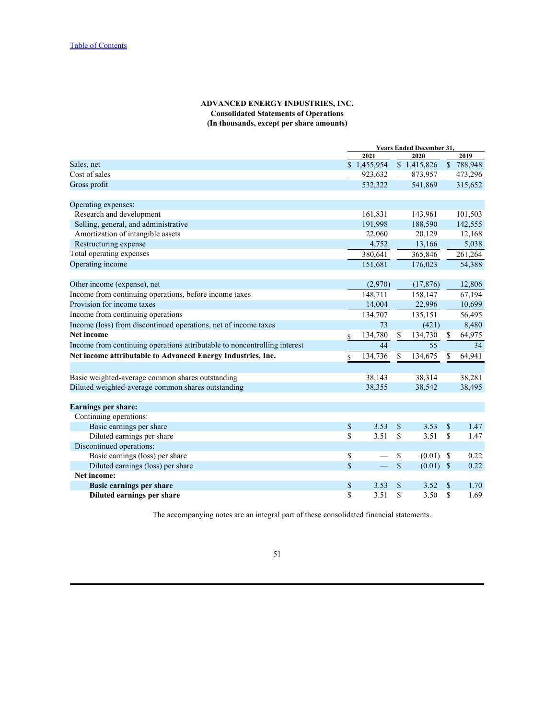# **ADVANCED ENERGY INDUSTRIES, INC. Consolidated Statements of Operations (In thousands, except per share amounts)**

<span id="page-50-0"></span>

|                                                                           |              |                          |               | <b>Years Ended December 31,</b> |               |         |
|---------------------------------------------------------------------------|--------------|--------------------------|---------------|---------------------------------|---------------|---------|
|                                                                           |              | 2021                     |               | 2020                            |               | 2019    |
| Sales, net                                                                |              | \$1,455,954              |               | \$1,415,826                     | \$            | 788,948 |
| Cost of sales                                                             |              | 923,632                  |               | 873,957                         |               | 473,296 |
| Gross profit                                                              |              | 532,322                  |               | 541,869                         |               | 315,652 |
|                                                                           |              |                          |               |                                 |               |         |
| Operating expenses:                                                       |              |                          |               |                                 |               |         |
| Research and development                                                  |              | 161,831                  |               | 143,961                         |               | 101,503 |
| Selling, general, and administrative                                      |              | 191,998                  |               | 188,590                         |               | 142,555 |
| Amortization of intangible assets                                         |              | 22,060                   |               | 20,129                          |               | 12,168  |
| Restructuring expense                                                     |              | 4,752                    |               | 13,166                          |               | 5,038   |
| Total operating expenses                                                  |              | 380,641                  |               | 365,846                         |               | 261,264 |
| Operating income                                                          |              | 151,681                  |               | 176,023                         |               | 54,388  |
|                                                                           |              |                          |               |                                 |               |         |
| Other income (expense), net                                               |              | (2,970)                  |               | (17, 876)                       |               | 12,806  |
| Income from continuing operations, before income taxes                    |              | 148,711                  |               | 158,147                         |               | 67,194  |
| Provision for income taxes                                                |              | 14,004                   |               | 22,996                          |               | 10,699  |
| Income from continuing operations                                         |              | 134,707                  |               | 135,151                         |               | 56,495  |
| Income (loss) from discontinued operations, net of income taxes           |              | 73                       |               | (421)                           |               | 8,480   |
| Net income                                                                |              | 134,780                  | S             | 134,730                         | S.            | 64,975  |
| Income from continuing operations attributable to noncontrolling interest |              | 44                       |               | 55                              |               | 34      |
| Net income attributable to Advanced Energy Industries, Inc.               |              | 134,736                  |               | 134,675                         | \$            | 64,941  |
|                                                                           |              |                          |               |                                 |               |         |
| Basic weighted-average common shares outstanding                          |              | 38,143                   |               | 38,314                          |               | 38,281  |
| Diluted weighted-average common shares outstanding                        |              | 38,355                   |               | 38,542                          |               | 38,495  |
|                                                                           |              |                          |               |                                 |               |         |
| <b>Earnings per share:</b>                                                |              |                          |               |                                 |               |         |
| Continuing operations:                                                    |              |                          |               |                                 |               |         |
| Basic earnings per share                                                  | $\mathbb{S}$ | 3.53                     | $^{\circ}$    | 3.53                            | $\mathcal{S}$ | 1.47    |
| Diluted earnings per share                                                | $\mathbb S$  | 3.51                     | $\mathbf S$   | 3.51                            | -\$           | 1.47    |
| Discontinued operations:                                                  |              |                          |               |                                 |               |         |
| Basic earnings (loss) per share                                           | $\mathbb S$  |                          | <sup>\$</sup> | $(0.01)$ \$                     |               | 0.22    |
| Diluted earnings (loss) per share                                         | $\mathbb{S}$ | $\overline{\phantom{0}}$ | $\mathbf{s}$  | $(0.01)$ \$                     |               | 0.22    |
| Net income:                                                               |              |                          |               |                                 |               |         |
| <b>Basic earnings per share</b>                                           | $\mathbb{S}$ | 3.53                     | - \$          | 3.52                            | $\sqrt{3}$    | 1.70    |
| Diluted earnings per share                                                | $\mathbf S$  | 3.51                     | <sup>\$</sup> | 3.50                            | <sup>\$</sup> | 1.69    |

The accompanying notes are an integral part of these consolidated financial statements.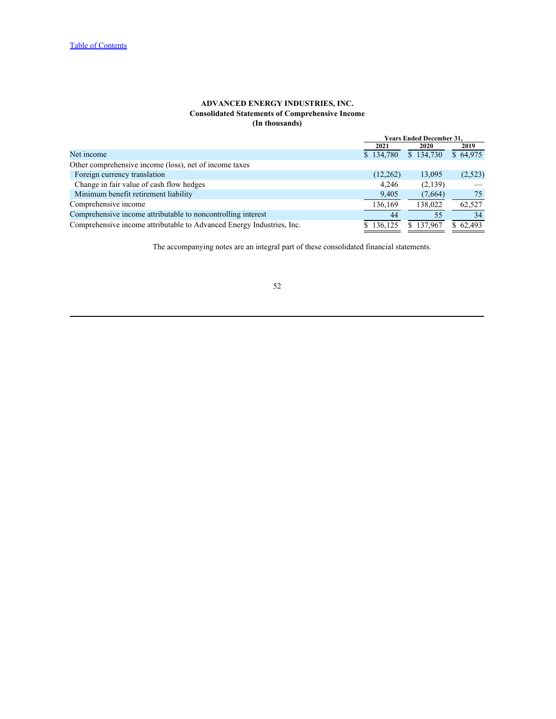# **ADVANCED ENERGY INDUSTRIES, INC. Consolidated Statements of Comprehensive Income (In thousands)**

<span id="page-51-0"></span>

|                                                                       |           | <b>Years Ended December 31,</b> |          |
|-----------------------------------------------------------------------|-----------|---------------------------------|----------|
|                                                                       | 2021      | 2020                            | 2019     |
| Net income                                                            | \$134,780 | $$134,730$ $$64,975$            |          |
| Other comprehensive income (loss), net of income taxes                |           |                                 |          |
| Foreign currency translation                                          | (12,262)  | 13,095                          | (2, 523) |
| Change in fair value of cash flow hedges                              | 4,246     | (2,139)                         |          |
| Minimum benefit retirement liability                                  | 9,405     | (7,664)                         |          |
| Comprehensive income                                                  | 136,169   | 138,022                         | 62,527   |
| Comprehensive income attributable to noncontrolling interest          |           |                                 |          |
| Comprehensive income attributable to Advanced Energy Industries, Inc. | 136.125   | \$137,967                       | \$62,493 |

The accompanying notes are an integral part of these consolidated financial statements.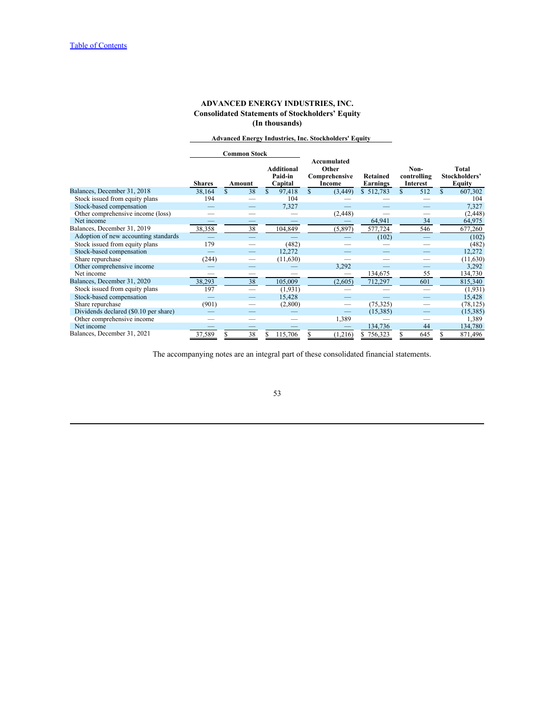# **ADVANCED ENERGY INDUSTRIES, INC. Consolidated Statements of Stockholders' Equity (In thousands)**

**Advanced Energy Industries, Inc. Stockholders' Equity**

<span id="page-52-0"></span>

|                                       |               | <b>Common Stock</b>             |                                         |                                                 |                      |                                 |                                  |
|---------------------------------------|---------------|---------------------------------|-----------------------------------------|-------------------------------------------------|----------------------|---------------------------------|----------------------------------|
|                                       | <b>Shares</b> | Amount                          | <b>Additional</b><br>Paid-in<br>Capital | Accumulated<br>Other<br>Comprehensive<br>Income | Retained<br>Earnings | Non-<br>controlling<br>Interest | Total<br>Stockholders'<br>Equity |
| Balances, December 31, 2018           | 38,164        | 38                              | 97,418                                  | (3,449)                                         | \$512,783            | 512                             | 607,302                          |
| Stock issued from equity plans        | 194           |                                 | 104                                     |                                                 |                      |                                 | 104                              |
| Stock-based compensation              |               |                                 | 7,327                                   |                                                 |                      | _                               | 7,327                            |
| Other comprehensive income (loss)     |               |                                 |                                         | (2, 448)                                        |                      |                                 | (2, 448)                         |
| Net income                            |               |                                 |                                         |                                                 | 64,941               | 34                              | 64,975                           |
| Balances, December 31, 2019           | 38,358        | 38                              | 104,849                                 | (5,897)                                         | 577,724              | 546                             | 677,260                          |
| Adoption of new accounting standards  |               |                                 |                                         |                                                 | (102)                |                                 | (102)                            |
| Stock issued from equity plans        | 179           |                                 | (482)                                   |                                                 |                      |                                 | (482)                            |
| Stock-based compensation              |               | $\hspace{0.1mm}-\hspace{0.1mm}$ | 12,272                                  |                                                 |                      |                                 | 12,272                           |
| Share repurchase                      | (244)         | $\hspace{0.05cm}$               | (11,630)                                |                                                 |                      |                                 | (11, 630)                        |
| Other comprehensive income            |               |                                 |                                         | 3,292                                           |                      |                                 | 3,292                            |
| Net income                            |               | $\hspace{0.05cm}$               |                                         |                                                 | 134,675              | 55                              | 134,730                          |
| Balances, December 31, 2020           | 38,293        | 38                              | 105,009                                 | (2,605)                                         | 712,297              | 601                             | 815,340                          |
| Stock issued from equity plans        | 197           |                                 | (1, 931)                                |                                                 |                      |                                 | (1, 931)                         |
| Stock-based compensation              |               |                                 | 15,428                                  |                                                 |                      |                                 | 15,428                           |
| Share repurchase                      | (901)         | $\overbrace{\phantom{12332}}$   | (2,800)                                 |                                                 | (75, 325)            |                                 | (78, 125)                        |
| Dividends declared (\$0.10 per share) |               |                                 |                                         |                                                 | (15,385)             |                                 | (15, 385)                        |
| Other comprehensive income            |               |                                 |                                         | 1,389                                           |                      |                                 | 1,389                            |
| Net income                            |               |                                 |                                         | $\hspace{0.1mm}-\hspace{0.1mm}$                 | 134,736              | 44                              | 134,780                          |
| Balances, December 31, 2021           | 37,589        | 38                              | 115,706                                 | (1,216)                                         | \$756,323            | 645                             | 871,496                          |

The accompanying notes are an integral part of these consolidated financial statements.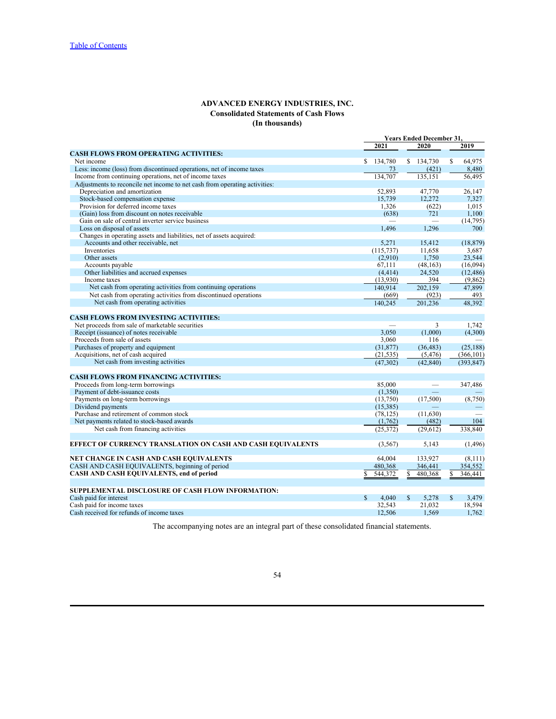# **ADVANCED ENERGY INDUSTRIES, INC. Consolidated Statements of Cash Flows (In thousands)**

<span id="page-53-0"></span>

|                                                                            |                                  | <b>Years Ended December 31.</b> |                         |
|----------------------------------------------------------------------------|----------------------------------|---------------------------------|-------------------------|
|                                                                            | 2021                             | 2020                            | 2019                    |
| <b>CASH FLOWS FROM OPERATING ACTIVITIES:</b>                               |                                  |                                 |                         |
| Net income                                                                 | \$134,780                        | 134,730<br><sup>S</sup>         | 64.975<br><sup>\$</sup> |
| Less: income (loss) from discontinued operations, net of income taxes      | 73                               | (421)                           | 8,480                   |
| Income from continuing operations, net of income taxes                     | 134,707                          | 135,151                         | 56,495                  |
| Adjustments to reconcile net income to net cash from operating activities: |                                  |                                 |                         |
| Depreciation and amortization                                              | 52,893                           | 47,770                          | 26,147                  |
| Stock-based compensation expense                                           | 15,739                           | 12.272                          | 7,327                   |
| Provision for deferred income taxes                                        | 1,326                            | (622)                           | 1,015                   |
| (Gain) loss from discount on notes receivable                              | (638)                            | 721                             | 1,100                   |
| Gain on sale of central inverter service business                          |                                  |                                 | (14, 795)               |
| Loss on disposal of assets                                                 | 1.496                            | 1,296                           | 700                     |
|                                                                            |                                  |                                 |                         |
| Changes in operating assets and liabilities, net of assets acquired:       |                                  |                                 |                         |
| Accounts and other receivable, net                                         | 5,271                            | 15,412                          | (18, 879)               |
| Inventories                                                                | (115, 737)                       | 11.658                          | 3,687                   |
| Other assets                                                               | (2,910)                          | 1,750                           | 23,544                  |
| Accounts payable                                                           | 67,111                           | (48, 163)                       | (16,094)                |
| Other liabilities and accrued expenses                                     | (4, 414)                         | 24,520                          | (12, 486)               |
| Income taxes                                                               | (13,930)                         | 394                             | (9,862)                 |
| Net cash from operating activities from continuing operations              | 140,914                          | 202,159                         | 47,899                  |
| Net cash from operating activities from discontinued operations            | (669)                            | (923)                           | 493                     |
| Net cash from operating activities                                         | 140,245                          | 201,236                         | 48,392                  |
|                                                                            |                                  |                                 |                         |
| <b>CASH FLOWS FROM INVESTING ACTIVITIES:</b>                               |                                  |                                 |                         |
| Net proceeds from sale of marketable securities                            | $\overbrace{\phantom{12322111}}$ | 3                               | 1,742                   |
| Receipt (issuance) of notes receivable                                     | 3,050                            | (1,000)                         | (4,300)                 |
| Proceeds from sale of assets                                               | 3.060                            | 116                             |                         |
| Purchases of property and equipment                                        | (31, 877)                        | (36, 483)                       | (25, 188)               |
| Acquisitions, net of cash acquired                                         | (21, 535)                        | (5, 476)                        | (366, 101)              |
| Net cash from investing activities                                         | (47, 302)                        | (42, 840)                       | (393, 847)              |
|                                                                            |                                  |                                 |                         |
| <b>CASH FLOWS FROM FINANCING ACTIVITIES:</b>                               |                                  |                                 |                         |
|                                                                            |                                  |                                 |                         |
| Proceeds from long-term borrowings                                         | 85,000                           |                                 | 347,486                 |
| Payment of debt-issuance costs                                             | (1,350)                          |                                 |                         |
| Payments on long-term borrowings                                           | (13,750)                         | (17,500)                        | (8,750)                 |
| Dividend payments                                                          | (15,385)                         |                                 |                         |
| Purchase and retirement of common stock                                    | (78, 125)                        | (11,630)                        |                         |
| Net payments related to stock-based awards                                 | (1,762)                          | (482)                           | 104                     |
| Net cash from financing activities                                         | (25, 372)                        | (29,612)                        | 338,840                 |
|                                                                            |                                  |                                 |                         |
| EFFECT OF CURRENCY TRANSLATION ON CASH AND CASH EQUIVALENTS                | (3,567)                          | 5,143                           | (1,496)                 |
|                                                                            |                                  |                                 |                         |
| NET CHANGE IN CASH AND CASH EQUIVALENTS                                    | 64.004                           | 133,927                         | (8,111)                 |
| CASH AND CASH EQUIVALENTS, beginning of period                             | 480,368                          | 346,441                         | 354,552                 |
| CASH AND CASH EQUIVALENTS, end of period                                   | 544,372                          | 480,368<br>£.                   | \$346,441               |
|                                                                            |                                  |                                 |                         |
|                                                                            |                                  |                                 |                         |
| SUPPLEMENTAL DISCLOSURE OF CASH FLOW INFORMATION:                          |                                  |                                 |                         |
| Cash paid for interest                                                     | 4,040                            | 5,278                           | 3,479<br>-S             |
| Cash paid for income taxes                                                 | 32.543                           | 21.032                          | 18,594                  |
| Cash received for refunds of income taxes                                  | 12,506                           | 1,569                           | 1,762                   |

The accompanying notes are an integral part of these consolidated financial statements.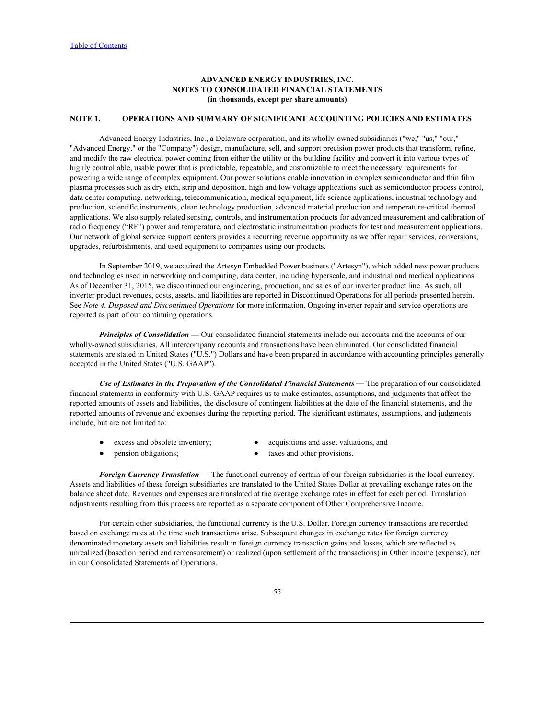## <span id="page-54-0"></span>**NOTE 1. OPERATIONS AND SUMMARY OF SIGNIFICANT ACCOUNTING POLICIES AND ESTIMATES**

Advanced Energy Industries, Inc., a Delaware corporation, and its wholly-owned subsidiaries ("we," "us," "our," "Advanced Energy," or the "Company") design, manufacture, sell, and support precision power products that transform, refine, and modify the raw electrical power coming from either the utility or the building facility and convert it into various types of highly controllable, usable power that is predictable, repeatable, and customizable to meet the necessary requirements for powering a wide range of complex equipment. Our power solutions enable innovation in complex semiconductor and thin film plasma processes such as dry etch, strip and deposition, high and low voltage applications such as semiconductor process control, data center computing, networking, telecommunication, medical equipment, life science applications, industrial technology and production, scientific instruments, clean technology production, advanced material production and temperature-critical thermal applications. We also supply related sensing, controls, and instrumentation products for advanced measurement and calibration of radio frequency ("RF") power and temperature, and electrostatic instrumentation products for test and measurement applications. Our network of global service support centers provides a recurring revenue opportunity as we offer repair services, conversions, upgrades, refurbishments, and used equipment to companies using our products.

In September 2019, we acquired the Artesyn Embedded Power business ("Artesyn"), which added new power products and technologies used in networking and computing, data center, including hyperscale, and industrial and medical applications. As of December 31, 2015, we discontinued our engineering, production, and sales of our inverter product line. As such, all inverter product revenues, costs, assets, and liabilities are reported in Discontinued Operations for all periods presented herein. See *Note 4. Disposed and Discontinued Operations* for more information. Ongoing inverter repair and service operations are reported as part of our continuing operations.

*Principles of Consolidation* — Our consolidated financial statements include our accounts and the accounts of our wholly-owned subsidiaries. All intercompany accounts and transactions have been eliminated. Our consolidated financial statements are stated in United States ("U.S.") Dollars and have been prepared in accordance with accounting principles generally accepted in the United States ("U.S. GAAP").

*Use of Estimates in the Preparation of the Consolidated Financial Statements —* The preparation of our consolidated financial statements in conformity with U.S. GAAP requires us to make estimates, assumptions, and judgments that affect the reported amounts of assets and liabilities, the disclosure of contingent liabilities at the date of the financial statements, and the reported amounts of revenue and expenses during the reporting period. The significant estimates, assumptions, and judgments include, but are not limited to:

- excess and obsolete inventory;
- excess and obsolete inventory; acquisitions and asset valuations, and <br>• pension obligations; axes and other provisions.
- 

*Foreign Currency Translation —* The functional currency of certain of our foreign subsidiaries is the local currency. Assets and liabilities of these foreign subsidiaries are translated to the United States Dollar at prevailing exchange rates on the balance sheet date. Revenues and expenses are translated at the average exchange rates in effect for each period. Translation adjustments resulting from this process are reported as a separate component of Other Comprehensive Income.

For certain other subsidiaries, the functional currency is the U.S. Dollar. Foreign currency transactions are recorded based on exchange rates at the time such transactions arise. Subsequent changes in exchange rates for foreign currency denominated monetary assets and liabilities result in foreign currency transaction gains and losses, which are reflected as unrealized (based on period end remeasurement) or realized (upon settlement of the transactions) in Other income (expense), net in our Consolidated Statements of Operations.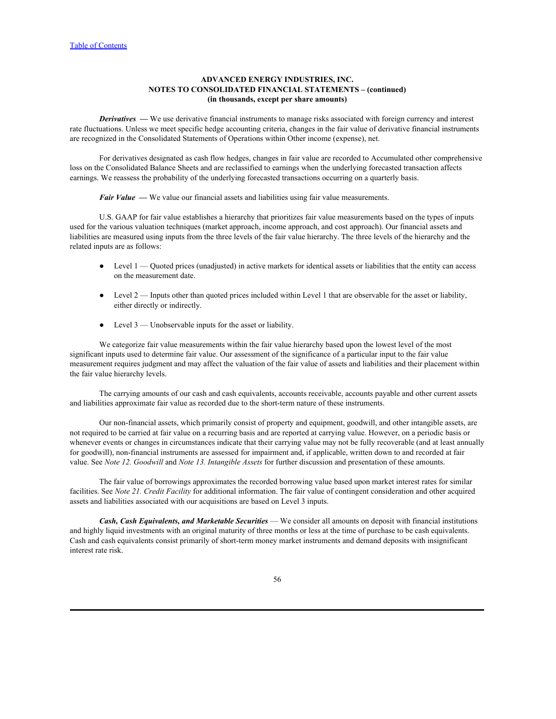*Derivatives —* We use derivative financial instruments to manage risks associated with foreign currency and interest rate fluctuations. Unless we meet specific hedge accounting criteria, changes in the fair value of derivative financial instruments are recognized in the Consolidated Statements of Operations within Other income (expense), net.

For derivatives designated as cash flow hedges, changes in fair value are recorded to Accumulated other comprehensive loss on the Consolidated Balance Sheets and are reclassified to earnings when the underlying forecasted transaction affects earnings. We reassess the probability of the underlying forecasted transactions occurring on a quarterly basis.

*Fair Value* — We value our financial assets and liabilities using fair value measurements.

U.S. GAAP for fair value establishes a hierarchy that prioritizes fair value measurements based on the types of inputs used for the various valuation techniques (market approach, income approach, and cost approach). Our financial assets and liabilities are measured using inputs from the three levels of the fair value hierarchy. The three levels of the hierarchy and the related inputs are as follows:

- Level 1 Quoted prices (unadjusted) in active markets for identical assets or liabilities that the entity can access on the measurement date.
- Level 2 Inputs other than quoted prices included within Level 1 that are observable for the asset or liability, either directly or indirectly.
- Level 3 Unobservable inputs for the asset or liability.

We categorize fair value measurements within the fair value hierarchy based upon the lowest level of the most significant inputs used to determine fair value. Our assessment of the significance of a particular input to the fair value measurement requires judgment and may affect the valuation of the fair value of assets and liabilities and their placement within the fair value hierarchy levels.

The carrying amounts of our cash and cash equivalents, accounts receivable, accounts payable and other current assets and liabilities approximate fair value as recorded due to the short-term nature of these instruments.

Our non-financial assets, which primarily consist of property and equipment, goodwill, and other intangible assets, are not required to be carried at fair value on a recurring basis and are reported at carrying value. However, on a periodic basis or whenever events or changes in circumstances indicate that their carrying value may not be fully recoverable (and at least annually for goodwill), non-financial instruments are assessed for impairment and, if applicable, written down to and recorded at fair value. See *Note 12. Goodwill* and *Note 13. Intangible Assets* for further discussion and presentation of these amounts.

The fair value of borrowings approximates the recorded borrowing value based upon market interest rates for similar facilities. See *Note 21. Credit Facility* for additional information. The fair value of contingent consideration and other acquired assets and liabilities associated with our acquisitions are based on Level 3 inputs.

*Cash, Cash Equivalents, and Marketable Securities* — We consider all amounts on deposit with financial institutions and highly liquid investments with an original maturity of three months or less at the time of purchase to be cash equivalents. Cash and cash equivalents consist primarily of short-term money market instruments and demand deposits with insignificant interest rate risk.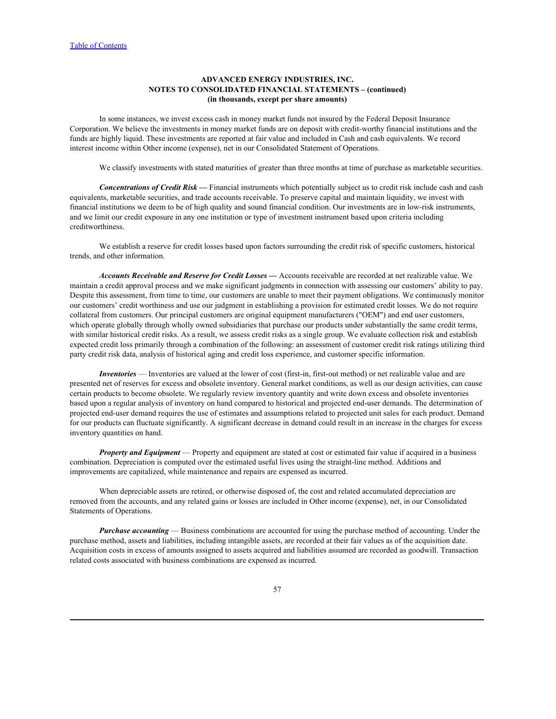In some instances, we invest excess cash in money market funds not insured by the Federal Deposit Insurance Corporation. We believe the investments in money market funds are on deposit with credit-worthy financial institutions and the funds are highly liquid. These investments are reported at fair value and included in Cash and cash equivalents. We record interest income within Other income (expense), net in our Consolidated Statement of Operations.

We classify investments with stated maturities of greater than three months at time of purchase as marketable securities.

*Concentrations of Credit Risk —* Financial instruments which potentially subject us to credit risk include cash and cash equivalents, marketable securities, and trade accounts receivable. To preserve capital and maintain liquidity, we invest with financial institutions we deem to be of high quality and sound financial condition. Our investments are in low-risk instruments, and we limit our credit exposure in any one institution or type of investment instrument based upon criteria including creditworthiness.

We establish a reserve for credit losses based upon factors surrounding the credit risk of specific customers, historical trends, and other information.

*Accounts Receivable and Reserve for Credit Losses —* Accounts receivable are recorded at net realizable value. We maintain a credit approval process and we make significant judgments in connection with assessing our customers' ability to pay. Despite this assessment, from time to time, our customers are unable to meet their payment obligations. We continuously monitor our customers' credit worthiness and use our judgment in establishing a provision for estimated credit losses. We do not require collateral from customers. Our principal customers are original equipment manufacturers ("OEM") and end user customers, which operate globally through wholly owned subsidiaries that purchase our products under substantially the same credit terms, with similar historical credit risks. As a result, we assess credit risks as a single group. We evaluate collection risk and establish expected credit loss primarily through a combination of the following: an assessment of customer credit risk ratings utilizing third party credit risk data, analysis of historical aging and credit loss experience, and customer specific information.

*Inventories* — Inventories are valued at the lower of cost (first-in, first-out method) or net realizable value and are presented net of reserves for excess and obsolete inventory. General market conditions, as well as our design activities, can cause certain products to become obsolete. We regularly review inventory quantity and write down excess and obsolete inventories based upon a regular analysis of inventory on hand compared to historical and projected end-user demands. The determination of projected end-user demand requires the use of estimates and assumptions related to projected unit sales for each product. Demand for our products can fluctuate significantly. A significant decrease in demand could result in an increase in the charges for excess inventory quantities on hand.

*Property and Equipment* — Property and equipment are stated at cost or estimated fair value if acquired in a business combination. Depreciation is computed over the estimated useful lives using the straight-line method. Additions and improvements are capitalized, while maintenance and repairs are expensed as incurred.

When depreciable assets are retired, or otherwise disposed of, the cost and related accumulated depreciation are removed from the accounts, and any related gains or losses are included in Other income (expense), net, in our Consolidated Statements of Operations.

*Purchase accounting* — Business combinations are accounted for using the purchase method of accounting. Under the purchase method, assets and liabilities, including intangible assets, are recorded at their fair values as of the acquisition date. Acquisition costs in excess of amounts assigned to assets acquired and liabilities assumed are recorded as goodwill. Transaction related costs associated with business combinations are expensed as incurred.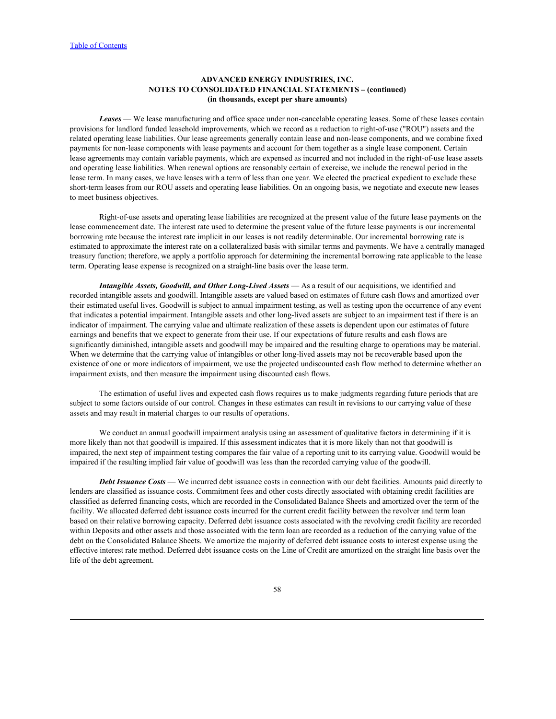*Leases* — We lease manufacturing and office space under non-cancelable operating leases. Some of these leases contain provisions for landlord funded leasehold improvements, which we record as a reduction to right-of-use ("ROU") assets and the related operating lease liabilities. Our lease agreements generally contain lease and non-lease components, and we combine fixed payments for non-lease components with lease payments and account for them together as a single lease component. Certain lease agreements may contain variable payments, which are expensed as incurred and not included in the right-of-use lease assets and operating lease liabilities. When renewal options are reasonably certain of exercise, we include the renewal period in the lease term. In many cases, we have leases with a term of less than one year. We elected the practical expedient to exclude these short-term leases from our ROU assets and operating lease liabilities. On an ongoing basis, we negotiate and execute new leases to meet business objectives.

Right-of-use assets and operating lease liabilities are recognized at the present value of the future lease payments on the lease commencement date. The interest rate used to determine the present value of the future lease payments is our incremental borrowing rate because the interest rate implicit in our leases is not readily determinable. Our incremental borrowing rate is estimated to approximate the interest rate on a collateralized basis with similar terms and payments. We have a centrally managed treasury function; therefore, we apply a portfolio approach for determining the incremental borrowing rate applicable to the lease term. Operating lease expense is recognized on a straight-line basis over the lease term.

*Intangible Assets, Goodwill, and Other Long-Lived Assets* — As a result of our acquisitions, we identified and recorded intangible assets and goodwill. Intangible assets are valued based on estimates of future cash flows and amortized over their estimated useful lives. Goodwill is subject to annual impairment testing, as well as testing upon the occurrence of any event that indicates a potential impairment. Intangible assets and other long-lived assets are subject to an impairment test if there is an indicator of impairment. The carrying value and ultimate realization of these assets is dependent upon our estimates of future earnings and benefits that we expect to generate from their use. If our expectations of future results and cash flows are significantly diminished, intangible assets and goodwill may be impaired and the resulting charge to operations may be material. When we determine that the carrying value of intangibles or other long-lived assets may not be recoverable based upon the existence of one or more indicators of impairment, we use the projected undiscounted cash flow method to determine whether an impairment exists, and then measure the impairment using discounted cash flows.

The estimation of useful lives and expected cash flows requires us to make judgments regarding future periods that are subject to some factors outside of our control. Changes in these estimates can result in revisions to our carrying value of these assets and may result in material charges to our results of operations.

We conduct an annual goodwill impairment analysis using an assessment of qualitative factors in determining if it is more likely than not that goodwill is impaired. If this assessment indicates that it is more likely than not that goodwill is impaired, the next step of impairment testing compares the fair value of a reporting unit to its carrying value. Goodwill would be impaired if the resulting implied fair value of goodwill was less than the recorded carrying value of the goodwill.

*Debt Issuance Costs* — We incurred debt issuance costs in connection with our debt facilities. Amounts paid directly to lenders are classified as issuance costs. Commitment fees and other costs directly associated with obtaining credit facilities are classified as deferred financing costs, which are recorded in the Consolidated Balance Sheets and amortized over the term of the facility. We allocated deferred debt issuance costs incurred for the current credit facility between the revolver and term loan based on their relative borrowing capacity. Deferred debt issuance costs associated with the revolving credit facility are recorded within Deposits and other assets and those associated with the term loan are recorded as a reduction of the carrying value of the debt on the Consolidated Balance Sheets. We amortize the majority of deferred debt issuance costs to interest expense using the effective interest rate method. Deferred debt issuance costs on the Line of Credit are amortized on the straight line basis over the life of the debt agreement.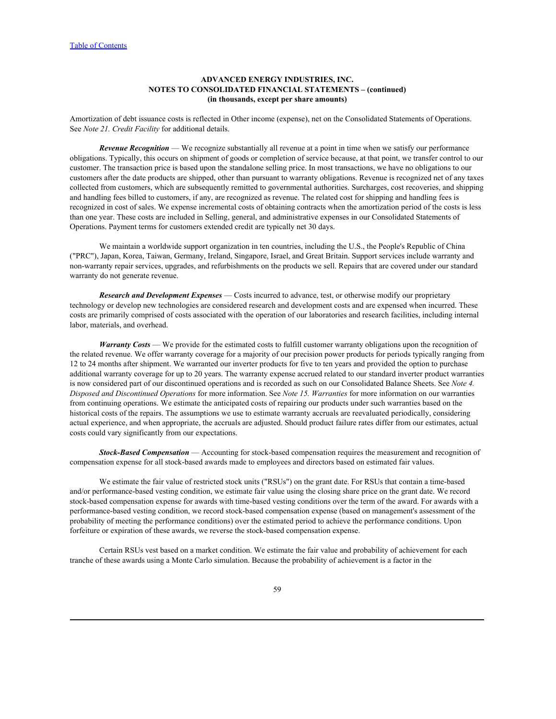Amortization of debt issuance costs is reflected in Other income (expense), net on the Consolidated Statements of Operations. See *Note 21. Credit Facility* for additional details.

*Revenue Recognition* — We recognize substantially all revenue at a point in time when we satisfy our performance obligations. Typically, this occurs on shipment of goods or completion of service because, at that point, we transfer control to our customer. The transaction price is based upon the standalone selling price. In most transactions, we have no obligations to our customers after the date products are shipped, other than pursuant to warranty obligations. Revenue is recognized net of any taxes collected from customers, which are subsequently remitted to governmental authorities. Surcharges, cost recoveries, and shipping and handling fees billed to customers, if any, are recognized as revenue. The related cost for shipping and handling fees is recognized in cost of sales. We expense incremental costs of obtaining contracts when the amortization period of the costs is less than one year. These costs are included in Selling, general, and administrative expenses in our Consolidated Statements of Operations. Payment terms for customers extended credit are typically net 30 days.

We maintain a worldwide support organization in ten countries, including the U.S., the People's Republic of China ("PRC"), Japan, Korea, Taiwan, Germany, Ireland, Singapore, Israel, and Great Britain. Support services include warranty and non-warranty repair services, upgrades, and refurbishments on the products we sell. Repairs that are covered under our standard warranty do not generate revenue.

*Research and Development Expenses* — Costs incurred to advance, test, or otherwise modify our proprietary technology or develop new technologies are considered research and development costs and are expensed when incurred. These costs are primarily comprised of costs associated with the operation of our laboratories and research facilities, including internal labor, materials, and overhead.

*Warranty Costs* — We provide for the estimated costs to fulfill customer warranty obligations upon the recognition of the related revenue. We offer warranty coverage for a majority of our precision power products for periods typically ranging from 12 to 24 months after shipment. We warranted our inverter products for five to ten years and provided the option to purchase additional warranty coverage for up to 20 years. The warranty expense accrued related to our standard inverter product warranties is now considered part of our discontinued operations and is recorded as such on our Consolidated Balance Sheets. See *Note 4. Disposed and Discontinued Operations* for more information. See *Note 15. Warranties* for more information on our warranties from continuing operations. We estimate the anticipated costs of repairing our products under such warranties based on the historical costs of the repairs. The assumptions we use to estimate warranty accruals are reevaluated periodically, considering actual experience, and when appropriate, the accruals are adjusted. Should product failure rates differ from our estimates, actual costs could vary significantly from our expectations.

*Stock-Based Compensation* — Accounting for stock-based compensation requires the measurement and recognition of compensation expense for all stock-based awards made to employees and directors based on estimated fair values.

We estimate the fair value of restricted stock units ("RSUs") on the grant date. For RSUs that contain a time-based and/or performance-based vesting condition, we estimate fair value using the closing share price on the grant date. We record stock-based compensation expense for awards with time-based vesting conditions over the term of the award. For awards with a performance-based vesting condition, we record stock-based compensation expense (based on management's assessment of the probability of meeting the performance conditions) over the estimated period to achieve the performance conditions. Upon forfeiture or expiration of these awards, we reverse the stock-based compensation expense.

Certain RSUs vest based on a market condition. We estimate the fair value and probability of achievement for each tranche of these awards using a Monte Carlo simulation. Because the probability of achievement is a factor in the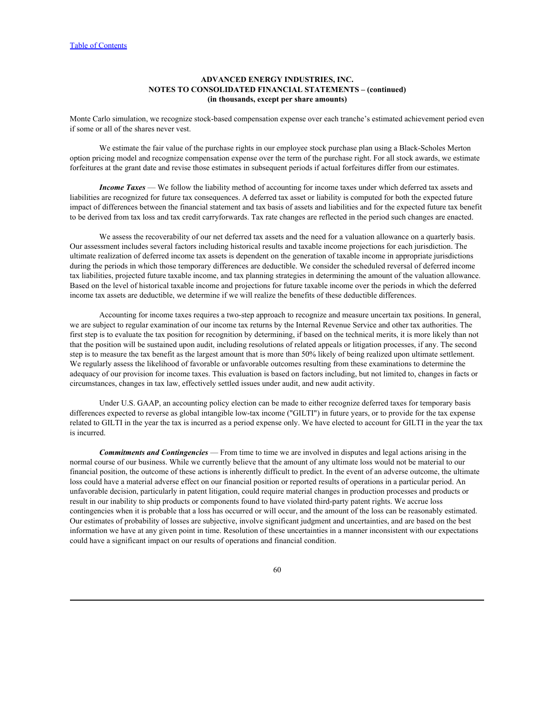Monte Carlo simulation, we recognize stock-based compensation expense over each tranche's estimated achievement period even if some or all of the shares never vest.

We estimate the fair value of the purchase rights in our employee stock purchase plan using a Black-Scholes Merton option pricing model and recognize compensation expense over the term of the purchase right. For all stock awards, we estimate forfeitures at the grant date and revise those estimates in subsequent periods if actual forfeitures differ from our estimates.

*Income Taxes* — We follow the liability method of accounting for income taxes under which deferred tax assets and liabilities are recognized for future tax consequences. A deferred tax asset or liability is computed for both the expected future impact of differences between the financial statement and tax basis of assets and liabilities and for the expected future tax benefit to be derived from tax loss and tax credit carryforwards. Tax rate changes are reflected in the period such changes are enacted.

We assess the recoverability of our net deferred tax assets and the need for a valuation allowance on a quarterly basis. Our assessment includes several factors including historical results and taxable income projections for each jurisdiction. The ultimate realization of deferred income tax assets is dependent on the generation of taxable income in appropriate jurisdictions during the periods in which those temporary differences are deductible. We consider the scheduled reversal of deferred income tax liabilities, projected future taxable income, and tax planning strategies in determining the amount of the valuation allowance. Based on the level of historical taxable income and projections for future taxable income over the periods in which the deferred income tax assets are deductible, we determine if we will realize the benefits of these deductible differences.

Accounting for income taxes requires a two-step approach to recognize and measure uncertain tax positions. In general, we are subject to regular examination of our income tax returns by the Internal Revenue Service and other tax authorities. The first step is to evaluate the tax position for recognition by determining, if based on the technical merits, it is more likely than not that the position will be sustained upon audit, including resolutions of related appeals or litigation processes, if any. The second step is to measure the tax benefit as the largest amount that is more than 50% likely of being realized upon ultimate settlement. We regularly assess the likelihood of favorable or unfavorable outcomes resulting from these examinations to determine the adequacy of our provision for income taxes. This evaluation is based on factors including, but not limited to, changes in facts or circumstances, changes in tax law, effectively settled issues under audit, and new audit activity.

Under U.S. GAAP, an accounting policy election can be made to either recognize deferred taxes for temporary basis differences expected to reverse as global intangible low-tax income ("GILTI") in future years, or to provide for the tax expense related to GILTI in the year the tax is incurred as a period expense only. We have elected to account for GILTI in the year the tax is incurred.

*Commitments and Contingencies* — From time to time we are involved in disputes and legal actions arising in the normal course of our business. While we currently believe that the amount of any ultimate loss would not be material to our financial position, the outcome of these actions is inherently difficult to predict. In the event of an adverse outcome, the ultimate loss could have a material adverse effect on our financial position or reported results of operations in a particular period. An unfavorable decision, particularly in patent litigation, could require material changes in production processes and products or result in our inability to ship products or components found to have violated third-party patent rights. We accrue loss contingencies when it is probable that a loss has occurred or will occur, and the amount of the loss can be reasonably estimated. Our estimates of probability of losses are subjective, involve significant judgment and uncertainties, and are based on the best information we have at any given point in time. Resolution of these uncertainties in a manner inconsistent with our expectations could have a significant impact on our results of operations and financial condition.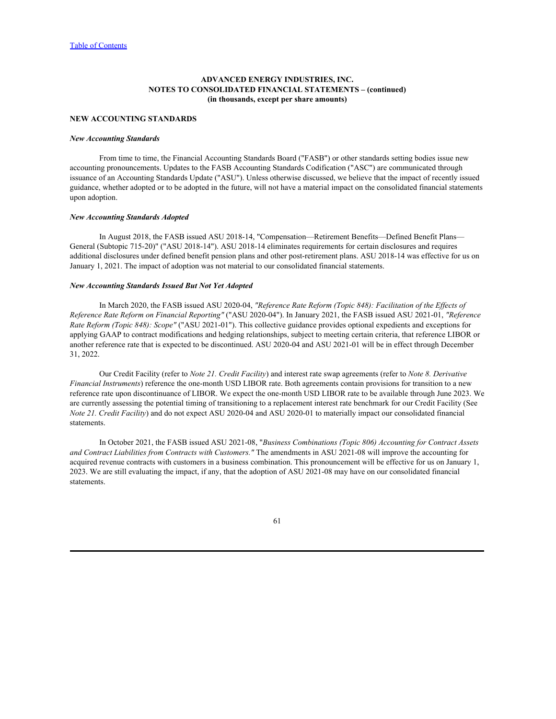## **NEW ACCOUNTING STANDARDS**

#### *New Accounting Standards*

From time to time, the Financial Accounting Standards Board ("FASB") or other standards setting bodies issue new accounting pronouncements. Updates to the FASB Accounting Standards Codification ("ASC") are communicated through issuance of an Accounting Standards Update ("ASU"). Unless otherwise discussed, we believe that the impact of recently issued guidance, whether adopted or to be adopted in the future, will not have a material impact on the consolidated financial statements upon adoption.

#### *New Accounting Standards Adopted*

In August 2018, the FASB issued ASU 2018-14, "Compensation—Retirement Benefits—Defined Benefit Plans— General (Subtopic 715-20)" ("ASU 2018-14"). ASU 2018-14 eliminates requirements for certain disclosures and requires additional disclosures under defined benefit pension plans and other post-retirement plans. ASU 2018-14 was effective for us on January 1, 2021. The impact of adoption was not material to our consolidated financial statements.

### *New Accounting Standards Issued But Not Yet Adopted*

In March 2020, the FASB issued ASU 2020-04, *"Reference Rate Reform (Topic 848): Facilitation of the Effects of Reference Rate Reform on Financial Reporting"* ("ASU 2020-04"). In January 2021, the FASB issued ASU 2021-01, *"Reference Rate Reform (Topic 848): Scope"* ("ASU 2021-01"). This collective guidance provides optional expedients and exceptions for applying GAAP to contract modifications and hedging relationships, subject to meeting certain criteria, that reference LIBOR or another reference rate that is expected to be discontinued. ASU 2020-04 and ASU 2021-01 will be in effect through December 31, 2022.

Our Credit Facility (refer to *Note 21. Credit Facility*) and interest rate swap agreements (refer to *Note 8. Derivative Financial Instruments*) reference the one-month USD LIBOR rate. Both agreements contain provisions for transition to a new reference rate upon discontinuance of LIBOR. We expect the one-month USD LIBOR rate to be available through June 2023. We are currently assessing the potential timing of transitioning to a replacement interest rate benchmark for our Credit Facility (See *Note 21. Credit Facility*) and do not expect ASU 2020-04 and ASU 2020-01 to materially impact our consolidated financial statements.

In October 2021, the FASB issued ASU 2021-08, "*Business Combinations (Topic 806) Accounting for Contract Assets and Contract Liabilities from Contracts with Customers."* The amendments in ASU 2021-08 will improve the accounting for acquired revenue contracts with customers in a business combination. This pronouncement will be effective for us on January 1, 2023. We are still evaluating the impact, if any, that the adoption of ASU 2021-08 may have on our consolidated financial statements.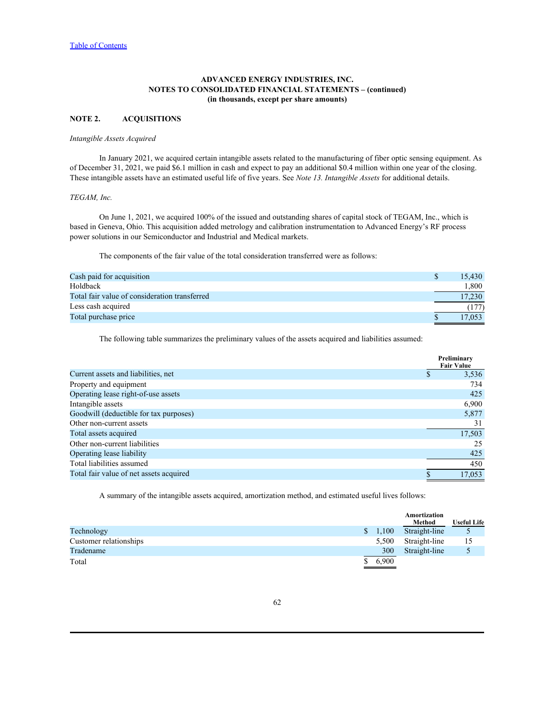# **NOTE 2. ACQUISITIONS**

#### *Intangible Assets Acquired*

In January 2021, we acquired certain intangible assets related to the manufacturing of fiber optic sensing equipment. As of December 31, 2021, we paid \$6.1 million in cash and expect to pay an additional \$0.4 million within one year of the closing. These intangible assets have an estimated useful life of five years. See *Note 13. Intangible Assets* for additional details.

### *TEGAM, Inc.*

On June 1, 2021, we acquired 100% of the issued and outstanding shares of capital stock of TEGAM, Inc., which is based in Geneva, Ohio. This acquisition added metrology and calibration instrumentation to Advanced Energy's RF process power solutions in our Semiconductor and Industrial and Medical markets.

The components of the fair value of the total consideration transferred were as follows:

| Cash paid for acquisition                     | 15,430 |
|-----------------------------------------------|--------|
| Holdback                                      | 1,800  |
| Total fair value of consideration transferred | 17,230 |
| Less cash acquired                            | (177)  |
| Total purchase price                          | 17,053 |

The following table summarizes the preliminary values of the assets acquired and liabilities assumed:

|                                         | Preliminary       |
|-----------------------------------------|-------------------|
|                                         | <b>Fair Value</b> |
| Current assets and liabilities, net     | 3,536             |
| Property and equipment                  | 734               |
| Operating lease right-of-use assets     | 425               |
| Intangible assets                       | 6,900             |
| Goodwill (deductible for tax purposes)  | 5,877             |
| Other non-current assets                |                   |
| Total assets acquired                   | 17,503            |
| Other non-current liabilities           | 25                |
| Operating lease liability               | 425               |
| Total liabilities assumed               | 450               |
| Total fair value of net assets acquired | 17,053            |

A summary of the intangible assets acquired, amortization method, and estimated useful lives follows:

|                        |       | Amortization<br>Method | <b>Useful Life</b> |
|------------------------|-------|------------------------|--------------------|
| Technology             | .100  | Straight-line          |                    |
| Customer relationships | 5,500 | Straight-line          | $\overline{1}$     |
| Tradename              | 300   | Straight-line          |                    |
| Total                  | 6,900 |                        |                    |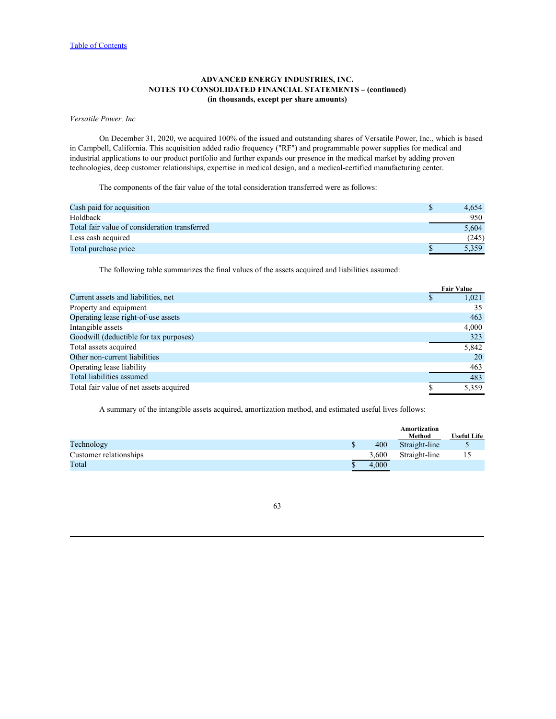*Versatile Power, Inc*

On December 31, 2020, we acquired 100% of the issued and outstanding shares of Versatile Power, Inc., which is based in Campbell, California. This acquisition added radio frequency ("RF") and programmable power supplies for medical and industrial applications to our product portfolio and further expands our presence in the medical market by adding proven technologies, deep customer relationships, expertise in medical design, and a medical-certified manufacturing center.

The components of the fair value of the total consideration transferred were as follows:

| Cash paid for acquisition                     | 4,654 |
|-----------------------------------------------|-------|
| Holdback                                      | 950   |
| Total fair value of consideration transferred | 5,604 |
| Less cash acquired                            | (245) |
| Total purchase price                          | 5,359 |

The following table summarizes the final values of the assets acquired and liabilities assumed:

|                                         | <b>Fair Value</b> |       |
|-----------------------------------------|-------------------|-------|
| Current assets and liabilities, net     |                   | 1,021 |
| Property and equipment                  |                   | 35    |
| Operating lease right-of-use assets     |                   | 463   |
| Intangible assets                       |                   | 4,000 |
| Goodwill (deductible for tax purposes)  |                   | 323   |
| Total assets acquired                   |                   | 5,842 |
| Other non-current liabilities           |                   | 20    |
| Operating lease liability               |                   | 463   |
| Total liabilities assumed               |                   | 483   |
| Total fair value of net assets acquired |                   | 5,359 |

A summary of the intangible assets acquired, amortization method, and estimated useful lives follows:

|                                  |       | Amortization  |                    |
|----------------------------------|-------|---------------|--------------------|
|                                  |       | <b>Method</b> | <b>Useful Life</b> |
| Technology                       | 400   | Straight-line |                    |
| $\sim$<br>Customer relationships | 5,600 | Straight-line | $\overline{ }$     |
| Total                            | 000,1 |               |                    |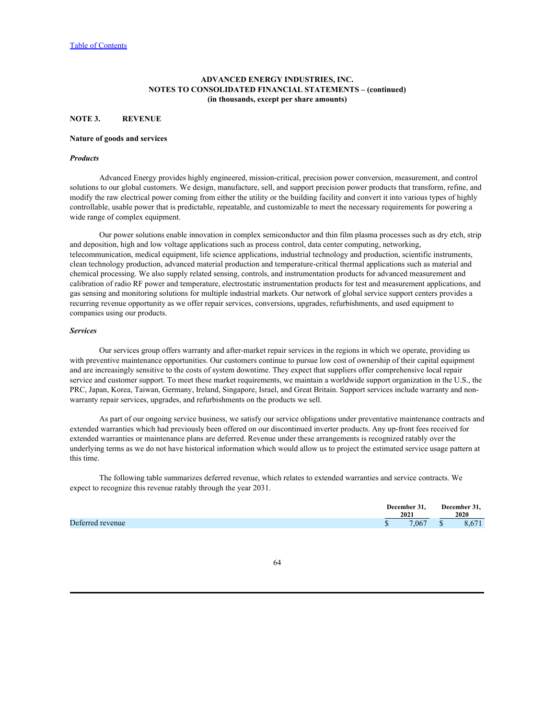#### **NOTE 3. REVENUE**

#### **Nature of goods and services**

#### *Products*

Advanced Energy provides highly engineered, mission-critical, precision power conversion, measurement, and control solutions to our global customers. We design, manufacture, sell, and support precision power products that transform, refine, and modify the raw electrical power coming from either the utility or the building facility and convert it into various types of highly controllable, usable power that is predictable, repeatable, and customizable to meet the necessary requirements for powering a wide range of complex equipment.

Our power solutions enable innovation in complex semiconductor and thin film plasma processes such as dry etch, strip and deposition, high and low voltage applications such as process control, data center computing, networking, telecommunication, medical equipment, life science applications, industrial technology and production, scientific instruments, clean technology production, advanced material production and temperature-critical thermal applications such as material and chemical processing. We also supply related sensing, controls, and instrumentation products for advanced measurement and calibration of radio RF power and temperature, electrostatic instrumentation products for test and measurement applications, and gas sensing and monitoring solutions for multiple industrial markets. Our network of global service support centers provides a recurring revenue opportunity as we offer repair services, conversions, upgrades, refurbishments, and used equipment to companies using our products.

### *Services*

Our services group offers warranty and after-market repair services in the regions in which we operate, providing us with preventive maintenance opportunities. Our customers continue to pursue low cost of ownership of their capital equipment and are increasingly sensitive to the costs of system downtime. They expect that suppliers offer comprehensive local repair service and customer support. To meet these market requirements, we maintain a worldwide support organization in the U.S., the PRC, Japan, Korea, Taiwan, Germany, Ireland, Singapore, Israel, and Great Britain. Support services include warranty and nonwarranty repair services, upgrades, and refurbishments on the products we sell.

As part of our ongoing service business, we satisfy our service obligations under preventative maintenance contracts and extended warranties which had previously been offered on our discontinued inverter products. Any up-front fees received for extended warranties or maintenance plans are deferred. Revenue under these arrangements is recognized ratably over the underlying terms as we do not have historical information which would allow us to project the estimated service usage pattern at this time.

The following table summarizes deferred revenue, which relates to extended warranties and service contracts. We expect to recognize this revenue ratably through the year 2031.

|                     |     | --<br>December<br>.<br>2021 | December 31.<br>2020 |
|---------------------|-----|-----------------------------|----------------------|
| Deferred<br>revenue | . . | 7,067                       | 8,67                 |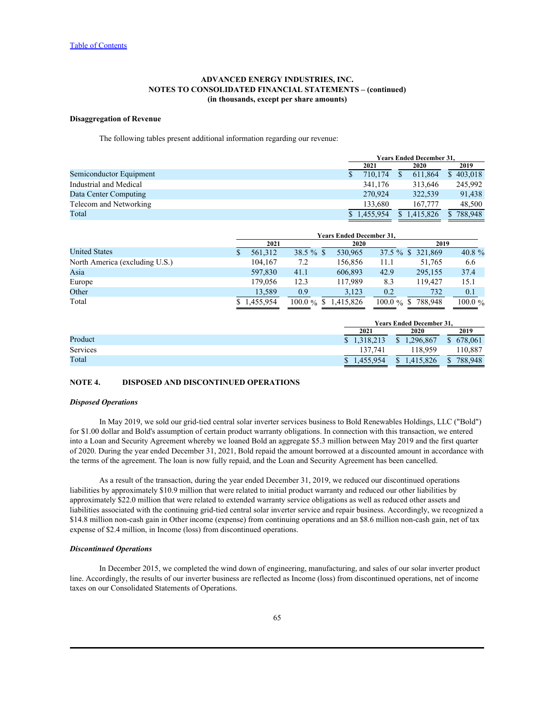# **Disaggregation of Revenue**

The following tables present additional information regarding our revenue:

|                         |             | <b>Years Ended December 31,</b> |           |           |
|-------------------------|-------------|---------------------------------|-----------|-----------|
|                         | 2021        |                                 | 2020      | 2019      |
| Semiconductor Equipment | 710,174     | - 51                            | 611,864   | \$403,018 |
| Industrial and Medical  | 341,176     |                                 | 313,646   | 245,992   |
| Data Center Computing   | 270,924     |                                 | 322,539   | 91,438    |
| Telecom and Networking  | 133,680     |                                 | 167,777   | 48,500    |
| Total                   | \$1,455,954 |                                 | 1,415,826 | 788,948   |
|                         |             |                                 |           |           |

|                                |           |                        | <b>Years Ended December 31,</b> |           |                      |            |  |
|--------------------------------|-----------|------------------------|---------------------------------|-----------|----------------------|------------|--|
|                                | 2021      |                        | 2020                            |           | 2019                 |            |  |
| <b>United States</b>           | 561,312   | $38.5 \%$ \$           | 530,965                         |           | 37.5 % \$ 321,869    | 40.8 %     |  |
| North America (excluding U.S.) | 104,167   | 7.2                    | 156,856                         |           | 51,765               | 6.6        |  |
| Asia                           | 597,830   | 41.1                   | 606,893                         | 42.9      | 295,155              | 37.4       |  |
| Europe                         | 179,056   | 12.3                   | 117,989                         | 8.3       | 119,427              | 15.1       |  |
| Other                          | 13,589    | 0.9                    | 3,123                           | $\rm 0.2$ | 732                  | 0.1        |  |
| Total                          | 1,455,954 | $100.0\%$ \$ 1,415,826 |                                 |           | $100.0\%$ \$ 788,948 | 100.0 $\%$ |  |

|          | <b>Years Ended December 31.</b> |          |         |  |  |
|----------|---------------------------------|----------|---------|--|--|
|          | 2021                            | 2020     | 2019    |  |  |
| Product  | .318,213                        | ,296,867 | 678,061 |  |  |
| Services | 137,741                         | 118,959  | 110,887 |  |  |
| Total    | 1,455,954                       | ,415,826 | 788,948 |  |  |

### **NOTE 4. DISPOSED AND DISCONTINUED OPERATIONS**

#### *Disposed Operations*

In May 2019, we sold our grid-tied central solar inverter services business to Bold Renewables Holdings, LLC ("Bold") for \$1.00 dollar and Bold's assumption of certain product warranty obligations. In connection with this transaction, we entered into a Loan and Security Agreement whereby we loaned Bold an aggregate \$5.3 million between May 2019 and the first quarter of 2020. During the year ended December 31, 2021, Bold repaid the amount borrowed at a discounted amount in accordance with the terms of the agreement. The loan is now fully repaid, and the Loan and Security Agreement has been cancelled.

As a result of the transaction, during the year ended December 31, 2019, we reduced our discontinued operations liabilities by approximately \$10.9 million that were related to initial product warranty and reduced our other liabilities by approximately \$22.0 million that were related to extended warranty service obligations as well as reduced other assets and liabilities associated with the continuing grid-tied central solar inverter service and repair business. Accordingly, we recognized a \$14.8 million non-cash gain in Other income (expense) from continuing operations and an \$8.6 million non-cash gain, net of tax expense of \$2.4 million, in Income (loss) from discontinued operations.

### *Discontinued Operations*

In December 2015, we completed the wind down of engineering, manufacturing, and sales of our solar inverter product line. Accordingly, the results of our inverter business are reflected as Income (loss) from discontinued operations, net of income taxes on our Consolidated Statements of Operations.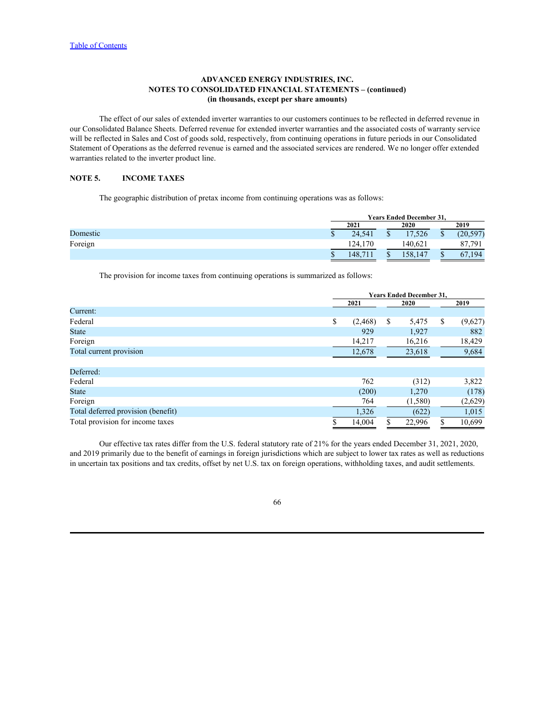The effect of our sales of extended inverter warranties to our customers continues to be reflected in deferred revenue in our Consolidated Balance Sheets. Deferred revenue for extended inverter warranties and the associated costs of warranty service will be reflected in Sales and Cost of goods sold, respectively, from continuing operations in future periods in our Consolidated Statement of Operations as the deferred revenue is earned and the associated services are rendered. We no longer offer extended warranties related to the inverter product line.

# **NOTE 5. INCOME TAXES**

The geographic distribution of pretax income from continuing operations was as follows:

|          | <b>Years Ended December 31,</b> |         |  |         |      |           |  |  |
|----------|---------------------------------|---------|--|---------|------|-----------|--|--|
|          |                                 | 2021    |  | 2020    | 2019 |           |  |  |
| Domestic |                                 | 24,541  |  | 17,526  |      | (20, 597) |  |  |
| Foreign  |                                 | 124,170 |  | 140,621 |      | 87,791    |  |  |
|          |                                 | 148,711 |  | 158,147 |      | 67,194    |  |  |

The provision for income taxes from continuing operations is summarized as follows:

|                                    | <b>Years Ended December 31,</b> |          |             |         |    |         |  |  |  |
|------------------------------------|---------------------------------|----------|-------------|---------|----|---------|--|--|--|
|                                    |                                 | 2021     | <b>2020</b> |         |    | 2019    |  |  |  |
| Current:                           |                                 |          |             |         |    |         |  |  |  |
| Federal                            | \$                              | (2, 468) | \$          | 5,475   | -S | (9,627) |  |  |  |
| <b>State</b>                       |                                 | 929      |             | 1,927   |    | 882     |  |  |  |
| Foreign                            |                                 | 14,217   |             | 16,216  |    | 18,429  |  |  |  |
| Total current provision            |                                 | 12,678   |             | 23,618  |    | 9,684   |  |  |  |
|                                    |                                 |          |             |         |    |         |  |  |  |
| Deferred:                          |                                 |          |             |         |    |         |  |  |  |
| Federal                            |                                 | 762      |             | (312)   |    | 3,822   |  |  |  |
| <b>State</b>                       |                                 | (200)    |             | 1,270   |    | (178)   |  |  |  |
| Foreign                            |                                 | 764      |             | (1,580) |    | (2,629) |  |  |  |
| Total deferred provision (benefit) |                                 | 1,326    |             | (622)   |    | 1,015   |  |  |  |
| Total provision for income taxes   |                                 | 14,004   |             | 22,996  |    | 10,699  |  |  |  |

Our effective tax rates differ from the U.S. federal statutory rate of 21% for the years ended December 31, 2021, 2020, and 2019 primarily due to the benefit of earnings in foreign jurisdictions which are subject to lower tax rates as well as reductions in uncertain tax positions and tax credits, offset by net U.S. tax on foreign operations, withholding taxes, and audit settlements.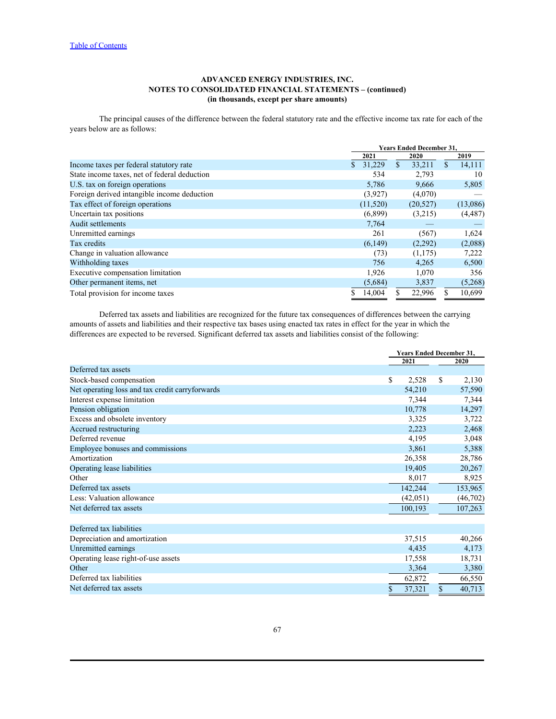The principal causes of the difference between the federal statutory rate and the effective income tax rate for each of the years below are as follows:

|                                              |          | <b>Years Ended December 31.</b> |          |
|----------------------------------------------|----------|---------------------------------|----------|
|                                              | 2021     | 2020                            | 2019     |
| Income taxes per federal statutory rate      | 31,229   | 33,211                          | 14,111   |
| State income taxes, net of federal deduction | 534      | 2,793                           | 10       |
| U.S. tax on foreign operations               | 5,786    | 9,666                           | 5,805    |
| Foreign derived intangible income deduction  | (3,927)  | (4,070)                         |          |
| Tax effect of foreign operations             | (11,520) | (20, 527)                       | (13,086) |
| Uncertain tax positions                      | (6,899)  | (3,215)                         | (4, 487) |
| Audit settlements                            | 7,764    |                                 |          |
| Unremitted earnings                          | 261      | (567)                           | 1,624    |
| Tax credits                                  | (6,149)  | (2,292)                         | (2,088)  |
| Change in valuation allowance                | (73)     | (1,175)                         | 7,222    |
| Withholding taxes                            | 756      | 4,265                           | 6,500    |
| Executive compensation limitation            | .926     | 1,070                           | 356      |
| Other permanent items, net                   | (5,684)  | 3,837                           | (5,268)  |
| Total provision for income taxes             | 14,004   | 22,996                          | 10,699   |

Deferred tax assets and liabilities are recognized for the future tax consequences of differences between the carrying amounts of assets and liabilities and their respective tax bases using enacted tax rates in effect for the year in which the differences are expected to be reversed. Significant deferred tax assets and liabilities consist of the following:

|                                                 | <b>Years Ended December 31,</b> |           |               |          |  |  |
|-------------------------------------------------|---------------------------------|-----------|---------------|----------|--|--|
|                                                 |                                 | 2021      |               | 2020     |  |  |
| Deferred tax assets                             |                                 |           |               |          |  |  |
| Stock-based compensation                        | \$                              | 2,528     | <sup>\$</sup> | 2,130    |  |  |
| Net operating loss and tax credit carryforwards |                                 | 54,210    |               | 57,590   |  |  |
| Interest expense limitation                     |                                 | 7,344     |               | 7,344    |  |  |
| Pension obligation                              |                                 | 10,778    |               | 14,297   |  |  |
| Excess and obsolete inventory                   |                                 | 3,325     |               | 3,722    |  |  |
| Accrued restructuring                           |                                 | 2,223     |               | 2,468    |  |  |
| Deferred revenue                                |                                 | 4,195     |               | 3,048    |  |  |
| Employee bonuses and commissions                |                                 | 3,861     |               | 5,388    |  |  |
| Amortization                                    |                                 | 26,358    |               | 28,786   |  |  |
| Operating lease liabilities                     |                                 | 19,405    |               | 20,267   |  |  |
| Other                                           |                                 | 8,017     |               | 8,925    |  |  |
| Deferred tax assets                             |                                 | 142,244   |               | 153,965  |  |  |
| Less: Valuation allowance                       |                                 | (42, 051) |               | (46,702) |  |  |
| Net deferred tax assets                         |                                 | 100,193   |               | 107,263  |  |  |
| Deferred tax liabilities                        |                                 |           |               |          |  |  |
|                                                 |                                 |           |               |          |  |  |
| Depreciation and amortization                   |                                 | 37,515    |               | 40,266   |  |  |
| Unremitted earnings                             |                                 | 4,435     |               | 4,173    |  |  |
| Operating lease right-of-use assets             |                                 | 17,558    |               | 18,731   |  |  |
| Other                                           |                                 | 3,364     |               | 3,380    |  |  |
| Deferred tax liabilities                        |                                 | 62,872    |               | 66,550   |  |  |
| Net deferred tax assets                         | \$.                             | 37,321    | S.            | 40,713   |  |  |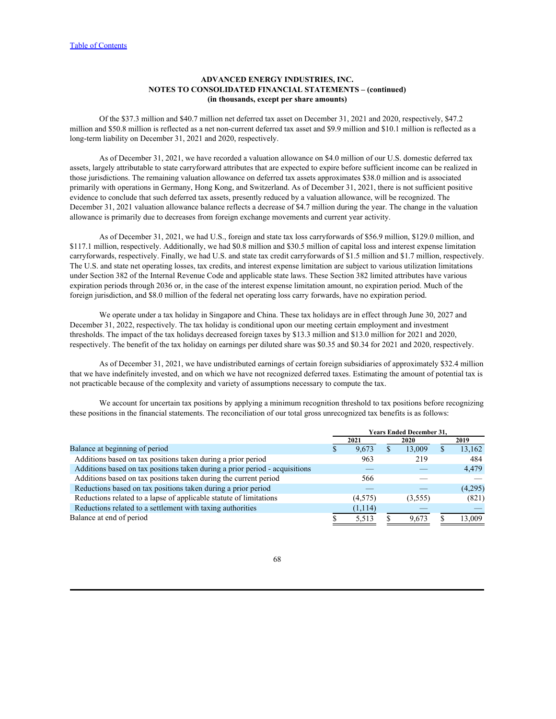Of the \$37.3 million and \$40.7 million net deferred tax asset on December 31, 2021 and 2020, respectively, \$47.2 million and \$50.8 million is reflected as a net non-current deferred tax asset and \$9.9 million and \$10.1 million is reflected as a long-term liability on December 31, 2021 and 2020, respectively.

As of December 31, 2021, we have recorded a valuation allowance on \$4.0 million of our U.S. domestic deferred tax assets, largely attributable to state carryforward attributes that are expected to expire before sufficient income can be realized in those jurisdictions. The remaining valuation allowance on deferred tax assets approximates \$38.0 million and is associated primarily with operations in Germany, Hong Kong, and Switzerland. As of December 31, 2021, there is not sufficient positive evidence to conclude that such deferred tax assets, presently reduced by a valuation allowance, will be recognized. The December 31, 2021 valuation allowance balance reflects a decrease of \$4.7 million during the year. The change in the valuation allowance is primarily due to decreases from foreign exchange movements and current year activity.

As of December 31, 2021, we had U.S., foreign and state tax loss carryforwards of \$56.9 million, \$129.0 million, and \$117.1 million, respectively. Additionally, we had \$0.8 million and \$30.5 million of capital loss and interest expense limitation carryforwards, respectively. Finally, we had U.S. and state tax credit carryforwards of \$1.5 million and \$1.7 million, respectively. The U.S. and state net operating losses, tax credits, and interest expense limitation are subject to various utilization limitations under Section 382 of the Internal Revenue Code and applicable state laws. These Section 382 limited attributes have various expiration periods through 2036 or, in the case of the interest expense limitation amount, no expiration period. Much of the foreign jurisdiction, and \$8.0 million of the federal net operating loss carry forwards, have no expiration period.

We operate under a tax holiday in Singapore and China. These tax holidays are in effect through June 30, 2027 and December 31, 2022, respectively. The tax holiday is conditional upon our meeting certain employment and investment thresholds. The impact of the tax holidays decreased foreign taxes by \$13.3 million and \$13.0 million for 2021 and 2020, respectively. The benefit of the tax holiday on earnings per diluted share was \$0.35 and \$0.34 for 2021 and 2020, respectively.

As of December 31, 2021, we have undistributed earnings of certain foreign subsidiaries of approximately \$32.4 million that we have indefinitely invested, and on which we have not recognized deferred taxes. Estimating the amount of potential tax is not practicable because of the complexity and variety of assumptions necessary to compute the tax.

We account for uncertain tax positions by applying a minimum recognition threshold to tax positions before recognizing these positions in the financial statements. The reconciliation of our total gross unrecognized tax benefits is as follows:

|                                                                             |              |  | <b>Years Ended December 31.</b> |  |         |
|-----------------------------------------------------------------------------|--------------|--|---------------------------------|--|---------|
|                                                                             | 2020<br>2021 |  | 2019                            |  |         |
| Balance at beginning of period                                              | 9,673        |  | 13,009                          |  | 13,162  |
| Additions based on tax positions taken during a prior period                | 963          |  | 219                             |  | 484     |
| Additions based on tax positions taken during a prior period - acquisitions |              |  |                                 |  | 4,479   |
| Additions based on tax positions taken during the current period            | 566          |  |                                 |  |         |
| Reductions based on tax positions taken during a prior period               |              |  |                                 |  | (4,295) |
| Reductions related to a lapse of applicable statute of limitations          | (4,575)      |  | (3,555)                         |  | (821)   |
| Reductions related to a settlement with taxing authorities                  | (1,114)      |  |                                 |  |         |
| Balance at end of period                                                    | 5,513        |  | 9,673                           |  | 13,009  |
|                                                                             |              |  |                                 |  |         |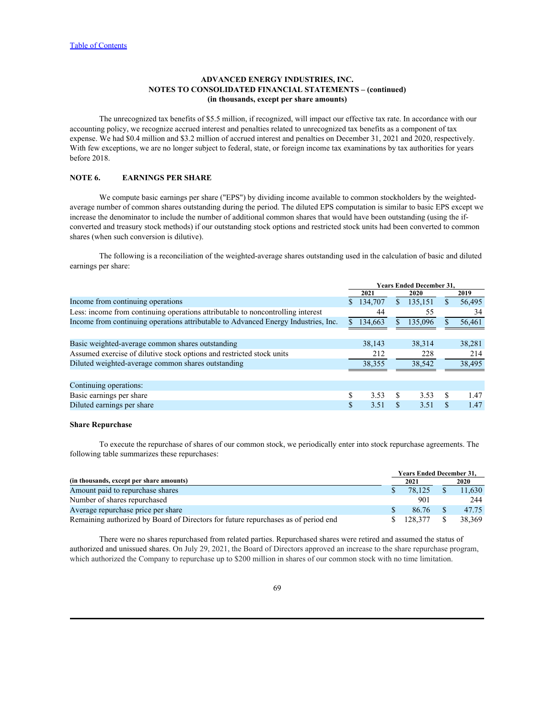The unrecognized tax benefits of \$5.5 million, if recognized, will impact our effective tax rate. In accordance with our accounting policy, we recognize accrued interest and penalties related to unrecognized tax benefits as a component of tax expense. We had \$0.4 million and \$3.2 million of accrued interest and penalties on December 31, 2021 and 2020, respectively. With few exceptions, we are no longer subject to federal, state, or foreign income tax examinations by tax authorities for years before 2018.

# **NOTE 6. EARNINGS PER SHARE**

We compute basic earnings per share ("EPS") by dividing income available to common stockholders by the weightedaverage number of common shares outstanding during the period. The diluted EPS computation is similar to basic EPS except we increase the denominator to include the number of additional common shares that would have been outstanding (using the ifconverted and treasury stock methods) if our outstanding stock options and restricted stock units had been converted to common shares (when such conversion is dilutive).

The following is a reconciliation of the weighted-average shares outstanding used in the calculation of basic and diluted earnings per share:

| <b>Years Ended December 31.</b> |         |           |             |  |          |  |  |
|---------------------------------|---------|-----------|-------------|--|----------|--|--|
|                                 | 2021    |           | <b>2020</b> |  | 2019     |  |  |
|                                 |         |           | 135,151     |  | 56,495   |  |  |
|                                 | 44      |           | 55          |  | 34       |  |  |
|                                 | 134,663 |           | 135,096     |  | 56,461   |  |  |
|                                 |         |           |             |  |          |  |  |
|                                 | 38,143  |           | 38,314      |  | 38,281   |  |  |
|                                 | 212     |           | 228         |  | 214      |  |  |
|                                 | 38,355  |           | 38,542      |  | 38,495   |  |  |
|                                 |         |           |             |  |          |  |  |
|                                 |         |           |             |  |          |  |  |
|                                 | 3.53    |           | 3.53        |  | $\pm 47$ |  |  |
|                                 | 3.51    |           | 3.51        |  | 1.47     |  |  |
|                                 |         | \$134,707 |             |  |          |  |  |

# **Share Repurchase**

To execute the repurchase of shares of our common stock, we periodically enter into stock repurchase agreements. The following table summarizes these repurchases:

|                                                                                    | <b>Years Ended December 31.</b> |         |  |             |  |  |
|------------------------------------------------------------------------------------|---------------------------------|---------|--|-------------|--|--|
| (in thousands, except per share amounts)                                           |                                 | 2021    |  | <b>2020</b> |  |  |
| Amount paid to repurchase shares                                                   |                                 | 78.125  |  | 11,630      |  |  |
| Number of shares repurchased                                                       |                                 | 901     |  | 244         |  |  |
| Average repurchase price per share                                                 |                                 | 86.76   |  | 47.75       |  |  |
| Remaining authorized by Board of Directors for future repurchases as of period end |                                 | 128.377 |  | 38.369      |  |  |

There were no shares repurchased from related parties. Repurchased shares were retired and assumed the status of authorized and unissued shares. On July 29, 2021, the Board of Directors approved an increase to the share repurchase program, which authorized the Company to repurchase up to \$200 million in shares of our common stock with no time limitation.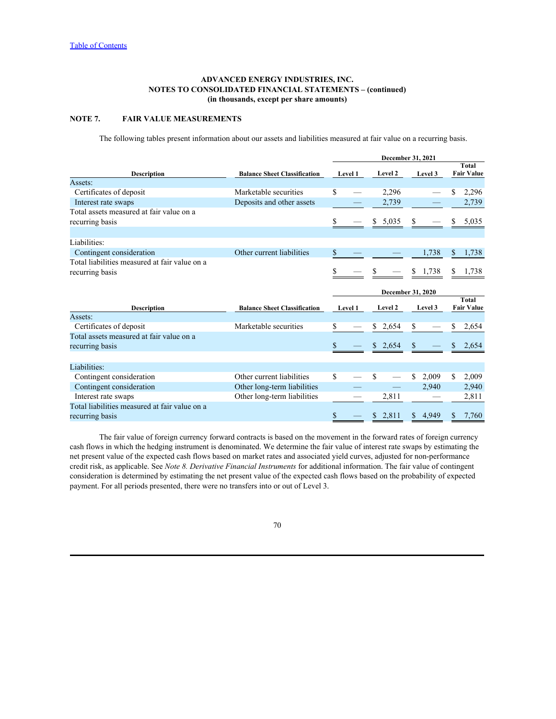# **NOTE 7. FAIR VALUE MEASUREMENTS**

The following tables present information about our assets and liabilities measured at fair value on a recurring basis.

|                                                             |                                     |                          |         | December 31, 2021             |                            |
|-------------------------------------------------------------|-------------------------------------|--------------------------|---------|-------------------------------|----------------------------|
| <b>Description</b>                                          | <b>Balance Sheet Classification</b> | Level 1                  | Level 2 | Level 3                       | Total<br><b>Fair Value</b> |
| Assets:                                                     |                                     |                          |         |                               |                            |
| Certificates of deposit                                     | Marketable securities               |                          | 2,296   | $\overbrace{\phantom{12333}}$ | 2,296                      |
| Interest rate swaps                                         | Deposits and other assets           |                          | 2,739   |                               | 2,739                      |
| Total assets measured at fair value on a<br>recurring basis |                                     |                          | \$5,035 |                               | 5,035<br>S.                |
| Liabilities:                                                |                                     |                          |         |                               |                            |
| Contingent consideration                                    | Other current liabilities           |                          |         | 1,738                         | 1,738<br><sup>S</sup>      |
| Total liabilities measured at fair value on a               |                                     |                          |         |                               |                            |
| recurring basis                                             |                                     |                          |         | 1,738                         | 1,738<br>S.                |
|                                                             |                                     |                          |         |                               |                            |
|                                                             |                                     |                          |         | December 31, 2020             | Total                      |
| <b>Description</b>                                          | <b>Balance Sheet Classification</b> | Level 1                  | Level 2 | Level 3                       | <b>Fair Value</b>          |
| Assets:                                                     |                                     |                          |         |                               |                            |
| Certificates of deposit                                     | Marketable securities               | $\overline{\phantom{m}}$ | \$2,654 | $\overline{\phantom{m}}$      | \$2,654                    |
| Total assets measured at fair value on a                    |                                     |                          |         |                               |                            |
| recurring basis                                             |                                     |                          | \$2,654 |                               | 2,654                      |
|                                                             |                                     |                          |         |                               |                            |
| Liabilities:                                                |                                     |                          |         |                               |                            |
| Contingent consideration                                    | Other current liabilities           |                          |         | 2,009                         | 2,009<br>-S                |
| Contingent consideration                                    | Other long-term liabilities         |                          |         | 2,940                         | 2,940                      |
| Interest rate swaps                                         |                                     |                          | 2,811   |                               |                            |
|                                                             | Other long-term liabilities         | $\hspace{0.05cm}$        |         | $\overbrace{\phantom{aaaaa}}$ | 2,811                      |
| Total liabilities measured at fair value on a               |                                     |                          | \$2,811 | 4,949                         | 7,760                      |

The fair value of foreign currency forward contracts is based on the movement in the forward rates of foreign currency cash flows in which the hedging instrument is denominated. We determine the fair value of interest rate swaps by estimating the net present value of the expected cash flows based on market rates and associated yield curves, adjusted for non-performance credit risk, as applicable. See *Note 8. Derivative Financial Instruments* for additional information. The fair value of contingent consideration is determined by estimating the net present value of the expected cash flows based on the probability of expected payment. For all periods presented, there were no transfers into or out of Level 3.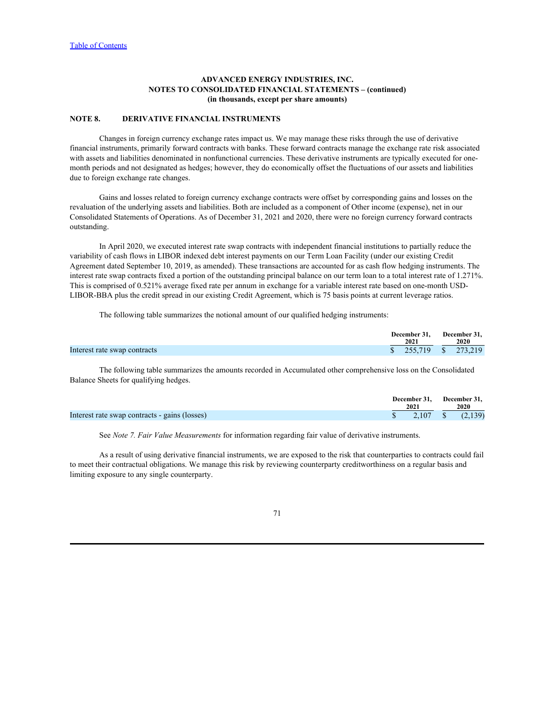## **NOTE 8. DERIVATIVE FINANCIAL INSTRUMENTS**

Changes in foreign currency exchange rates impact us. We may manage these risks through the use of derivative financial instruments, primarily forward contracts with banks. These forward contracts manage the exchange rate risk associated with assets and liabilities denominated in nonfunctional currencies. These derivative instruments are typically executed for onemonth periods and not designated as hedges; however, they do economically offset the fluctuations of our assets and liabilities due to foreign exchange rate changes.

Gains and losses related to foreign currency exchange contracts were offset by corresponding gains and losses on the revaluation of the underlying assets and liabilities. Both are included as a component of Other income (expense), net in our Consolidated Statements of Operations. As of December 31, 2021 and 2020, there were no foreign currency forward contracts outstanding.

In April 2020, we executed interest rate swap contracts with independent financial institutions to partially reduce the variability of cash flows in LIBOR indexed debt interest payments on our Term Loan Facility (under our existing Credit Agreement dated September 10, 2019, as amended). These transactions are accounted for as cash flow hedging instruments. The interest rate swap contracts fixed a portion of the outstanding principal balance on our term loan to a total interest rate of 1.271%. This is comprised of 0.521% average fixed rate per annum in exchange for a variable interest rate based on one-month USD-LIBOR-BBA plus the credit spread in our existing Credit Agreement, which is 75 basis points at current leverage ratios.

The following table summarizes the notional amount of our qualified hedging instruments:

|                                                   | December 31.<br>2021 | December 31.<br>2020                  |
|---------------------------------------------------|----------------------|---------------------------------------|
| Interest rate swap contracts<br>$\cdots$ $\cdots$ | 255710<br>----       | 273.210<br><i><u><u>_____</u></u></i> |

The following table summarizes the amounts recorded in Accumulated other comprehensive loss on the Consolidated Balance Sheets for qualifying hedges.

|                                                  | December 31.<br>202 | December 31.<br>2020 |
|--------------------------------------------------|---------------------|----------------------|
| gains (losses)<br>Interest rate swap contracts - | .107                | '39'<br>ॱ∸           |

See *Note 7. Fair Value Measurements* for information regarding fair value of derivative instruments.

As a result of using derivative financial instruments, we are exposed to the risk that counterparties to contracts could fail to meet their contractual obligations. We manage this risk by reviewing counterparty creditworthiness on a regular basis and limiting exposure to any single counterparty.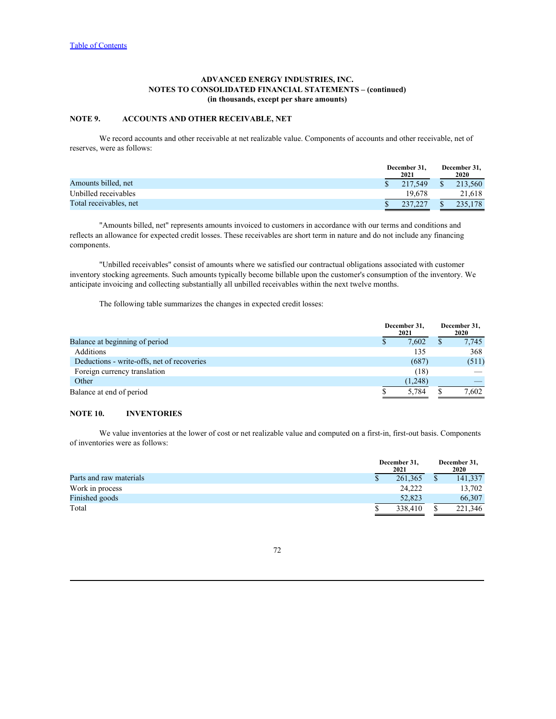# **NOTE 9. ACCOUNTS AND OTHER RECEIVABLE, NET**

We record accounts and other receivable at net realizable value. Components of accounts and other receivable, net of reserves, were as follows:

|                        | December 31, |                      | December 31, |             |
|------------------------|--------------|----------------------|--------------|-------------|
|                        |              | 2021                 |              | <b>2020</b> |
| Amounts billed, net    |              | 217.549              |              | 213,560     |
| Unbilled receivables   |              | 19.678               |              | 21,618      |
| Total receivables, net |              | 237<br>227<br>LJI,LL |              | 235,178     |

"Amounts billed, net" represents amounts invoiced to customers in accordance with our terms and conditions and reflects an allowance for expected credit losses. These receivables are short term in nature and do not include any financing components.

"Unbilled receivables" consist of amounts where we satisfied our contractual obligations associated with customer inventory stocking agreements. Such amounts typically become billable upon the customer's consumption of the inventory. We anticipate invoicing and collecting substantially all unbilled receivables within the next twelve months.

The following table summarizes the changes in expected credit losses:

| 2021<br>2020 |                       | December 31,      |  |
|--------------|-----------------------|-------------------|--|
| 7,602        |                       | 7,745             |  |
| 135          |                       | 368               |  |
| (687)        |                       | (511)             |  |
| (18)         |                       | $\hspace{0.05cm}$ |  |
| (1,248)      |                       |                   |  |
|              |                       | 7,602             |  |
|              | December 31,<br>5,784 |                   |  |

#### **NOTE 10. INVENTORIES**

We value inventories at the lower of cost or net realizable value and computed on a first-in, first-out basis. Components of inventories were as follows:

|                         | December 31,<br>2021 |         | December 31,<br>2020 |  |
|-------------------------|----------------------|---------|----------------------|--|
| Parts and raw materials |                      | 261,365 | 141,337              |  |
| Work in process         |                      | 24,222  | 13,702               |  |
| Finished goods          |                      | 52,823  | 66,307               |  |
| Total                   |                      | 338,410 | 221,346              |  |
|                         |                      |         |                      |  |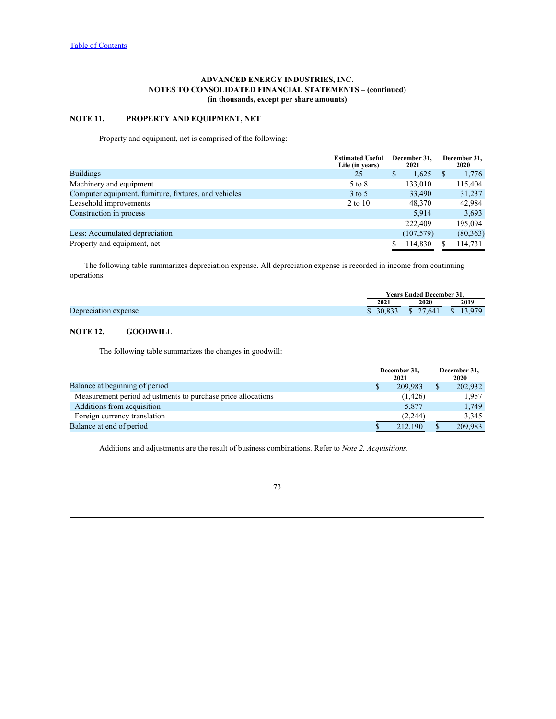## **NOTE 11. PROPERTY AND EQUIPMENT, NET**

Property and equipment, net is comprised of the following:

|                                                       | <b>Estimated Useful</b><br>Life (in years) | December 31,<br>2021 | December 31,<br><b>2020</b> |
|-------------------------------------------------------|--------------------------------------------|----------------------|-----------------------------|
| <b>Buildings</b>                                      | 25                                         | 1,625                | 1,776                       |
| Machinery and equipment                               | 5 to 8                                     | 133,010              | 115,404                     |
| Computer equipment, furniture, fixtures, and vehicles | $3$ to 5                                   | 33,490               | 31,237                      |
| Leasehold improvements                                | 2 to 10                                    | 48,370               | 42,984                      |
| Construction in process                               |                                            | 5,914                | 3,693                       |
|                                                       |                                            | 222,409              | 195,094                     |
| Less: Accumulated depreciation                        |                                            | (107, 579)           | (80, 363)                   |
| Property and equipment, net                           |                                            | 14,830               | 114.731                     |

The following table summarizes depreciation expense. All depreciation expense is recorded in income from continuing operations.

|                      |        | <b>Years Ended December 31,</b> |               |
|----------------------|--------|---------------------------------|---------------|
|                      | 2021   | 2020                            | 2019          |
| Depreciation expense | 30.833 | - - -<br>.64                    | 2979<br>J . J |

## **NOTE 12. GOODWILL**

The following table summarizes the changes in goodwill:

|                                                              | December 31,<br>2021 |          | December 31.<br><b>2020</b> |         |  |
|--------------------------------------------------------------|----------------------|----------|-----------------------------|---------|--|
| Balance at beginning of period                               |                      | 209.983  |                             | 202,932 |  |
| Measurement period adjustments to purchase price allocations |                      | (1, 426) |                             | 1,957   |  |
| Additions from acquisition                                   |                      | 5,877    |                             | 1,749   |  |
| Foreign currency translation                                 |                      | (2,244)  |                             | 3,345   |  |
| Balance at end of period                                     |                      | 212,190  |                             | 209,983 |  |

Additions and adjustments are the result of business combinations. Refer to *Note 2. Acquisitions.*

73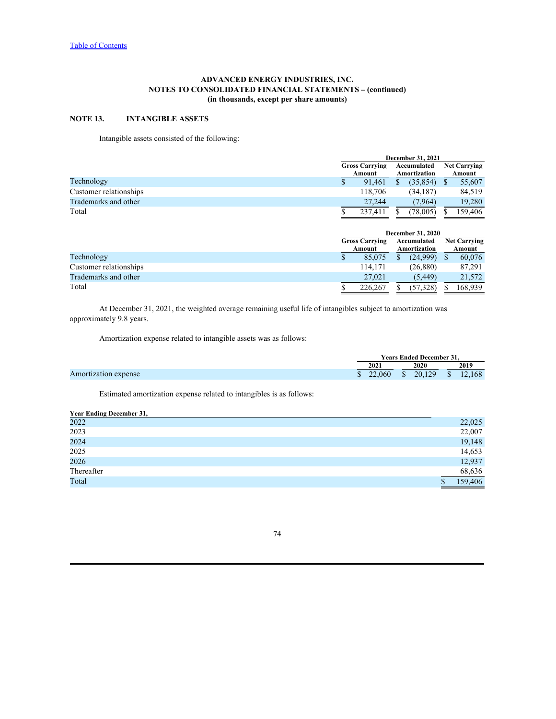## **NOTE 13. INTANGIBLE ASSETS**

Intangible assets consisted of the following:

|                        | December 31, 2021 |                                 |  |                             |  |                               |  |  |
|------------------------|-------------------|---------------------------------|--|-----------------------------|--|-------------------------------|--|--|
|                        |                   | <b>Gross Carrying</b><br>Amount |  | Accumulated<br>Amortization |  | <b>Net Carrying</b><br>Amount |  |  |
| Technology             |                   | 91,461                          |  | (35, 854)                   |  | 55,607                        |  |  |
| Customer relationships |                   | 118,706                         |  | (34, 187)                   |  | 84,519                        |  |  |
| Trademarks and other   |                   | 27.244                          |  | (7.964)                     |  | 19,280                        |  |  |
| Total                  |                   | 237,411                         |  | (78,005)                    |  | 159,406                       |  |  |

|                        | <b>December 31, 2020</b>        |         |  |              |  |         |  |  |             |  |  |                     |  |
|------------------------|---------------------------------|---------|--|--------------|--|---------|--|--|-------------|--|--|---------------------|--|
|                        | <b>Gross Carrying</b><br>Amount |         |  |              |  |         |  |  | Accumulated |  |  | <b>Net Carrying</b> |  |
|                        |                                 |         |  | Amortization |  | Amount  |  |  |             |  |  |                     |  |
| Technology             |                                 | 85,075  |  | (24,999)     |  | 60,076  |  |  |             |  |  |                     |  |
| Customer relationships |                                 | 114,171 |  | (26, 880)    |  | 87,291  |  |  |             |  |  |                     |  |
| Trademarks and other   |                                 | 27,021  |  | (5, 449)     |  | 21,572  |  |  |             |  |  |                     |  |
| Total                  |                                 | 226,267 |  | (57,328)     |  | 168,939 |  |  |             |  |  |                     |  |

At December 31, 2021, the weighted average remaining useful life of intangibles subject to amortization was approximately 9.8 years.

Amortization expense related to intangible assets was as follows:

|                      |        | <b>Years Ended December 31.</b>         |        |
|----------------------|--------|-----------------------------------------|--------|
|                      | 2021   | 2020                                    | 2019   |
| Amortization expense | 22,060 | 120<br>20,129<br><b>Service Service</b> | 12,168 |

Estimated amortization expense related to intangibles is as follows:

| <b>Year Ending December 31,</b> |                  |
|---------------------------------|------------------|
| 2022                            | 22,025           |
| 2023                            | 22,007           |
| 2024                            | 19,148           |
| 2025                            |                  |
| 2026                            | 14,653<br>12,937 |
| Thereafter                      | 68,636           |
| Total                           | 159,406          |
|                                 |                  |

74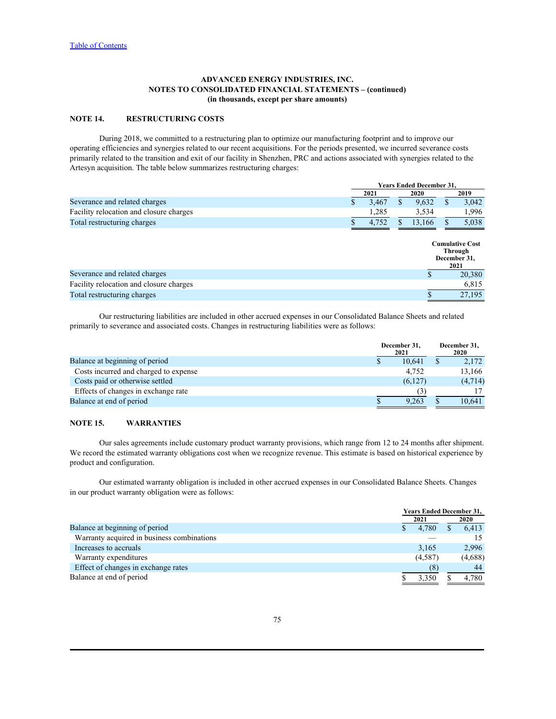## **NOTE 14. RESTRUCTURING COSTS**

During 2018, we committed to a restructuring plan to optimize our manufacturing footprint and to improve our operating efficiencies and synergies related to our recent acquisitions. For the periods presented, we incurred severance costs primarily related to the transition and exit of our facility in Shenzhen, PRC and actions associated with synergies related to the Artesyn acquisition. The table below summarizes restructuring charges:

|                                         |                        |       | <b>Years Ended December 31,</b> |       |  |       |  |  |
|-----------------------------------------|------------------------|-------|---------------------------------|-------|--|-------|--|--|
|                                         | 2021                   |       |                                 | 2020  |  | 2019  |  |  |
| Severance and related charges           |                        | 3,467 |                                 | 9,632 |  | 3,042 |  |  |
| Facility relocation and closure charges |                        | 1,285 |                                 | 3,534 |  | '.996 |  |  |
| Total restructuring charges             |                        | 4.752 |                                 | 3.166 |  | 5,038 |  |  |
|                                         |                        |       |                                 |       |  |       |  |  |
|                                         | <b>Cumulative Cost</b> |       |                                 |       |  |       |  |  |

| Through      |        |  |  |  |  |  |
|--------------|--------|--|--|--|--|--|
| December 31, |        |  |  |  |  |  |
|              |        |  |  |  |  |  |
|              | 20,380 |  |  |  |  |  |
|              | 6,815  |  |  |  |  |  |
|              | 27,195 |  |  |  |  |  |
|              | 2021   |  |  |  |  |  |

Our restructuring liabilities are included in other accrued expenses in our Consolidated Balance Sheets and related primarily to severance and associated costs. Changes in restructuring liabilities were as follows:

|                                       | December 31,<br>2021 |         | December 31.<br>2020 |  |  |
|---------------------------------------|----------------------|---------|----------------------|--|--|
| Balance at beginning of period        |                      | 10,641  | 2,172                |  |  |
| Costs incurred and charged to expense |                      | 4,752   | 13,166               |  |  |
| Costs paid or otherwise settled       |                      | (6,127) | (4,714)              |  |  |
| Effects of changes in exchange rate   |                      | 3)      |                      |  |  |
| Balance at end of period              |                      | 9,263   | 10,641               |  |  |

## **NOTE 15. WARRANTIES**

Our sales agreements include customary product warranty provisions, which range from 12 to 24 months after shipment. We record the estimated warranty obligations cost when we recognize revenue. This estimate is based on historical experience by product and configuration.

Our estimated warranty obligation is included in other accrued expenses in our Consolidated Balance Sheets. Changes in our product warranty obligation were as follows:

|      | <b>Years Ended December 31,</b> |                                           |
|------|---------------------------------|-------------------------------------------|
| 2021 |                                 | 2020                                      |
|      |                                 | 6,413                                     |
|      |                                 |                                           |
|      |                                 | 2,996                                     |
|      |                                 | (4,688)                                   |
|      |                                 | 44                                        |
|      |                                 | l.780                                     |
|      |                                 | 4,780<br>3,165<br>(4,587)<br>(8)<br>3,350 |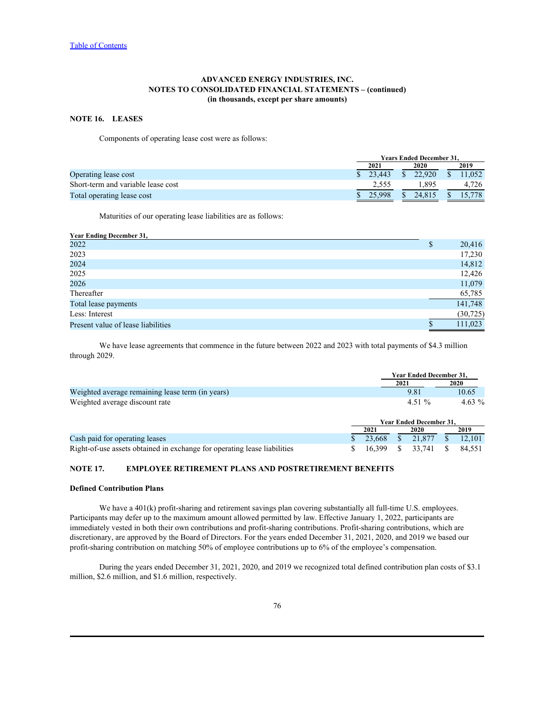#### **NOTE 16. LEASES**

Components of operating lease cost were as follows:

|                                    |  | <b>Years Ended December 31.</b> |        |  |        |
|------------------------------------|--|---------------------------------|--------|--|--------|
|                                    |  | 2021                            | 2020   |  | 2019   |
| Operating lease cost               |  | 23,443                          | 22.920 |  | 11,052 |
| Short-term and variable lease cost |  | 2,555                           | 1,895  |  | 4,726  |
| Total operating lease cost         |  | 25.998                          | 24.815 |  | 15,778 |

Maturities of our operating lease liabilities are as follows:

| Year Ending December 31,           |           |
|------------------------------------|-----------|
| 2022                               | 20,416    |
| 2023                               | 17,230    |
| 2024                               | 14,812    |
| 2025                               | 12,426    |
| 2026                               | 11,079    |
| Thereafter                         | 65,785    |
| Total lease payments               | 141,748   |
| Less: Interest                     | (30, 725) |
| Present value of lease liabilities | 111,023   |

We have lease agreements that commence in the future between 2022 and 2023 with total payments of \$4.3 million through 2029.

|                                                  | <b>Year Ended December 31,</b> |          |  |  |  |  |
|--------------------------------------------------|--------------------------------|----------|--|--|--|--|
|                                                  | 2021                           | 2020     |  |  |  |  |
| Weighted average remaining lease term (in years) | 9.81                           | 10.65    |  |  |  |  |
| Weighted average discount rate                   | 4.51 %                         | 4.63 $%$ |  |  |  |  |
|                                                  | <b>Year Ended December 31,</b> |          |  |  |  |  |
|                                                  | 2020<br>2021                   | 2019     |  |  |  |  |
| Cash paid for operating leases                   | 21.877<br>23,668               | 2,101    |  |  |  |  |

Right-of-use assets obtained in exchange for operating lease liabilities  $$ 16,399 $ 33,741 $ 84,551$ 

# **NOTE 17. EMPLOYEE RETIREMENT PLANS AND POSTRETIREMENT BENEFITS**

#### **Defined Contribution Plans**

We have a 401(k) profit-sharing and retirement savings plan covering substantially all full-time U.S. employees. Participants may defer up to the maximum amount allowed permitted by law. Effective January 1, 2022, participants are immediately vested in both their own contributions and profit-sharing contributions. Profit-sharing contributions, which are discretionary, are approved by the Board of Directors. For the years ended December 31, 2021, 2020, and 2019 we based our profit-sharing contribution on matching 50% of employee contributions up to 6% of the employee's compensation.

During the years ended December 31, 2021, 2020, and 2019 we recognized total defined contribution plan costs of \$3.1 million, \$2.6 million, and \$1.6 million, respectively.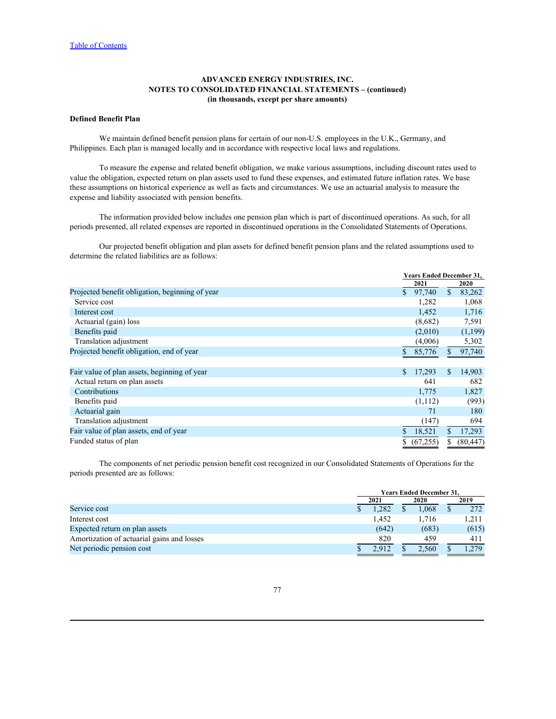#### **Defined Benefit Plan**

We maintain defined benefit pension plans for certain of our non-U.S. employees in the U.K., Germany, and Philippines. Each plan is managed locally and in accordance with respective local laws and regulations.

To measure the expense and related benefit obligation, we make various assumptions, including discount rates used to value the obligation, expected return on plan assets used to fund these expenses, and estimated future inflation rates. We base these assumptions on historical experience as well as facts and circumstances. We use an actuarial analysis to measure the expense and liability associated with pension benefits.

The information provided below includes one pension plan which is part of discontinued operations. As such, for all periods presented, all related expenses are reported in discontinued operations in the Consolidated Statements of Operations.

Our projected benefit obligation and plan assets for defined benefit pension plans and the related assumptions used to determine the related liabilities are as follows:

|                                                 | <b>Years Ended December 31,</b> |              |
|-------------------------------------------------|---------------------------------|--------------|
|                                                 | 2021                            | <b>2020</b>  |
| Projected benefit obligation, beginning of year | \$97,740                        | 83,262       |
| Service cost                                    | 1,282                           | 1,068        |
| Interest cost                                   | 1,452                           | 1,716        |
| Actuarial (gain) loss                           | (8,682)                         | 7,591        |
| Benefits paid                                   | (2,010)                         | (1,199)      |
| Translation adjustment                          | (4,006)                         | 5,302        |
| Projected benefit obligation, end of year       | 85,776                          | 97,740       |
|                                                 |                                 |              |
| Fair value of plan assets, beginning of year    | \$<br>17,293                    | \$<br>14,903 |
| Actual return on plan assets                    | 641                             | 682          |
| Contributions                                   | 1,775                           | 1,827        |
| Benefits paid                                   | (1,112)                         | (993)        |
| Actuarial gain                                  | 71                              | 180          |
| Translation adjustment                          | (147)                           | 694          |
| Fair value of plan assets, end of year          | 18,521                          | 17,293       |
| Funded status of plan                           | \$ (67,255)                     | (80, 447)    |

The components of net periodic pension benefit cost recognized in our Consolidated Statements of Operations for the periods presented are as follows:

|                                            | <b>Years Ended December 31,</b> |       |  |       |  |       |  |
|--------------------------------------------|---------------------------------|-------|--|-------|--|-------|--|
|                                            |                                 | 2021  |  | 2020  |  | 2019  |  |
| Service cost                               |                                 | .282  |  | 1,068 |  | 272   |  |
| Interest cost                              |                                 | .452  |  | 1,716 |  | 1,211 |  |
| Expected return on plan assets             |                                 | (642) |  | (683) |  | (615) |  |
| Amortization of actuarial gains and losses |                                 | 820   |  | 459   |  | 411   |  |
| Net periodic pension cost                  |                                 | 2.912 |  | 2,560 |  | 1,279 |  |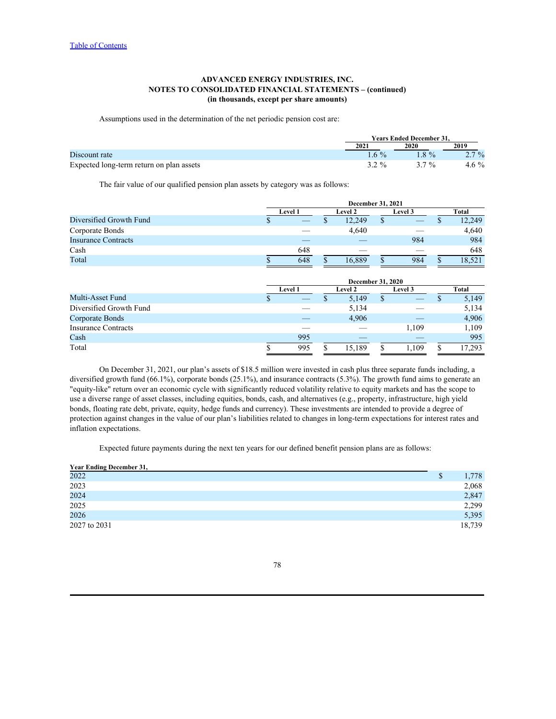Assumptions used in the determination of the net periodic pension cost are:

|                                          |                                         | <b>Years Ended December 31,</b> |          |  |
|------------------------------------------|-----------------------------------------|---------------------------------|----------|--|
|                                          | 2021                                    | 2020                            | 2019     |  |
| Discount rate                            | $1.6\%$                                 | $\Omega$<br>1.070               | $\sim$ . |  |
| Expected long-term return on plan assets | $\sim$ 0.4<br>$J.4 \times 10^{-1}$<br>. | 770<br>$\sim \cdot$ , $\sim$    | 4.6 %    |  |

The fair value of our qualified pension plan assets by category was as follows:

|                            | December 31, 2021             |  |                                 |  |                          |  |        |  |  |
|----------------------------|-------------------------------|--|---------------------------------|--|--------------------------|--|--------|--|--|
|                            | <b>Level 1</b>                |  | <b>Level 2</b>                  |  | Level 3                  |  | Total  |  |  |
| Diversified Growth Fund    | $\overbrace{\phantom{aaaaa}}$ |  | 12,249                          |  | $-$                      |  | 12,249 |  |  |
| Corporate Bonds            | $\overline{\phantom{m}}$      |  | 4,640                           |  | $\overline{\phantom{m}}$ |  | 4,640  |  |  |
| <b>Insurance Contracts</b> |                               |  | $\hspace{0.1mm}-\hspace{0.1mm}$ |  | 984                      |  | 984    |  |  |
| Cash                       | 648                           |  | $\hspace{0.1mm}-\hspace{0.1mm}$ |  |                          |  | 648    |  |  |
| Total                      | 648                           |  | 16,889                          |  | 984                      |  | 18,521 |  |  |

|                            | <b>December 31, 2020</b> |                                 |  |                                 |  |                                                                                                                                                                                                                                                                                                                                                                                                         |  |         |  |       |  |
|----------------------------|--------------------------|---------------------------------|--|---------------------------------|--|---------------------------------------------------------------------------------------------------------------------------------------------------------------------------------------------------------------------------------------------------------------------------------------------------------------------------------------------------------------------------------------------------------|--|---------|--|-------|--|
|                            | Level 1                  |                                 |  | <b>Level 2</b>                  |  |                                                                                                                                                                                                                                                                                                                                                                                                         |  | Level 3 |  | Total |  |
| Multi-Asset Fund           |                          | $\qquad \qquad \longleftarrow$  |  | 5,149                           |  | $\hspace{1.0cm} \overline{\hspace{1.0cm} \hspace{1.0cm} \hspace{1.0cm} } \hspace{1.0cm} \hspace{1.0cm} \overline{\hspace{1.0cm} \hspace{1.0cm} \hspace{1.0cm} } \hspace{1.0cm} \hspace{1.0cm} \overline{\hspace{1.0cm} \hspace{1.0cm} \hspace{1.0cm} } \hspace{1.0cm} \hspace{1.0cm} \overline{\hspace{1.0cm} \hspace{1.0cm} \hspace{1.0cm} } \hspace{1.0cm} \hspace{1.0cm} \hspace{1.0cm} } \hspace{1$ |  | 5,149   |  |       |  |
| Diversified Growth Fund    |                          |                                 |  | 5,134                           |  | $\overbrace{\hspace{25mm}}^{}$                                                                                                                                                                                                                                                                                                                                                                          |  | 5,134   |  |       |  |
| Corporate Bonds            |                          | $\hspace{0.1mm}-\hspace{0.1mm}$ |  | 4,906                           |  | $\overline{\phantom{m}}$                                                                                                                                                                                                                                                                                                                                                                                |  | 4,906   |  |       |  |
| <b>Insurance Contracts</b> |                          | $\qquad \qquad \longleftarrow$  |  | $\hspace{0.1mm}-\hspace{0.1mm}$ |  | 1,109                                                                                                                                                                                                                                                                                                                                                                                                   |  | 1,109   |  |       |  |
| Cash                       |                          | 995                             |  |                                 |  | —                                                                                                                                                                                                                                                                                                                                                                                                       |  | 995     |  |       |  |
| Total                      |                          | 995                             |  | 5,189                           |  | ,109                                                                                                                                                                                                                                                                                                                                                                                                    |  | 7,293   |  |       |  |

On December 31, 2021, our plan's assets of \$18.5 million were invested in cash plus three separate funds including, a diversified growth fund (66.1%), corporate bonds (25.1%), and insurance contracts (5.3%). The growth fund aims to generate an "equity-like" return over an economic cycle with significantly reduced volatility relative to equity markets and has the scope to use a diverse range of asset classes, including equities, bonds, cash, and alternatives (e.g., property, infrastructure, high yield bonds, floating rate debt, private, equity, hedge funds and currency). These investments are intended to provide a degree of protection against changes in the value of our plan's liabilities related to changes in long-term expectations for interest rates and inflation expectations.

Expected future payments during the next ten years for our defined benefit pension plans are as follows:

| <b>Year Ending December 31,</b> |                          |
|---------------------------------|--------------------------|
| 2022                            | 1,778<br>ψ               |
| 2023                            |                          |
| 2024                            | $2,068$<br>$2,847$       |
| 2025                            |                          |
| 2026                            |                          |
| 2027 to 2031                    | 2,299<br>5,395<br>18,739 |
|                                 |                          |

78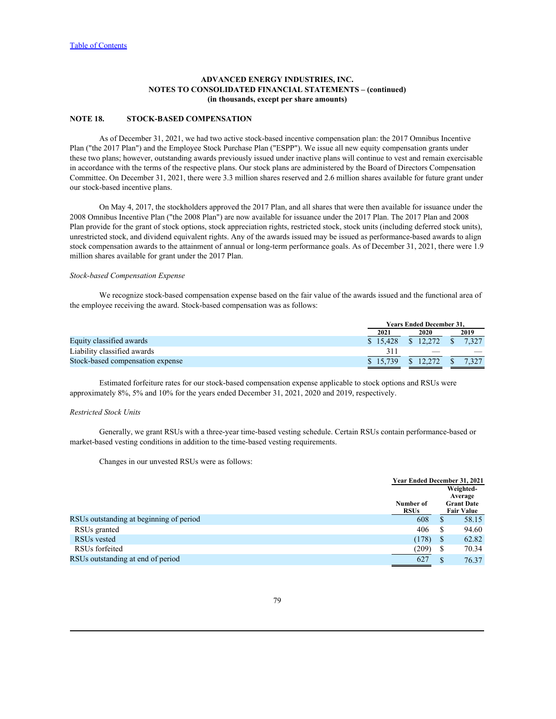#### **NOTE 18. STOCK-BASED COMPENSATION**

As of December 31, 2021, we had two active stock-based incentive compensation plan: the 2017 Omnibus Incentive Plan ("the 2017 Plan") and the Employee Stock Purchase Plan ("ESPP"). We issue all new equity compensation grants under these two plans; however, outstanding awards previously issued under inactive plans will continue to vest and remain exercisable in accordance with the terms of the respective plans. Our stock plans are administered by the Board of Directors Compensation Committee. On December 31, 2021, there were 3.3 million shares reserved and 2.6 million shares available for future grant under our stock-based incentive plans.

On May 4, 2017, the stockholders approved the 2017 Plan, and all shares that were then available for issuance under the 2008 Omnibus Incentive Plan ("the 2008 Plan") are now available for issuance under the 2017 Plan. The 2017 Plan and 2008 Plan provide for the grant of stock options, stock appreciation rights, restricted stock, stock units (including deferred stock units), unrestricted stock, and dividend equivalent rights. Any of the awards issued may be issued as performance-based awards to align stock compensation awards to the attainment of annual or long-term performance goals. As of December 31, 2021, there were 1.9 million shares available for grant under the 2017 Plan.

### *Stock-based Compensation Expense*

We recognize stock-based compensation expense based on the fair value of the awards issued and the functional area of the employee receiving the award. Stock-based compensation was as follows:

|                                  |        | <b>Years Ended December 31.</b> |                          |
|----------------------------------|--------|---------------------------------|--------------------------|
|                                  | 2021   | 2020                            | 2019                     |
| Equity classified awards         | 15,428 | 12.272                          | 7,327                    |
| Liability classified awards      | 211    | $\overbrace{\hspace{25mm}}^{}$  | $\overline{\phantom{a}}$ |
| Stock-based compensation expense | 15,739 | 12.272<br>14.414                | 7,327                    |

Estimated forfeiture rates for our stock-based compensation expense applicable to stock options and RSUs were approximately 8%, 5% and 10% for the years ended December 31, 2021, 2020 and 2019, respectively.

#### *Restricted Stock Units*

Generally, we grant RSUs with a three-year time-based vesting schedule. Certain RSUs contain performance-based or market-based vesting conditions in addition to the time-based vesting requirements.

Changes in our unvested RSUs were as follows:

|                                         | Year Ended December 31, 2021 |      |                   |
|-----------------------------------------|------------------------------|------|-------------------|
|                                         |                              |      | Weighted-         |
|                                         |                              |      | Average           |
|                                         | Number of                    |      | <b>Grant Date</b> |
|                                         | <b>RSUs</b>                  |      | <b>Fair Value</b> |
| RSUs outstanding at beginning of period | 608                          |      | 58.15             |
| RSUs granted                            | 406                          |      | 94.60             |
| RSU <sub>s</sub> vested                 | (178)                        | - \$ | 62.82             |
| RSUs forfeited                          | (209)                        |      | 70.34             |
| RSUs outstanding at end of period       | 627                          |      | 76.37             |
|                                         |                              |      |                   |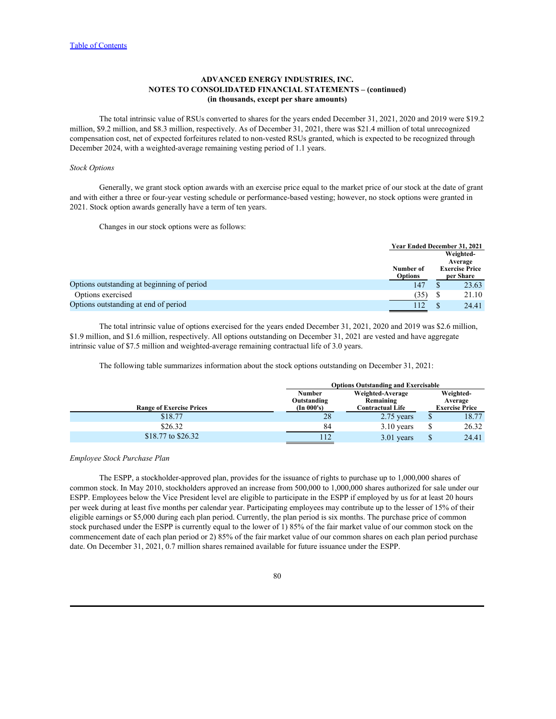The total intrinsic value of RSUs converted to shares for the years ended December 31, 2021, 2020 and 2019 were \$19.2 million, \$9.2 million, and \$8.3 million, respectively. As of December 31, 2021, there was \$21.4 million of total unrecognized compensation cost, net of expected forfeitures related to non-vested RSUs granted, which is expected to be recognized through December 2024, with a weighted-average remaining vesting period of 1.1 years.

#### *Stock Options*

Generally, we grant stock option awards with an exercise price equal to the market price of our stock at the date of grant and with either a three or four-year vesting schedule or performance-based vesting; however, no stock options were granted in 2021. Stock option awards generally have a term of ten years.

Changes in our stock options were as follows:

|                                            | Year Ended December 31, 2021 |                       |
|--------------------------------------------|------------------------------|-----------------------|
|                                            |                              | Weighted-             |
|                                            |                              | Average               |
|                                            | Number of                    | <b>Exercise Price</b> |
|                                            | <b>Options</b>               | per Share             |
| Options outstanding at beginning of period | 147                          | 23.63                 |
| Options exercised                          | (35)                         | 21.10                 |
| Options outstanding at end of period       | 112                          | 24.41                 |

The total intrinsic value of options exercised for the years ended December 31, 2021, 2020 and 2019 was \$2.6 million, \$1.9 million, and \$1.6 million, respectively. All options outstanding on December 31, 2021 are vested and have aggregate intrinsic value of \$7.5 million and weighted-average remaining contractual life of 3.0 years.

The following table summarizes information about the stock options outstanding on December 31, 2021:

|                                 | <b>Options Outstanding and Exercisable</b> |                               |                       |       |  |  |  |  |  |
|---------------------------------|--------------------------------------------|-------------------------------|-----------------------|-------|--|--|--|--|--|
|                                 | Number<br>Outstanding                      | Weighted-Average<br>Remaining | Weighted-<br>Average  |       |  |  |  |  |  |
| <b>Range of Exercise Prices</b> | (In 000's)                                 | Contractual Life              | <b>Exercise Price</b> |       |  |  |  |  |  |
| \$18.77                         | 28                                         | 2.75 years                    |                       | 18.77 |  |  |  |  |  |
| \$26.32                         | 84                                         | $3.10$ years                  |                       | 26.32 |  |  |  |  |  |
| \$18.77 to \$26.32              | 112                                        | $3.01$ years                  |                       | 24.41 |  |  |  |  |  |

*Employee Stock Purchase Plan*

The ESPP, a stockholder-approved plan, provides for the issuance of rights to purchase up to 1,000,000 shares of common stock. In May 2010, stockholders approved an increase from 500,000 to 1,000,000 shares authorized for sale under our ESPP. Employees below the Vice President level are eligible to participate in the ESPP if employed by us for at least 20 hours per week during at least five months per calendar year. Participating employees may contribute up to the lesser of 15% of their eligible earnings or \$5,000 during each plan period. Currently, the plan period is six months. The purchase price of common stock purchased under the ESPP is currently equal to the lower of 1) 85% of the fair market value of our common stock on the commencement date of each plan period or 2) 85% of the fair market value of our common shares on each plan period purchase date. On December 31, 2021, 0.7 million shares remained available for future issuance under the ESPP.

<sup>80</sup>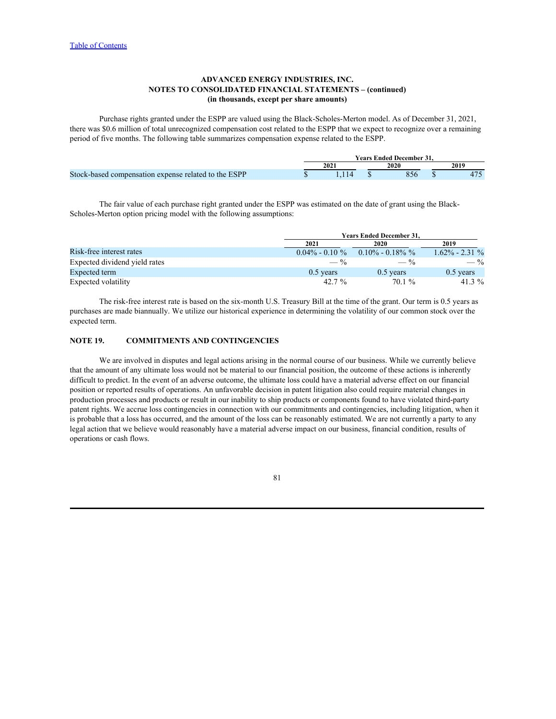Purchase rights granted under the ESPP are valued using the Black-Scholes-Merton model. As of December 31, 2021, there was \$0.6 million of total unrecognized compensation cost related to the ESPP that we expect to recognize over a remaining period of five months. The following table summarizes compensation expense related to the ESPP.

|                                                                  |               | <b>Years Ended December 31.</b> |             |  |            |  |
|------------------------------------------------------------------|---------------|---------------------------------|-------------|--|------------|--|
|                                                                  | 202           |                                 | 2020        |  | 2019       |  |
| Stock-based compensation expense related to the E<br><b>ESPP</b> | .<br>$\prime$ |                                 | 056<br>89 O |  | 175<br>413 |  |

The fair value of each purchase right granted under the ESPP was estimated on the date of grant using the Black-Scholes-Merton option pricing model with the following assumptions:

|                               |                      | <b>Years Ended December 31,</b> |                   |  |
|-------------------------------|----------------------|---------------------------------|-------------------|--|
|                               | 2021                 | 2020                            | 2019              |  |
| Risk-free interest rates      | $0.04\%$ - 0.10 $\%$ | $0.10\%$ - 0.18% $\%$           | $1.62\% - 2.31\%$ |  |
| Expected dividend yield rates | $-$ %                |                                 |                   |  |
| Expected term                 | $0.5$ years          | $0.5$ years                     | $0.5$ years       |  |
| Expected volatility           | 42.7 %               | 70.1 %                          | 41.3 %            |  |

The risk-free interest rate is based on the six-month U.S. Treasury Bill at the time of the grant. Our term is 0.5 years as purchases are made biannually. We utilize our historical experience in determining the volatility of our common stock over the expected term.

### **NOTE 19. COMMITMENTS AND CONTINGENCIES**

We are involved in disputes and legal actions arising in the normal course of our business. While we currently believe that the amount of any ultimate loss would not be material to our financial position, the outcome of these actions is inherently difficult to predict. In the event of an adverse outcome, the ultimate loss could have a material adverse effect on our financial position or reported results of operations. An unfavorable decision in patent litigation also could require material changes in production processes and products or result in our inability to ship products or components found to have violated third-party patent rights. We accrue loss contingencies in connection with our commitments and contingencies, including litigation, when it is probable that a loss has occurred, and the amount of the loss can be reasonably estimated. We are not currently a party to any legal action that we believe would reasonably have a material adverse impact on our business, financial condition, results of operations or cash flows.

81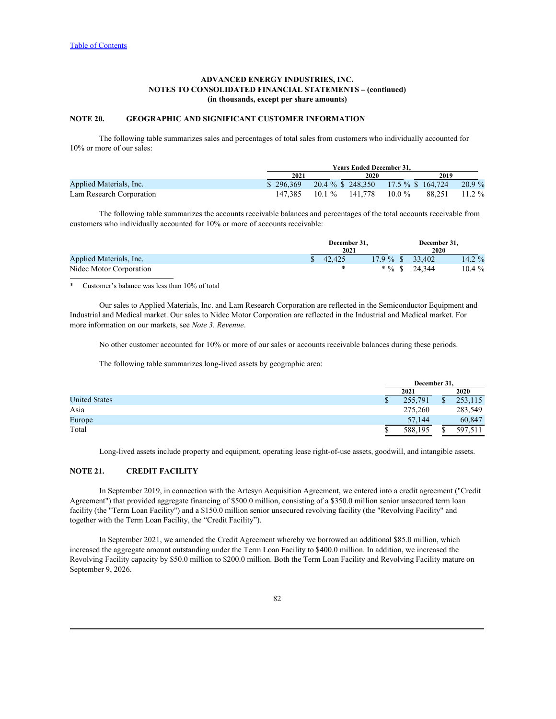#### **NOTE 20. GEOGRAPHIC AND SIGNIFICANT CUSTOMER INFORMATION**

The following table summarizes sales and percentages of total sales from customers who individually accounted for 10% or more of our sales:

|                          |                      | <b>Years Ended December 31,</b> |                         |              |  |  |  |
|--------------------------|----------------------|---------------------------------|-------------------------|--------------|--|--|--|
|                          | 2021                 | 2020                            | 2019                    |              |  |  |  |
| Applied Materials, Inc.  | 296,369<br>$20.4 \%$ | 248,350                         | 164,724<br>$17.5 \%$ \$ | 20.9 %       |  |  |  |
| Lam Research Corporation | 147,385<br>$10.1 \%$ | 141.778                         | 88,251<br>$10.0 \%$     | $1 \cap 0/2$ |  |  |  |

The following table summarizes the accounts receivable balances and percentages of the total accounts receivable from customers who individually accounted for 10% or more of accounts receivable:

|                         | December 31, |           | December 31, |        |
|-------------------------|--------------|-----------|--------------|--------|
|                         | 2021         |           | 2020         |        |
| Applied Materials, Inc. | 42,425       | 17.9%     | 33,402       | 14.2 % |
| Nidec Motor Corporation |              | $\cdot$ % | 24,344       | 10.4 % |

Customer's balance was less than 10% of total

Our sales to Applied Materials, Inc. and Lam Research Corporation are reflected in the Semiconductor Equipment and Industrial and Medical market. Our sales to Nidec Motor Corporation are reflected in the Industrial and Medical market. For more information on our markets, see *Note 3. Revenue*.

No other customer accounted for 10% or more of our sales or accounts receivable balances during these periods.

The following table summarizes long-lived assets by geographic area:

|                      |         | December 31, |         |  |
|----------------------|---------|--------------|---------|--|
|                      | 2021    |              | 2020    |  |
| <b>United States</b> | 255,791 |              | 253,115 |  |
| Asia                 | 275,260 |              | 283,549 |  |
| Europe               | 57,144  |              | 60,847  |  |
| Total                | 588,195 |              | 597,511 |  |

Long-lived assets include property and equipment, operating lease right-of-use assets, goodwill, and intangible assets.

# **NOTE 21. CREDIT FACILITY**

In September 2019, in connection with the Artesyn Acquisition Agreement, we entered into a credit agreement ("Credit Agreement") that provided aggregate financing of \$500.0 million, consisting of a \$350.0 million senior unsecured term loan facility (the "Term Loan Facility") and a \$150.0 million senior unsecured revolving facility (the "Revolving Facility" and together with the Term Loan Facility, the "Credit Facility").

In September 2021, we amended the Credit Agreement whereby we borrowed an additional \$85.0 million, which increased the aggregate amount outstanding under the Term Loan Facility to \$400.0 million. In addition, we increased the Revolving Facility capacity by \$50.0 million to \$200.0 million. Both the Term Loan Facility and Revolving Facility mature on September 9, 2026.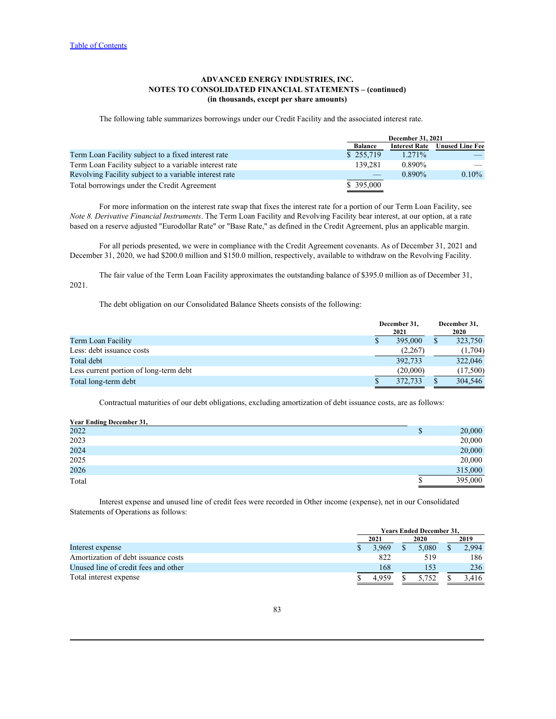The following table summarizes borrowings under our Credit Facility and the associated interest rate.

|                                                        |                                | <b>December 31, 2021</b> |                                |  |
|--------------------------------------------------------|--------------------------------|--------------------------|--------------------------------|--|
|                                                        | Balance                        |                          | Interest Rate Unused Line Fee  |  |
| Term Loan Facility subject to a fixed interest rate    | 255,719                        | 1.271%                   |                                |  |
| Term Loan Facility subject to a variable interest rate | 139.281                        | 0.890%                   | $\overbrace{\hspace{25mm}}^{}$ |  |
| Revolving Facility subject to a variable interest rate | $\overbrace{\hspace{25mm}}^{}$ | 0.890%                   | 0.10%                          |  |
| Total borrowings under the Credit Agreement            | 395,000                        |                          |                                |  |

For more information on the interest rate swap that fixes the interest rate for a portion of our Term Loan Facility, see *Note 8. Derivative Financial Instruments*. The Term Loan Facility and Revolving Facility bear interest, at our option, at a rate based on a reserve adjusted "Eurodollar Rate" or "Base Rate," as defined in the Credit Agreement, plus an applicable margin.

For all periods presented, we were in compliance with the Credit Agreement covenants. As of December 31, 2021 and December 31, 2020, we had \$200.0 million and \$150.0 million, respectively, available to withdraw on the Revolving Facility.

The fair value of the Term Loan Facility approximates the outstanding balance of \$395.0 million as of December 31, 2021.

The debt obligation on our Consolidated Balance Sheets consists of the following:

|                                        | December 31,<br>2021 |          | December 31,<br>2020 |          |
|----------------------------------------|----------------------|----------|----------------------|----------|
| Term Loan Facility                     |                      | 395,000  |                      | 323,750  |
| Less: debt issuance costs              |                      | (2,267)  |                      | (1,704)  |
| Total debt                             |                      | 392,733  |                      | 322,046  |
| Less current portion of long-term debt |                      | (20,000) |                      | (17,500) |
| Total long-term debt                   |                      | 372,733  |                      | 304,546  |

Contractual maturities of our debt obligations, excluding amortization of debt issuance costs, are as follows:

| <b>Year Ending December 31,</b> |         |  |
|---------------------------------|---------|--|
| 2022                            | 20,000  |  |
| 2023                            | 20,000  |  |
| 2024                            | 20,000  |  |
| 2025                            | 20,000  |  |
| 2026                            | 315,000 |  |
| Total                           | 395,000 |  |
|                                 |         |  |

Interest expense and unused line of credit fees were recorded in Other income (expense), net in our Consolidated Statements of Operations as follows:

|                                      | <b>Years Ended December 31.</b> |       |  |       |  |       |  |      |  |      |  |
|--------------------------------------|---------------------------------|-------|--|-------|--|-------|--|------|--|------|--|
|                                      |                                 | 2021  |  |       |  |       |  | 2020 |  | 2019 |  |
| Interest expense                     |                                 | .969  |  | 5,080 |  | 2,994 |  |      |  |      |  |
| Amortization of debt issuance costs  |                                 | 822   |  | 519   |  | 186   |  |      |  |      |  |
| Unused line of credit fees and other |                                 | 168   |  | 153   |  | 236   |  |      |  |      |  |
| Total interest expense               |                                 | 4,959 |  | 752   |  | 416.ر |  |      |  |      |  |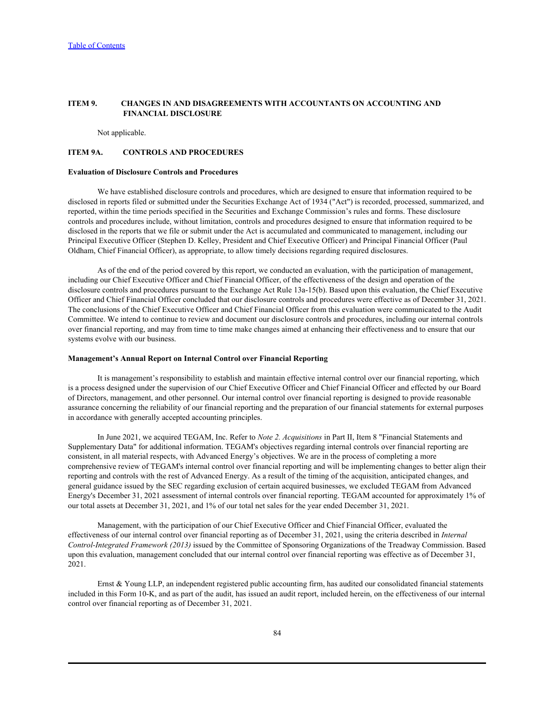### **ITEM 9. CHANGES IN AND DISAGREEMENTS WITH ACCOUNTANTS ON ACCOUNTING AND FINANCIAL DISCLOSURE**

Not applicable.

## **ITEM 9A. CONTROLS AND PROCEDURES**

#### **Evaluation of Disclosure Controls and Procedures**

We have established disclosure controls and procedures, which are designed to ensure that information required to be disclosed in reports filed or submitted under the Securities Exchange Act of 1934 ("Act") is recorded, processed, summarized, and reported, within the time periods specified in the Securities and Exchange Commission's rules and forms. These disclosure controls and procedures include, without limitation, controls and procedures designed to ensure that information required to be disclosed in the reports that we file or submit under the Act is accumulated and communicated to management, including our Principal Executive Officer (Stephen D. Kelley, President and Chief Executive Officer) and Principal Financial Officer (Paul Oldham, Chief Financial Officer), as appropriate, to allow timely decisions regarding required disclosures.

As of the end of the period covered by this report, we conducted an evaluation, with the participation of management, including our Chief Executive Officer and Chief Financial Officer, of the effectiveness of the design and operation of the disclosure controls and procedures pursuant to the Exchange Act Rule 13a-15(b). Based upon this evaluation, the Chief Executive Officer and Chief Financial Officer concluded that our disclosure controls and procedures were effective as of December 31, 2021. The conclusions of the Chief Executive Officer and Chief Financial Officer from this evaluation were communicated to the Audit Committee. We intend to continue to review and document our disclosure controls and procedures, including our internal controls over financial reporting, and may from time to time make changes aimed at enhancing their effectiveness and to ensure that our systems evolve with our business.

### **Management's Annual Report on Internal Control over Financial Reporting**

It is management's responsibility to establish and maintain effective internal control over our financial reporting, which is a process designed under the supervision of our Chief Executive Officer and Chief Financial Officer and effected by our Board of Directors, management, and other personnel. Our internal control over financial reporting is designed to provide reasonable assurance concerning the reliability of our financial reporting and the preparation of our financial statements for external purposes in accordance with generally accepted accounting principles.

In June 2021, we acquired TEGAM, Inc. Refer to *Note 2. Acquisitions* in Part II, Item 8 "Financial Statements and Supplementary Data" for additional information. TEGAM's objectives regarding internal controls over financial reporting are consistent, in all material respects, with Advanced Energy's objectives. We are in the process of completing a more comprehensive review of TEGAM's internal control over financial reporting and will be implementing changes to better align their reporting and controls with the rest of Advanced Energy. As a result of the timing of the acquisition, anticipated changes, and general guidance issued by the SEC regarding exclusion of certain acquired businesses, we excluded TEGAM from Advanced Energy's December 31, 2021 assessment of internal controls over financial reporting. TEGAM accounted for approximately 1% of our total assets at December 31, 2021, and 1% of our total net sales for the year ended December 31, 2021.

Management, with the participation of our Chief Executive Officer and Chief Financial Officer, evaluated the effectiveness of our internal control over financial reporting as of December 31, 2021, using the criteria described in *Internal Control-Integrated Framework (2013)* issued by the Committee of Sponsoring Organizations of the Treadway Commission. Based upon this evaluation, management concluded that our internal control over financial reporting was effective as of December 31, 2021.

Ernst & Young LLP, an independent registered public accounting firm, has audited our consolidated financial statements included in this Form 10-K, and as part of the audit, has issued an audit report, included herein, on the effectiveness of our internal control over financial reporting as of December 31, 2021.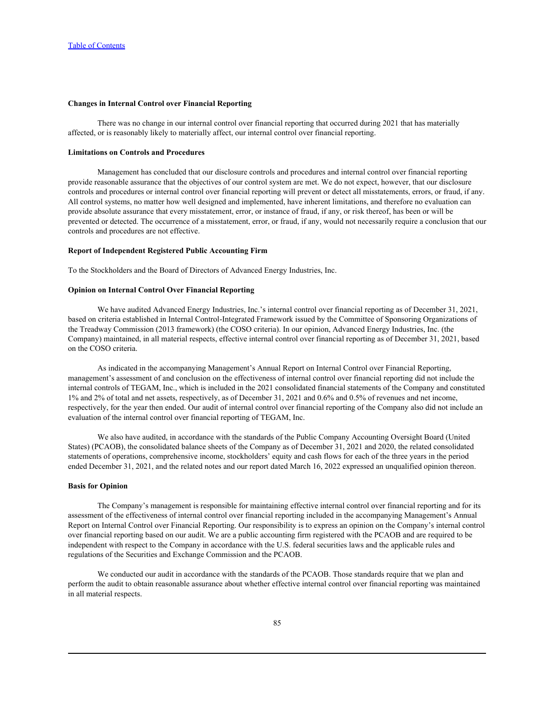### **Changes in Internal Control over Financial Reporting**

There was no change in our internal control over financial reporting that occurred during 2021 that has materially affected, or is reasonably likely to materially affect, our internal control over financial reporting.

#### **Limitations on Controls and Procedures**

Management has concluded that our disclosure controls and procedures and internal control over financial reporting provide reasonable assurance that the objectives of our control system are met. We do not expect, however, that our disclosure controls and procedures or internal control over financial reporting will prevent or detect all misstatements, errors, or fraud, if any. All control systems, no matter how well designed and implemented, have inherent limitations, and therefore no evaluation can provide absolute assurance that every misstatement, error, or instance of fraud, if any, or risk thereof, has been or will be prevented or detected. The occurrence of a misstatement, error, or fraud, if any, would not necessarily require a conclusion that our controls and procedures are not effective.

#### **Report of Independent Registered Public Accounting Firm**

To the Stockholders and the Board of Directors of Advanced Energy Industries, Inc.

### **Opinion on Internal Control Over Financial Reporting**

We have audited Advanced Energy Industries, Inc.'s internal control over financial reporting as of December 31, 2021, based on criteria established in Internal Control-Integrated Framework issued by the Committee of Sponsoring Organizations of the Treadway Commission (2013 framework) (the COSO criteria). In our opinion, Advanced Energy Industries, Inc. (the Company) maintained, in all material respects, effective internal control over financial reporting as of December 31, 2021, based on the COSO criteria.

As indicated in the accompanying Management's Annual Report on Internal Control over Financial Reporting, management's assessment of and conclusion on the effectiveness of internal control over financial reporting did not include the internal controls of TEGAM, Inc., which is included in the 2021 consolidated financial statements of the Company and constituted 1% and 2% of total and net assets, respectively, as of December 31, 2021 and 0.6% and 0.5% of revenues and net income, respectively, for the year then ended. Our audit of internal control over financial reporting of the Company also did not include an evaluation of the internal control over financial reporting of TEGAM, Inc.

We also have audited, in accordance with the standards of the Public Company Accounting Oversight Board (United States) (PCAOB), the consolidated balance sheets of the Company as of December 31, 2021 and 2020, the related consolidated statements of operations, comprehensive income, stockholders' equity and cash flows for each of the three years in the period ended December 31, 2021, and the related notes and our report dated March 16, 2022 expressed an unqualified opinion thereon.

#### **Basis for Opinion**

The Company's management is responsible for maintaining effective internal control over financial reporting and for its assessment of the effectiveness of internal control over financial reporting included in the accompanying Management's Annual Report on Internal Control over Financial Reporting. Our responsibility is to express an opinion on the Company's internal control over financial reporting based on our audit. We are a public accounting firm registered with the PCAOB and are required to be independent with respect to the Company in accordance with the U.S. federal securities laws and the applicable rules and regulations of the Securities and Exchange Commission and the PCAOB.

We conducted our audit in accordance with the standards of the PCAOB. Those standards require that we plan and perform the audit to obtain reasonable assurance about whether effective internal control over financial reporting was maintained in all material respects.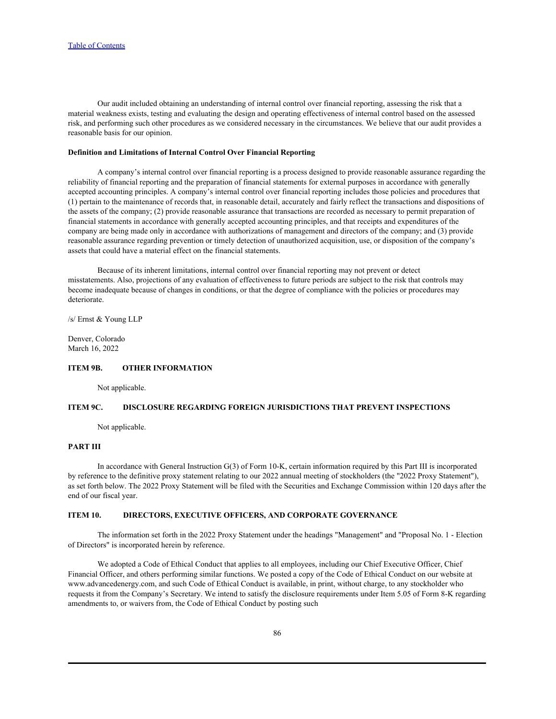Our audit included obtaining an understanding of internal control over financial reporting, assessing the risk that a material weakness exists, testing and evaluating the design and operating effectiveness of internal control based on the assessed risk, and performing such other procedures as we considered necessary in the circumstances. We believe that our audit provides a reasonable basis for our opinion.

#### **Definition and Limitations of Internal Control Over Financial Reporting**

A company's internal control over financial reporting is a process designed to provide reasonable assurance regarding the reliability of financial reporting and the preparation of financial statements for external purposes in accordance with generally accepted accounting principles. A company's internal control over financial reporting includes those policies and procedures that (1) pertain to the maintenance of records that, in reasonable detail, accurately and fairly reflect the transactions and dispositions of the assets of the company; (2) provide reasonable assurance that transactions are recorded as necessary to permit preparation of financial statements in accordance with generally accepted accounting principles, and that receipts and expenditures of the company are being made only in accordance with authorizations of management and directors of the company; and (3) provide reasonable assurance regarding prevention or timely detection of unauthorized acquisition, use, or disposition of the company's assets that could have a material effect on the financial statements.

Because of its inherent limitations, internal control over financial reporting may not prevent or detect misstatements. Also, projections of any evaluation of effectiveness to future periods are subject to the risk that controls may become inadequate because of changes in conditions, or that the degree of compliance with the policies or procedures may deteriorate.

/s/ Ernst & Young LLP

Denver, Colorado March 16, 2022

#### **ITEM 9B. OTHER INFORMATION**

Not applicable.

## **ITEM 9C. DISCLOSURE REGARDING FOREIGN JURISDICTIONS THAT PREVENT INSPECTIONS**

Not applicable.

## **PART III**

In accordance with General Instruction G(3) of Form 10-K, certain information required by this Part III is incorporated by reference to the definitive proxy statement relating to our 2022 annual meeting of stockholders (the "2022 Proxy Statement"), as set forth below. The 2022 Proxy Statement will be filed with the Securities and Exchange Commission within 120 days after the end of our fiscal year.

### **ITEM 10. DIRECTORS, EXECUTIVE OFFICERS, AND CORPORATE GOVERNANCE**

The information set forth in the 2022 Proxy Statement under the headings "Management" and "Proposal No. 1 - Election of Directors" is incorporated herein by reference.

We adopted a Code of Ethical Conduct that applies to all employees, including our Chief Executive Officer, Chief Financial Officer, and others performing similar functions. We posted a copy of the Code of Ethical Conduct on our website at www.advancedenergy.com, and such Code of Ethical Conduct is available, in print, without charge, to any stockholder who requests it from the Company's Secretary. We intend to satisfy the disclosure requirements under Item 5.05 of Form 8-K regarding amendments to, or waivers from, the Code of Ethical Conduct by posting such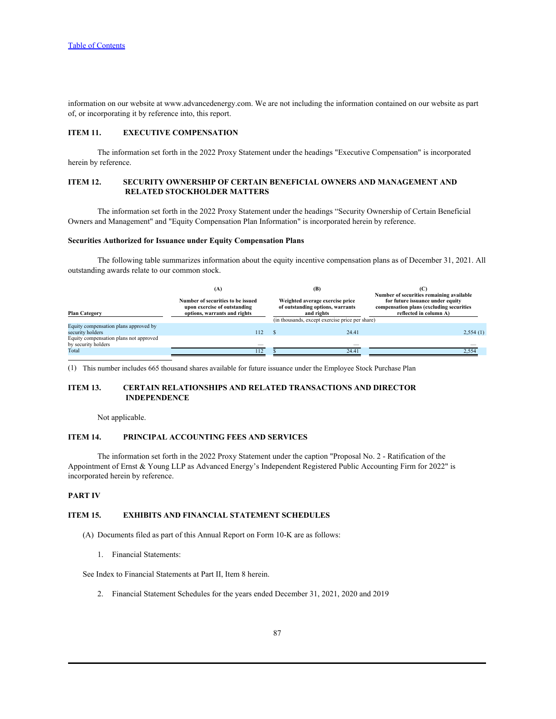information on our website at www.advancedenergy.com. We are not including the information contained on our website as part of, or incorporating it by reference into, this report.

## **ITEM 11. EXECUTIVE COMPENSATION**

The information set forth in the 2022 Proxy Statement under the headings "Executive Compensation" is incorporated herein by reference.

## **ITEM 12. SECURITY OWNERSHIP OF CERTAIN BENEFICIAL OWNERS AND MANAGEMENT AND RELATED STOCKHOLDER MATTERS**

The information set forth in the 2022 Proxy Statement under the headings "Security Ownership of Certain Beneficial Owners and Management" and "Equity Compensation Plan Information" is incorporated herein by reference.

#### **Securities Authorized for Issuance under Equity Compensation Plans**

The following table summarizes information about the equity incentive compensation plans as of December 31, 2021. All outstanding awards relate to our common stock.

| <b>Plan Category</b>                                                   | (A)<br>Number of securities to be issued<br>upon exercise of outstanding<br>options, warrants and rights | (B)<br>Weighted average exercise price<br>of outstanding options, warrants<br>and rights<br>(in thousands, except exercise price per share) | Number of securities remaining available<br>for future issuance under equity<br>compensation plans (excluding securities<br>reflected in column A) |
|------------------------------------------------------------------------|----------------------------------------------------------------------------------------------------------|---------------------------------------------------------------------------------------------------------------------------------------------|----------------------------------------------------------------------------------------------------------------------------------------------------|
| Equity compensation plans approved by<br>security holders              | 112                                                                                                      | 24.41                                                                                                                                       | 2,554(1)                                                                                                                                           |
| Equity compensation plans not approved<br>by security holders<br>Total | 112                                                                                                      | 24.41                                                                                                                                       | 2,554                                                                                                                                              |

(1) This number includes 665 thousand shares available for future issuance under the Employee Stock Purchase Plan

## **ITEM 13. CERTAIN RELATIONSHIPS AND RELATED TRANSACTIONS AND DIRECTOR INDEPENDENCE**

Not applicable.

## **ITEM 14. PRINCIPAL ACCOUNTING FEES AND SERVICES**

The information set forth in the 2022 Proxy Statement under the caption "Proposal No. 2 - Ratification of the Appointment of Ernst & Young LLP as Advanced Energy's Independent Registered Public Accounting Firm for 2022" is incorporated herein by reference.

#### **PART IV**

#### **ITEM 15. EXHIBITS AND FINANCIAL STATEMENT SCHEDULES**

(A) Documents filed as part of this Annual Report on Form 10-K are as follows:

1. Financial Statements:

See Index to Financial Statements at Part II, Item 8 herein.

2. Financial Statement Schedules for the years ended December 31, 2021, 2020 and 2019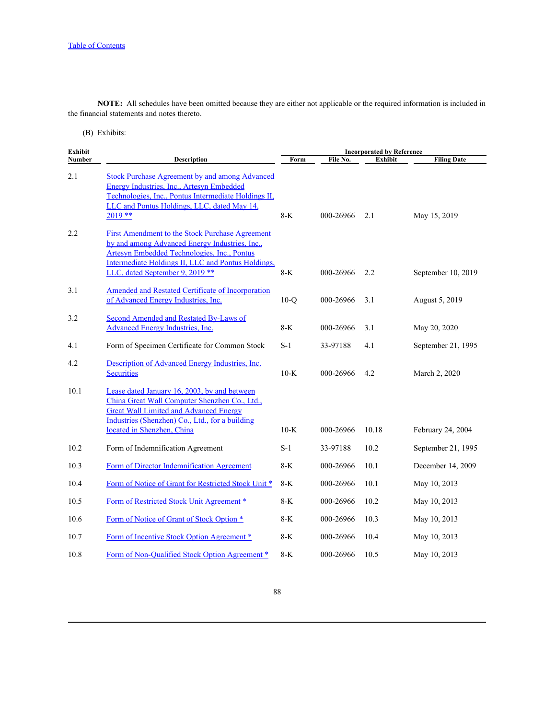**NOTE:** All schedules have been omitted because they are either not applicable or the required information is included in the financial statements and notes thereto.

(B) Exhibits:

| Exhibit |                                                                                                                                                                                                                                                                    | <b>Incorporated by Reference</b> |           |                |                    |  |  |  |
|---------|--------------------------------------------------------------------------------------------------------------------------------------------------------------------------------------------------------------------------------------------------------------------|----------------------------------|-----------|----------------|--------------------|--|--|--|
| Number  | <b>Description</b>                                                                                                                                                                                                                                                 | Form                             | File No.  | <b>Exhibit</b> | <b>Filing Date</b> |  |  |  |
| 2.1     | Stock Purchase Agreement by and among Advanced<br>Energy Industries, Inc., Artesyn Embedded<br>Technologies, Inc., Pontus Intermediate Holdings II,<br>LLC and Pontus Holdings, LLC, dated May 14,<br>$2019**$                                                     | $8-K$                            | 000-26966 | 2.1            | May 15, 2019       |  |  |  |
| 2.2     | <b>First Amendment to the Stock Purchase Agreement</b><br>by and among Advanced Energy Industries, Inc.,<br><b>Artesyn Embedded Technologies, Inc., Pontus</b><br>Intermediate Holdings II, LLC and Pontus Holdings,<br>LLC, dated September 9, 2019 <sup>**</sup> | $8-K$                            | 000-26966 | 2.2            | September 10, 2019 |  |  |  |
| 3.1     | Amended and Restated Certificate of Incorporation<br>of Advanced Energy Industries, Inc.                                                                                                                                                                           | $10-Q$                           | 000-26966 | 3.1            | August 5, 2019     |  |  |  |
| 3.2     | <b>Second Amended and Restated By-Laws of</b><br><b>Advanced Energy Industries, Inc.</b>                                                                                                                                                                           | $8-K$                            | 000-26966 | 3.1            | May 20, 2020       |  |  |  |
| 4.1     | Form of Specimen Certificate for Common Stock                                                                                                                                                                                                                      | $S-1$                            | 33-97188  | 4.1            | September 21, 1995 |  |  |  |
| 4.2     | Description of Advanced Energy Industries, Inc.<br><b>Securities</b>                                                                                                                                                                                               | $10-K$                           | 000-26966 | 4.2            | March 2, 2020      |  |  |  |
| 10.1    | Lease dated January 16, 2003, by and between<br>China Great Wall Computer Shenzhen Co., Ltd.,<br><b>Great Wall Limited and Advanced Energy</b><br>Industries (Shenzhen) Co., Ltd., for a building<br>located in Shenzhen, China                                    | $10-K$                           | 000-26966 | 10.18          | February 24, 2004  |  |  |  |
| 10.2    | Form of Indemnification Agreement                                                                                                                                                                                                                                  | $S-1$                            | 33-97188  | 10.2           | September 21, 1995 |  |  |  |
| 10.3    | Form of Director Indemnification Agreement                                                                                                                                                                                                                         | $8-K$                            | 000-26966 | 10.1           | December 14, 2009  |  |  |  |
| 10.4    | Form of Notice of Grant for Restricted Stock Unit *                                                                                                                                                                                                                | $8-K$                            | 000-26966 | 10.1           | May 10, 2013       |  |  |  |
| 10.5    | Form of Restricted Stock Unit Agreement *                                                                                                                                                                                                                          | $8-K$                            | 000-26966 | 10.2           | May 10, 2013       |  |  |  |
| 10.6    | Form of Notice of Grant of Stock Option *                                                                                                                                                                                                                          | $8-K$                            | 000-26966 | 10.3           | May 10, 2013       |  |  |  |
| 10.7    | Form of Incentive Stock Option Agreement *                                                                                                                                                                                                                         | $8-K$                            | 000-26966 | 10.4           | May 10, 2013       |  |  |  |
| 10.8    | Form of Non-Qualified Stock Option Agreement *                                                                                                                                                                                                                     | $8-K$                            | 000-26966 | 10.5           | May 10, 2013       |  |  |  |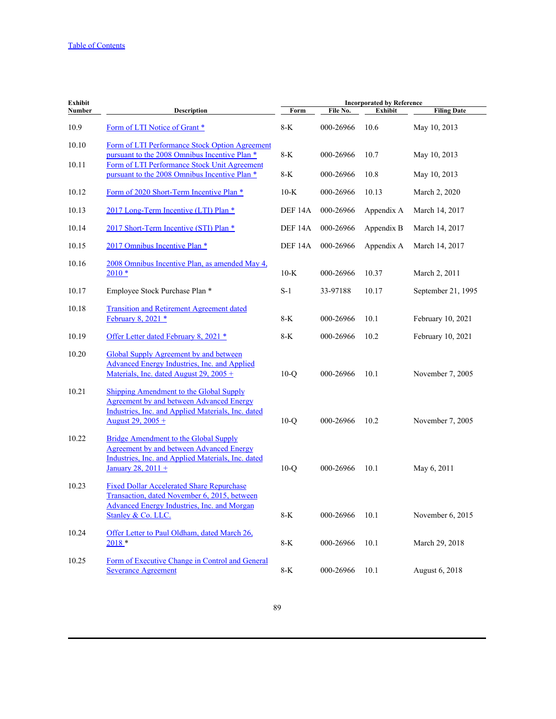| <b>Exhibit</b> |                                                                                                       | <b>Incorporated by Reference</b> |           |                |                    |  |  |  |  |
|----------------|-------------------------------------------------------------------------------------------------------|----------------------------------|-----------|----------------|--------------------|--|--|--|--|
| Number         | <b>Description</b>                                                                                    | Form                             | File No.  | <b>Exhibit</b> | <b>Filing Date</b> |  |  |  |  |
| 10.9           | Form of LTI Notice of Grant *                                                                         | 8-K                              | 000-26966 | 10.6           | May 10, 2013       |  |  |  |  |
| 10.10          | Form of LTI Performance Stock Option Agreement                                                        |                                  |           |                |                    |  |  |  |  |
| 10.11          | pursuant to the 2008 Omnibus Incentive Plan *<br>Form of LTI Performance Stock Unit Agreement         | 8-K                              | 000-26966 | 10.7           | May 10, 2013       |  |  |  |  |
|                | pursuant to the 2008 Omnibus Incentive Plan *                                                         | 8-K                              | 000-26966 | 10.8           | May 10, 2013       |  |  |  |  |
| 10.12          | Form of 2020 Short-Term Incentive Plan *                                                              | $10-K$                           | 000-26966 | 10.13          | March 2, 2020      |  |  |  |  |
| 10.13          | 2017 Long-Term Incentive (LTI) Plan *                                                                 | DEF 14A                          | 000-26966 | Appendix A     | March 14, 2017     |  |  |  |  |
| 10.14          | 2017 Short-Term Incentive (STI) Plan *                                                                | DEF 14A                          | 000-26966 | Appendix B     | March 14, 2017     |  |  |  |  |
| 10.15          | 2017 Omnibus Incentive Plan *                                                                         | DEF 14A                          | 000-26966 | Appendix A     | March 14, 2017     |  |  |  |  |
| 10.16          | 2008 Omnibus Incentive Plan, as amended May 4,                                                        |                                  |           |                |                    |  |  |  |  |
|                | $2010*$                                                                                               | $10-K$                           | 000-26966 | 10.37          | March 2, 2011      |  |  |  |  |
| 10.17          | Employee Stock Purchase Plan *                                                                        | $S-1$                            | 33-97188  | 10.17          | September 21, 1995 |  |  |  |  |
| 10.18          | <b>Transition and Retirement Agreement dated</b>                                                      |                                  |           |                |                    |  |  |  |  |
|                | February 8, 2021 *                                                                                    | 8-K                              | 000-26966 | 10.1           | February 10, 2021  |  |  |  |  |
| 10.19          | Offer Letter dated February 8, 2021 *                                                                 | 8-K                              | 000-26966 | 10.2           | February 10, 2021  |  |  |  |  |
| 10.20          | <b>Global Supply Agreement by and between</b>                                                         |                                  |           |                |                    |  |  |  |  |
|                | <b>Advanced Energy Industries, Inc. and Applied</b><br>Materials, Inc. dated August 29, 2005 +        | $10-Q$                           | 000-26966 | 10.1           | November 7, 2005   |  |  |  |  |
|                |                                                                                                       |                                  |           |                |                    |  |  |  |  |
| 10.21          | Shipping Amendment to the Global Supply<br><b>Agreement by and between Advanced Energy</b>            |                                  |           |                |                    |  |  |  |  |
|                | Industries, Inc. and Applied Materials, Inc. dated                                                    |                                  |           |                |                    |  |  |  |  |
|                | August 29, 2005 +                                                                                     | $10-Q$                           | 000-26966 | 10.2           | November 7, 2005   |  |  |  |  |
| 10.22          | <b>Bridge Amendment to the Global Supply</b>                                                          |                                  |           |                |                    |  |  |  |  |
|                | <b>Agreement by and between Advanced Energy</b><br>Industries, Inc. and Applied Materials, Inc. dated |                                  |           |                |                    |  |  |  |  |
|                | January 28, 2011 +                                                                                    | $10-Q$                           | 000-26966 | 10.1           | May 6, 2011        |  |  |  |  |
| 10.23          | <b>Fixed Dollar Accelerated Share Repurchase</b>                                                      |                                  |           |                |                    |  |  |  |  |
|                | Transaction, dated November 6, 2015, between                                                          |                                  |           |                |                    |  |  |  |  |
|                | <b>Advanced Energy Industries, Inc. and Morgan</b>                                                    |                                  |           |                |                    |  |  |  |  |
|                | Stanley & Co. LLC.                                                                                    | $8-K$                            | 000-26966 | 10.1           | November 6, 2015   |  |  |  |  |
| 10.24          | Offer Letter to Paul Oldham, dated March 26,                                                          |                                  |           |                |                    |  |  |  |  |
|                | $2018*$                                                                                               | $8-K$                            | 000-26966 | 10.1           | March 29, 2018     |  |  |  |  |
| 10.25          | Form of Executive Change in Control and General                                                       |                                  |           |                |                    |  |  |  |  |
|                | <b>Severance Agreement</b>                                                                            | $8-K$                            | 000-26966 | 10.1           | August 6, 2018     |  |  |  |  |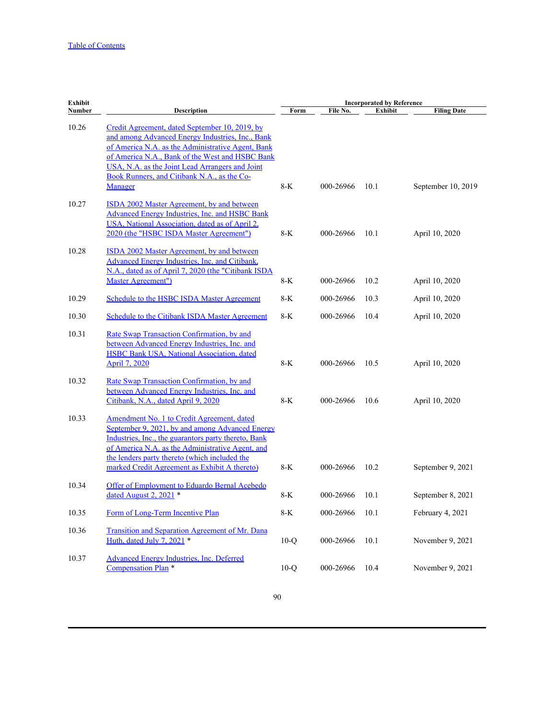| Exhibit |                                                                                                                                                                                                                                                                                                              | <b>Incorporated by Reference</b> |           |         |                    |  |
|---------|--------------------------------------------------------------------------------------------------------------------------------------------------------------------------------------------------------------------------------------------------------------------------------------------------------------|----------------------------------|-----------|---------|--------------------|--|
| Number  | <b>Description</b>                                                                                                                                                                                                                                                                                           | Form                             | File No.  | Exhibit | <b>Filing Date</b> |  |
| 10.26   | Credit Agreement, dated September 10, 2019, by<br>and among Advanced Energy Industries, Inc., Bank<br>of America N.A. as the Administrative Agent, Bank<br>of America N.A., Bank of the West and HSBC Bank<br>USA, N.A. as the Joint Lead Arrangers and Joint<br>Book Runners, and Citibank N.A., as the Co- |                                  |           |         |                    |  |
|         | <b>Manager</b>                                                                                                                                                                                                                                                                                               | $8-K$                            | 000-26966 | 10.1    | September 10, 2019 |  |
| 10.27   | ISDA 2002 Master Agreement, by and between<br><b>Advanced Energy Industries, Inc. and HSBC Bank</b><br>USA, National Association, dated as of April 2,<br>2020 (the "HSBC ISDA Master Agreement")                                                                                                            | 8-K                              | 000-26966 | 10.1    | April 10, 2020     |  |
| 10.28   | ISDA 2002 Master Agreement, by and between<br>Advanced Energy Industries, Inc. and Citibank,<br>N.A., dated as of April 7, 2020 (the "Citibank ISDA<br>Master Agreement")                                                                                                                                    | $8-K$                            | 000-26966 | 10.2    | April 10, 2020     |  |
|         |                                                                                                                                                                                                                                                                                                              |                                  |           |         |                    |  |
| 10.29   | Schedule to the HSBC ISDA Master Agreement                                                                                                                                                                                                                                                                   | $8-K$                            | 000-26966 | 10.3    | April 10, 2020     |  |
| 10.30   | Schedule to the Citibank ISDA Master Agreement                                                                                                                                                                                                                                                               | $8-K$                            | 000-26966 | 10.4    | April 10, 2020     |  |
| 10.31   | Rate Swap Transaction Confirmation, by and<br>between Advanced Energy Industries, Inc. and<br>HSBC Bank USA, National Association, dated<br>April 7, 2020                                                                                                                                                    | $8-K$                            | 000-26966 | 10.5    | April 10, 2020     |  |
| 10.32   | Rate Swap Transaction Confirmation, by and<br>between Advanced Energy Industries, Inc. and<br>Citibank, N.A., dated April 9, 2020                                                                                                                                                                            | $8-K$                            | 000-26966 | 10.6    | April 10, 2020     |  |
| 10.33   | Amendment No. 1 to Credit Agreement, dated<br>September 9, 2021, by and among Advanced Energy<br>Industries, Inc., the guarantors party thereto, Bank<br>of America N.A. as the Administrative Agent, and<br>the lenders party thereto (which included the<br>marked Credit Agreement as Exhibit A thereto)  | 8-K                              | 000-26966 | 10.2    | September 9, 2021  |  |
| 10.34   | Offer of Employment to Eduardo Bernal Acebedo<br>dated August 2, 2021 *                                                                                                                                                                                                                                      | 8-K                              | 000-26966 | 10.1    | September 8, 2021  |  |
| 10.35   | Form of Long-Term Incentive Plan                                                                                                                                                                                                                                                                             | $8-K$                            | 000-26966 | 10.1    | February 4, 2021   |  |
| 10.36   | Transition and Separation Agreement of Mr. Dana<br>Huth, dated July 7, 2021 *                                                                                                                                                                                                                                | $10-Q$                           | 000-26966 | 10.1    | November 9, 2021   |  |
| 10.37   | <b>Advanced Energy Industries, Inc. Deferred</b><br>Compensation Plan <sup>*</sup>                                                                                                                                                                                                                           | $10-Q$                           | 000-26966 | 10.4    | November 9, 2021   |  |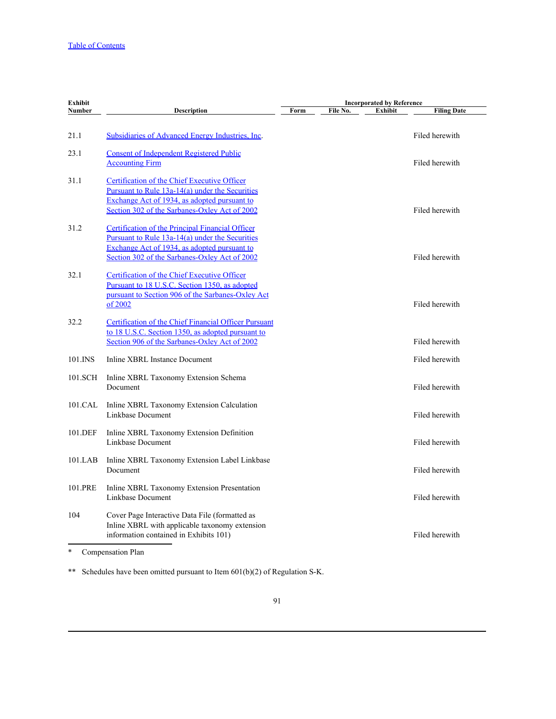| Exhibit    |                                                                                                                                                                                                      | <b>Incorporated by Reference</b> |          |         |                    |  |
|------------|------------------------------------------------------------------------------------------------------------------------------------------------------------------------------------------------------|----------------------------------|----------|---------|--------------------|--|
| Number     | <b>Description</b>                                                                                                                                                                                   | Form                             | File No. | Exhibit | <b>Filing Date</b> |  |
| 21.1       | Subsidiaries of Advanced Energy Industries, Inc.                                                                                                                                                     |                                  |          |         | Filed herewith     |  |
| 23.1       | <b>Consent of Independent Registered Public</b><br><b>Accounting Firm</b>                                                                                                                            |                                  |          |         | Filed herewith     |  |
| 31.1       | Certification of the Chief Executive Officer<br>Pursuant to Rule 13a-14(a) under the Securities<br>Exchange Act of 1934, as adopted pursuant to<br>Section 302 of the Sarbanes-Oxley Act of 2002     |                                  |          |         | Filed herewith     |  |
| 31.2       | Certification of the Principal Financial Officer<br>Pursuant to Rule 13a-14(a) under the Securities<br>Exchange Act of 1934, as adopted pursuant to<br>Section 302 of the Sarbanes-Oxley Act of 2002 |                                  |          |         | Filed herewith     |  |
| 32.1       | <b>Certification of the Chief Executive Officer</b><br>Pursuant to 18 U.S.C. Section 1350, as adopted<br>pursuant to Section 906 of the Sarbanes-Oxley Act<br>of 2002                                |                                  |          |         | Filed herewith     |  |
| 32.2       | Certification of the Chief Financial Officer Pursuant<br>to 18 U.S.C. Section 1350, as adopted pursuant to<br>Section 906 of the Sarbanes-Oxley Act of 2002                                          |                                  |          |         | Filed herewith     |  |
| 101.INS    | Inline XBRL Instance Document                                                                                                                                                                        |                                  |          |         | Filed herewith     |  |
| 101.SCH    | Inline XBRL Taxonomy Extension Schema<br>Document                                                                                                                                                    |                                  |          |         | Filed herewith     |  |
| 101.CAL    | Inline XBRL Taxonomy Extension Calculation<br>Linkbase Document                                                                                                                                      |                                  |          |         | Filed herewith     |  |
| 101.DEF    | Inline XBRL Taxonomy Extension Definition<br>Linkbase Document                                                                                                                                       |                                  |          |         | Filed herewith     |  |
| $101$ .LAB | Inline XBRL Taxonomy Extension Label Linkbase<br>Document                                                                                                                                            |                                  |          |         | Filed herewith     |  |
| 101.PRE    | Inline XBRL Taxonomy Extension Presentation<br>Linkbase Document                                                                                                                                     |                                  |          |         | Filed herewith     |  |
| 104        | Cover Page Interactive Data File (formatted as<br>Inline XBRL with applicable taxonomy extension<br>information contained in Exhibits 101)                                                           |                                  |          |         | Filed herewith     |  |
| $\ast$     | Compensation Plan                                                                                                                                                                                    |                                  |          |         |                    |  |

\*\* Schedules have been omitted pursuant to Item 601(b)(2) of Regulation S-K.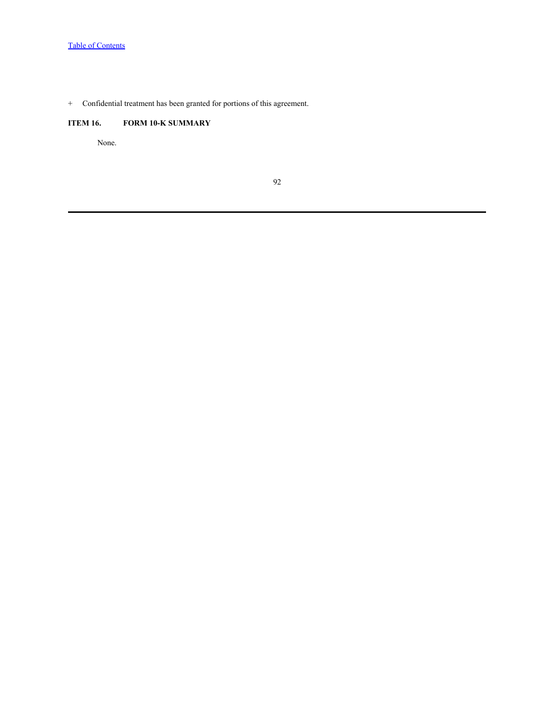+ Confidential treatment has been granted for portions of this agreement.

# **ITEM 16. FORM 10-K SUMMARY**

None.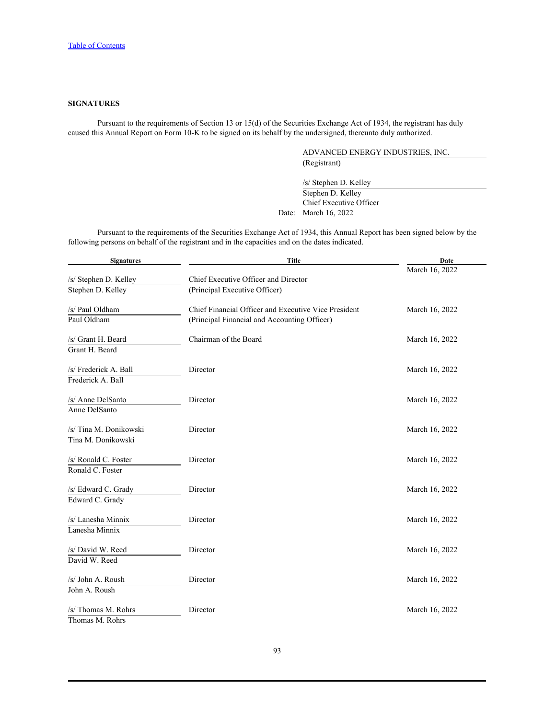### **SIGNATURES**

Pursuant to the requirements of Section 13 or 15(d) of the Securities Exchange Act of 1934, the registrant has duly caused this Annual Report on Form 10-K to be signed on its behalf by the undersigned, thereunto duly authorized.

> ADVANCED ENERGY INDUSTRIES, INC. (Registrant)

/s/ Stephen D. Kelley Stephen D. Kelley Chief Executive Officer Date: March 16, 2022

Pursuant to the requirements of the Securities Exchange Act of 1934, this Annual Report has been signed below by the following persons on behalf of the registrant and in the capacities and on the dates indicated.

| <b>Signatures</b>                            | <b>Title</b>                                                                                         | Date           |  |
|----------------------------------------------|------------------------------------------------------------------------------------------------------|----------------|--|
| /s/ Stephen D. Kelley<br>Stephen D. Kelley   | Chief Executive Officer and Director<br>(Principal Executive Officer)                                | March 16, 2022 |  |
| /s/ Paul Oldham<br>Paul Oldham               | Chief Financial Officer and Executive Vice President<br>(Principal Financial and Accounting Officer) | March 16, 2022 |  |
| /s/ Grant H. Beard<br>Grant H. Beard         | Chairman of the Board                                                                                | March 16, 2022 |  |
| /s/ Frederick A. Ball<br>Frederick A. Ball   | Director                                                                                             | March 16, 2022 |  |
| /s/ Anne DelSanto<br>Anne DelSanto           | Director                                                                                             | March 16, 2022 |  |
| /s/ Tina M. Donikowski<br>Tina M. Donikowski | Director                                                                                             | March 16, 2022 |  |
| /s/ Ronald C. Foster<br>Ronald C. Foster     | Director                                                                                             | March 16, 2022 |  |
| /s/ Edward C. Grady<br>Edward C. Grady       | Director                                                                                             | March 16, 2022 |  |
| /s/ Lanesha Minnix<br>Lanesha Minnix         | Director                                                                                             | March 16, 2022 |  |
| /s/ David W. Reed<br>David W. Reed           | Director                                                                                             | March 16, 2022 |  |
| /s/ John A. Roush<br>John A. Roush           | Director                                                                                             | March 16, 2022 |  |
| /s/ Thomas M. Rohrs<br>Thomas M. Rohrs       | Director                                                                                             | March 16, 2022 |  |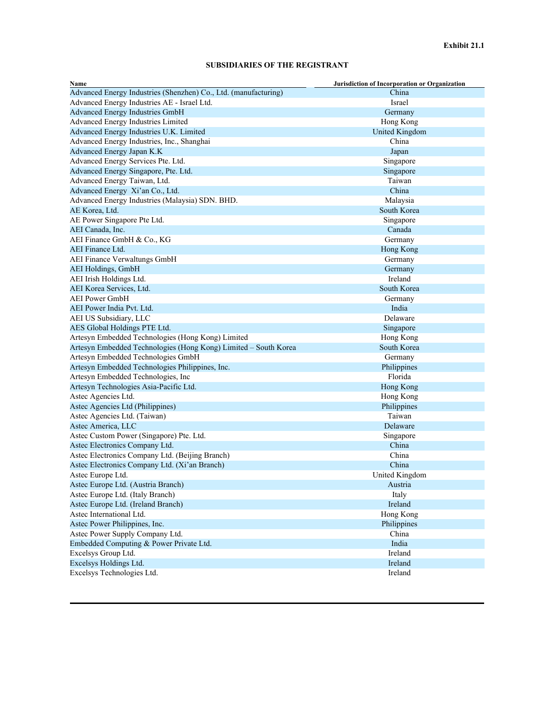## **SUBSIDIARIES OF THE REGISTRANT**

<span id="page-93-0"></span>

| Name                                                            | Jurisdiction of Incorporation or Organization |
|-----------------------------------------------------------------|-----------------------------------------------|
| Advanced Energy Industries (Shenzhen) Co., Ltd. (manufacturing) | China                                         |
| Advanced Energy Industries AE - Israel Ltd.                     | Israel                                        |
| Advanced Energy Industries GmbH                                 | Germany                                       |
| Advanced Energy Industries Limited                              | Hong Kong                                     |
| Advanced Energy Industries U.K. Limited                         | United Kingdom                                |
| Advanced Energy Industries, Inc., Shanghai                      | China                                         |
| Advanced Energy Japan K.K                                       | Japan                                         |
| Advanced Energy Services Pte. Ltd.                              | Singapore                                     |
| Advanced Energy Singapore, Pte. Ltd.                            | Singapore                                     |
| Advanced Energy Taiwan, Ltd.                                    | Taiwan                                        |
| Advanced Energy Xi'an Co., Ltd.                                 | China                                         |
| Advanced Energy Industries (Malaysia) SDN. BHD.                 | Malaysia                                      |
| AE Korea, Ltd.                                                  | South Korea                                   |
| AE Power Singapore Pte Ltd.                                     | Singapore                                     |
| AEI Canada, Inc.                                                | Canada                                        |
| AEI Finance GmbH & Co., KG                                      | Germany                                       |
| AEI Finance Ltd.                                                | Hong Kong                                     |
| <b>AEI Finance Verwaltungs GmbH</b>                             | Germany                                       |
| <b>AEI Holdings, GmbH</b>                                       | Germany                                       |
| AEI Irish Holdings Ltd.                                         | Ireland                                       |
| AEI Korea Services, Ltd.                                        | South Korea                                   |
| <b>AEI</b> Power GmbH                                           | Germany                                       |
| AEI Power India Pvt. Ltd.                                       | India                                         |
| AEI US Subsidiary, LLC                                          | Delaware                                      |
|                                                                 |                                               |
| AES Global Holdings PTE Ltd.                                    | Singapore                                     |
| Artesyn Embedded Technologies (Hong Kong) Limited               | Hong Kong                                     |
| Artesyn Embedded Technologies (Hong Kong) Limited - South Korea | South Korea                                   |
| Artesyn Embedded Technologies GmbH                              | Germany                                       |
| Artesyn Embedded Technologies Philippines, Inc.                 | Philippines                                   |
| Artesyn Embedded Technologies, Inc                              | Florida                                       |
| Artesyn Technologies Asia-Pacific Ltd.                          | Hong Kong                                     |
| Astec Agencies Ltd.                                             | Hong Kong                                     |
| Astec Agencies Ltd (Philippines)                                | Philippines                                   |
| Astec Agencies Ltd. (Taiwan)                                    | Taiwan                                        |
| Astec America, LLC                                              | Delaware                                      |
| Astec Custom Power (Singapore) Pte. Ltd.                        | Singapore                                     |
| Astec Electronics Company Ltd.                                  | China                                         |
| Astec Electronics Company Ltd. (Beijing Branch)                 | China                                         |
| Astec Electronics Company Ltd. (Xi'an Branch)                   | China                                         |
| Astec Europe Ltd.                                               | United Kingdom                                |
| Astec Europe Ltd. (Austria Branch)                              | Austria                                       |
| Astec Europe Ltd. (Italy Branch)                                | Italy                                         |
| Astec Europe Ltd. (Ireland Branch)                              | Ireland                                       |
| Astec International Ltd.                                        | Hong Kong                                     |
| Astec Power Philippines, Inc.                                   | Philippines                                   |
| Astec Power Supply Company Ltd.                                 | China                                         |
| Embedded Computing & Power Private Ltd.                         | India                                         |
| Excelsys Group Ltd.                                             | Ireland                                       |
| Excelsys Holdings Ltd.                                          | Ireland                                       |
|                                                                 | Ireland                                       |
| Excelsys Technologies Ltd.                                      |                                               |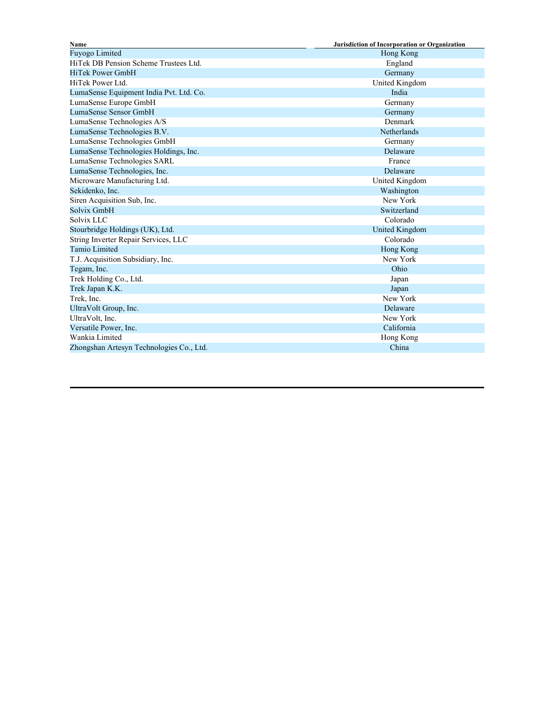| Name                                     | Jurisdiction of Incorporation or Organization |
|------------------------------------------|-----------------------------------------------|
| Fuyogo Limited                           | Hong Kong                                     |
| HiTek DB Pension Scheme Trustees Ltd.    | England                                       |
| <b>HiTek Power GmbH</b>                  | Germany                                       |
| HiTek Power Ltd.                         | United Kingdom                                |
| LumaSense Equipment India Pvt. Ltd. Co.  | India                                         |
| LumaSense Europe GmbH                    | Germany                                       |
| LumaSense Sensor GmbH                    | Germany                                       |
| LumaSense Technologies A/S               | Denmark                                       |
| LumaSense Technologies B.V.              | Netherlands                                   |
| LumaSense Technologies GmbH              | Germany                                       |
| LumaSense Technologies Holdings, Inc.    | Delaware                                      |
| LumaSense Technologies SARL              | France                                        |
| LumaSense Technologies, Inc.             | Delaware                                      |
| Microware Manufacturing Ltd.             | United Kingdom                                |
| Sekidenko, Inc.                          | Washington                                    |
| Siren Acquisition Sub, Inc.              | New York                                      |
| <b>Solvix GmbH</b>                       | Switzerland                                   |
| Solvix LLC                               | Colorado                                      |
| Stourbridge Holdings (UK), Ltd.          | United Kingdom                                |
| String Inverter Repair Services, LLC     | Colorado                                      |
| Tamio Limited                            | Hong Kong                                     |
| T.J. Acquisition Subsidiary, Inc.        | New York                                      |
| Tegam, Inc.                              | Ohio                                          |
| Trek Holding Co., Ltd.                   | Japan                                         |
| Trek Japan K.K.                          | Japan                                         |
| Trek, Inc.                               | New York                                      |
| UltraVolt Group, Inc.                    | Delaware                                      |
| UltraVolt, Inc.                          | New York                                      |
| Versatile Power, Inc.                    | California                                    |
| Wankia Limited                           | Hong Kong                                     |
| Zhongshan Artesyn Technologies Co., Ltd. | China                                         |
|                                          |                                               |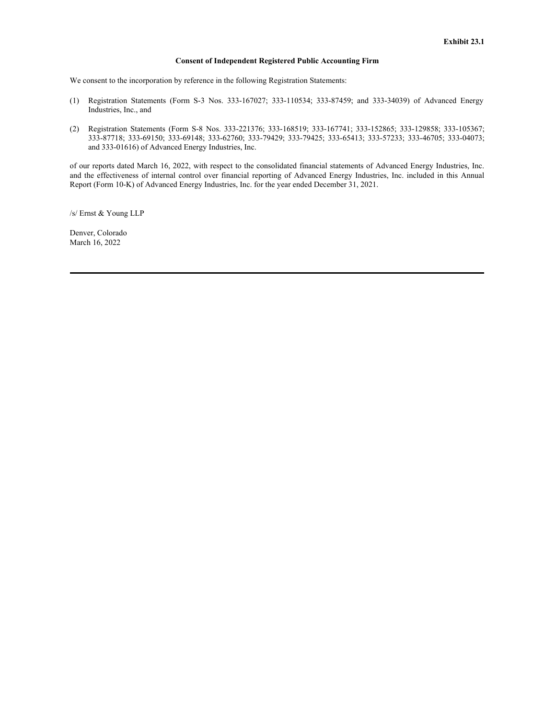#### **Consent of Independent Registered Public Accounting Firm**

<span id="page-95-0"></span>We consent to the incorporation by reference in the following Registration Statements:

- Industries, Inc., and
- Exhibit 23.1<br>
Consent to the incorporation by reference in the following Registration Statements:<br>
(1) Registration Statements (Form S-3 Nos. 333-167027; 333-110534; 333-87459; and 333-34039) of Advanced Energy<br>
Industries and 333-01616) of Advanced Energy Industries, Inc.

Exhibit 23.1<br>
Consent of Independent Registered Public Accounting Firm<br>
We consent to the incorporation by reference in the following Registration Statements:<br>
(1) Registration Statements (Form S-8 Nos. 333-167027; 333-110 Exhibit 23.1<br>
Consent of Independent Registered Public Accounting Firm<br>
Shows to the incorporation by reference in the following Registration Statements:<br>
Registration Statements (Form S-3 Nos. 333-167027; 333-110534; 333of our reports dated March 16, 2022, with respect to the consolidated financial statements of Advanced Energy Industries, Inc. **Exhibit 23.1**<br> **Exhibit 23.1**<br>
We consent to the incorporation by reference in the following Registration Statements:<br>
(1) Registration Statements (Form S-3 Nos. 333-167027; 333-110534; 333-437459; and 333-34039) of Advan Report (Form 10-K) of Advanced Energy Industries, Inc. for the year ended December 31, 2021.

/s/ Ernst & Young LLP

Denver, Colorado March 16, 2022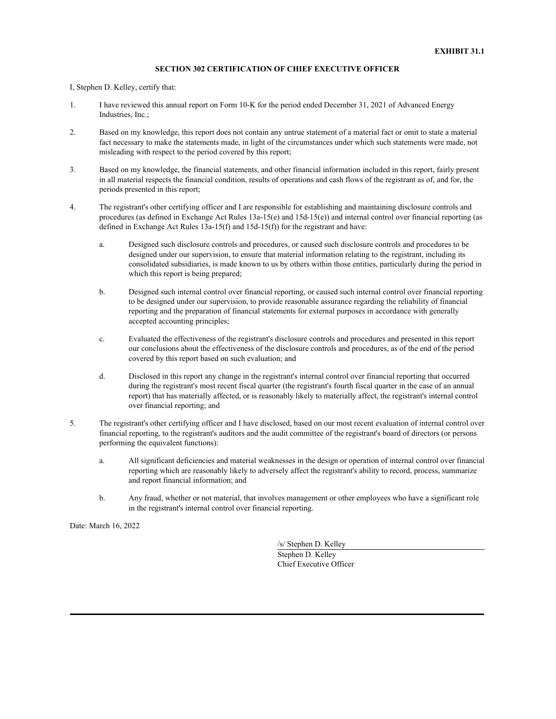#### **SECTION 302 CERTIFICATION OF CHIEF EXECUTIVE OFFICER**

<span id="page-96-0"></span>I, Stephen D. Kelley, certify that:

- 1. I have reviewed this annual report on Form 10-K for the period ended December 31, 2021 of Advanced Energy Industries, Inc.;
- 2. Based on my knowledge, this report does not contain any untrue statement of a material fact or omit to state a material fact necessary to make the statements made, in light of the circumstances under which such statements were made, not misleading with respect to the period covered by this report;
- 3. Based on my knowledge, the financial statements, and other financial information included in this report, fairly present in all material respects the financial condition, results of operations and cash flows of the registrant as of, and for, the periods presented in this report;
- 4. The registrant's other certifying officer and I are responsible for establishing and maintaining disclosure controls and procedures (as defined in Exchange Act Rules 13a-15(e) and 15d-15(e)) and internal control over financial reporting (as defined in Exchange Act Rules 13a-15(f) and 15d-15(f)) for the registrant and have:
	- a. Designed such disclosure controls and procedures, or caused such disclosure controls and procedures to be designed under our supervision, to ensure that material information relating to the registrant, including its consolidated subsidiaries, is made known to us by others within those entities, particularly during the period in which this report is being prepared;
	- b. Designed such internal control over financial reporting, or caused such internal control over financial reporting to be designed under our supervision, to provide reasonable assurance regarding the reliability of financial reporting and the preparation of financial statements for external purposes in accordance with generally accepted accounting principles;
	- c. Evaluated the effectiveness of the registrant's disclosure controls and procedures and presented in this report our conclusions about the effectiveness of the disclosure controls and procedures, as of the end of the period covered by this report based on such evaluation; and
	- d. Disclosed in this report any change in the registrant's internal control over financial reporting that occurred during the registrant's most recent fiscal quarter (the registrant's fourth fiscal quarter in the case of an annual report) that has materially affected, or is reasonably likely to materially affect, the registrant's internal control over financial reporting; and
- 5. The registrant's other certifying officer and I have disclosed, based on our most recent evaluation of internal control over financial reporting, to the registrant's auditors and the audit committee of the registrant's board of directors (or persons performing the equivalent functions):
	- a. All significant deficiencies and material weaknesses in the design or operation of internal control over financial reporting which are reasonably likely to adversely affect the registrant's ability to record, process, summarize and report financial information; and
	- b. Any fraud, whether or not material, that involves management or other employees who have a significant role in the registrant's internal control over financial reporting.

Date: March 16, 2022

/s/ Stephen D. Kelley Stephen D. Kelley Chief Executive Officer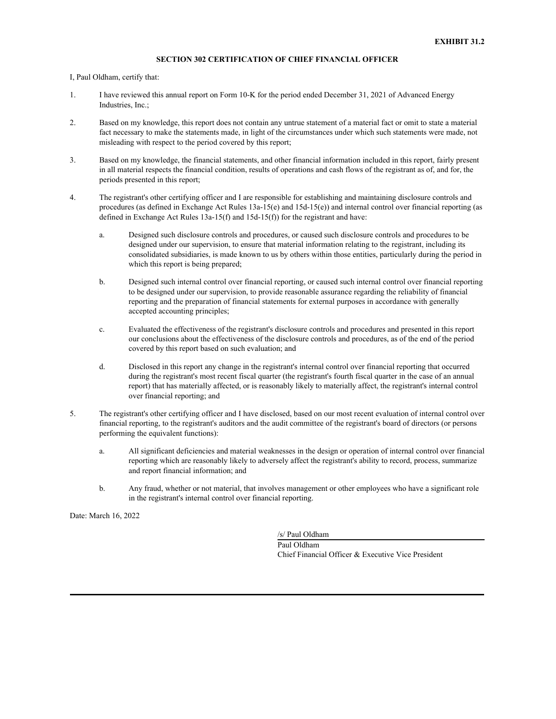## **SECTION 302 CERTIFICATION OF CHIEF FINANCIAL OFFICER**

<span id="page-97-0"></span>I, Paul Oldham, certify that:

- 1. I have reviewed this annual report on Form 10-K for the period ended December 31, 2021 of Advanced Energy Industries, Inc.;
- 2. Based on my knowledge, this report does not contain any untrue statement of a material fact or omit to state a material fact necessary to make the statements made, in light of the circumstances under which such statements were made, not misleading with respect to the period covered by this report;
- 3. Based on my knowledge, the financial statements, and other financial information included in this report, fairly present in all material respects the financial condition, results of operations and cash flows of the registrant as of, and for, the periods presented in this report;
- 4. The registrant's other certifying officer and I are responsible for establishing and maintaining disclosure controls and procedures (as defined in Exchange Act Rules 13a-15(e) and 15d-15(e)) and internal control over financial reporting (as defined in Exchange Act Rules 13a-15(f) and 15d-15(f)) for the registrant and have:
	- a. Designed such disclosure controls and procedures, or caused such disclosure controls and procedures to be designed under our supervision, to ensure that material information relating to the registrant, including its consolidated subsidiaries, is made known to us by others within those entities, particularly during the period in which this report is being prepared;
	- b. Designed such internal control over financial reporting, or caused such internal control over financial reporting to be designed under our supervision, to provide reasonable assurance regarding the reliability of financial reporting and the preparation of financial statements for external purposes in accordance with generally accepted accounting principles;
	- c. Evaluated the effectiveness of the registrant's disclosure controls and procedures and presented in this report our conclusions about the effectiveness of the disclosure controls and procedures, as of the end of the period covered by this report based on such evaluation; and
	- d. Disclosed in this report any change in the registrant's internal control over financial reporting that occurred during the registrant's most recent fiscal quarter (the registrant's fourth fiscal quarter in the case of an annual report) that has materially affected, or is reasonably likely to materially affect, the registrant's internal control over financial reporting; and
- 5. The registrant's other certifying officer and I have disclosed, based on our most recent evaluation of internal control over financial reporting, to the registrant's auditors and the audit committee of the registrant's board of directors (or persons performing the equivalent functions):
	- a. All significant deficiencies and material weaknesses in the design or operation of internal control over financial reporting which are reasonably likely to adversely affect the registrant's ability to record, process, summarize and report financial information; and
	- b. Any fraud, whether or not material, that involves management or other employees who have a significant role in the registrant's internal control over financial reporting.

Date: March 16, 2022

/s/ Paul Oldham Paul Oldham Chief Financial Officer & Executive Vice President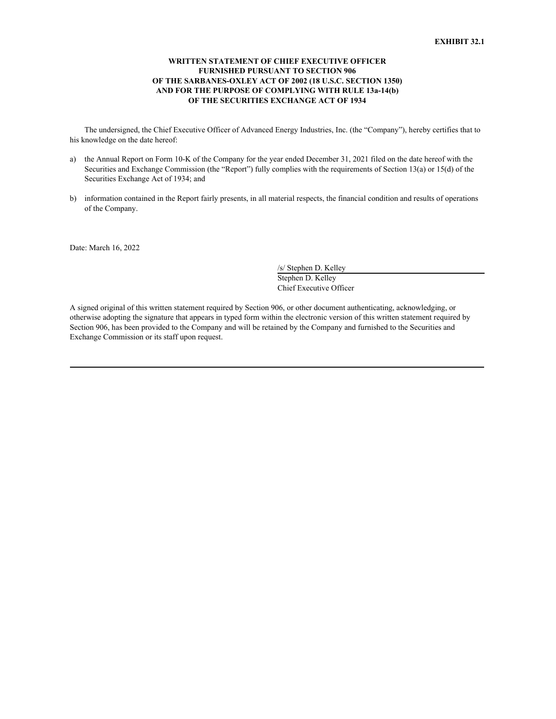## **WRITTEN STATEMENT OF CHIEF EXECUTIVE OFFICER FURNISHED PURSUANT TO SECTION 906 OF THE SARBANES-OXLEY ACT OF 2002 (18 U.S.C. SECTION 1350) AND FOR THE PURPOSE OF COMPLYING WITH RULE 13a-14(b) OF THE SECURITIES EXCHANGE ACT OF 1934**

<span id="page-98-0"></span>The undersigned, the Chief Executive Officer of Advanced Energy Industries, Inc. (the "Company"), hereby certifies that to his knowledge on the date hereof:

- a) the Annual Report on Form 10-K of the Company for the year ended December 31, 2021 filed on the date hereof with the Securities and Exchange Commission (the "Report") fully complies with the requirements of Section 13(a) or 15(d) of the Securities Exchange Act of 1934; and
- b) information contained in the Report fairly presents, in all material respects, the financial condition and results of operations of the Company.

Date: March 16, 2022

/s/ Stephen D. Kelley

Stephen D. Kelley Chief Executive Officer

A signed original of this written statement required by Section 906, or other document authenticating, acknowledging, or otherwise adopting the signature that appears in typed form within the electronic version of this written statement required by Section 906, has been provided to the Company and will be retained by the Company and furnished to the Securities and Exchange Commission or its staff upon request.